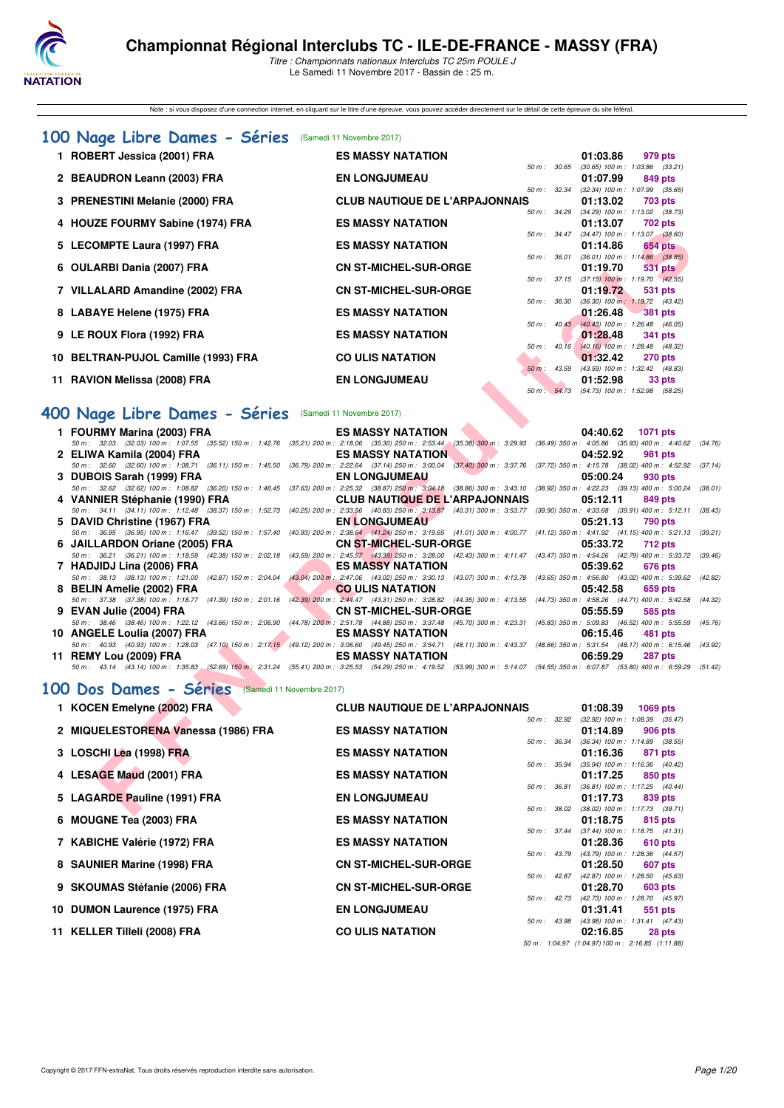

Note : si vous disposez d'une connection internet, en cliquant sur le titre d'une épreuve, vous pouvez accéder directement sur le détail de cette épreuve du site féféral.

## **[100 Nage Libre Dames - Séries](http://www.ffnatation.fr/webffn/resultats.php?idact=nat&go=epr&idcpt=48527&idepr=2)** (Samedi 11 Novembre 2017)

| 1 ROBERT Jessica (2001) FRA         | <b>ES MASSY NATATION</b>              |              | 01:03.86                                   | 979 pts |
|-------------------------------------|---------------------------------------|--------------|--------------------------------------------|---------|
|                                     |                                       | 50 m : 30.65 | $(30.65)$ 100 m : 1:03.86 $(33.21)$        |         |
| 2 BEAUDRON Leann (2003) FRA         | <b>EN LONGJUMEAU</b>                  |              | 01:07.99                                   | 849 pts |
|                                     |                                       | 50 m: 32.34  | (32.34) 100 m : 1:07.99 (35.65)            |         |
| 3 PRENESTINI Melanie (2000) FRA     | <b>CLUB NAUTIQUE DE L'ARPAJONNAIS</b> |              | 01:13.02                                   | 703 pts |
|                                     |                                       | 50 m : 34.29 | $(34.29)$ 100 m : 1:13.02 $(38.73)$        |         |
| 4 HOUZE FOURMY Sabine (1974) FRA    | <b>ES MASSY NATATION</b>              |              | 01:13.07 702 pts                           |         |
|                                     |                                       | 50 m: 34.47  | $(34.47)$ 100 m : 1:13.07 $(38.60)$        |         |
| 5 LECOMPTE Laura (1997) FRA         | <b>ES MASSY NATATION</b>              |              | 01:14.86                                   | 654 pts |
|                                     |                                       | 50 m: 36.01  | $(36.01)$ 100 m : 1:14.86 $(38.85)$        |         |
| 6 OULARBI Dania (2007) FRA          | <b>CN ST-MICHEL-SUR-ORGE</b>          |              | 01:19.70                                   | 531 pts |
|                                     |                                       |              | 50 m: 37.15 (37.15) 100 m: 1:19.70 (42.55) |         |
| 7 VILLALARD Amandine (2002) FRA     | <b>CN ST-MICHEL-SUR-ORGE</b>          |              | 01:19.72                                   | 531 pts |
|                                     |                                       | 50 m : 36.30 | $(36.30)$ 100 m : 1:19.72 $(43.42)$        |         |
| 8 LABAYE Helene (1975) FRA          | <b>ES MASSY NATATION</b>              |              | $01:26.48$ 381 pts                         |         |
|                                     |                                       | 50 m: 40.43  | $(40.43)$ 100 m : 1:26.48 $(46.05)$        |         |
| 9 LE ROUX Flora (1992) FRA          | <b>ES MASSY NATATION</b>              |              | 01:28.48                                   | 341 pts |
|                                     |                                       | 50 m: 40.16  | $(40.16)$ 100 m : 1:28.48 $(48.32)$        |         |
| 10 BELTRAN-PUJOL Camille (1993) FRA | <b>CO ULIS NATATION</b>               |              | 01:32.42                                   | 270 pts |
|                                     |                                       | 50 m : 43.59 | (43.59) 100 m : 1:32.42 (48.83)            |         |
| 11 RAVION Melissa (2008) FRA        | <b>EN LONGJUMEAU</b>                  |              | 01:52.98                                   | 33 pts  |
|                                     |                                       |              | 50 m: 54.73 (54.73) 100 m: 1:52.98 (58.25) |         |

## **[400 Nage Libre Dames - Séries](http://www.ffnatation.fr/webffn/resultats.php?idact=nat&go=epr&idcpt=48527&idepr=4)** (Samedi 11 Novembre 2017)

| 50 m: 34.47 (34.47) 100 m: 1:13.07 (38.60)<br>5 LECOMPTE Laura (1997) FRA<br><b>ES MASSY NATATION</b><br>01:14.86<br>50 m : 36.01 (36.01) 100 m : 1:14.86 (38.85)<br><b>CN ST-MICHEL-SUR-ORGE</b><br>6 OULARBI Dania (2007) FRA<br>01:19.70<br>50 m: 37.15 (37.15) 100 m: 1:19.70 (42.55)<br>7 VILLALARD Amandine (2002) FRA<br><b>CN ST-MICHEL-SUR-ORGE</b><br>01:19.72<br>50 m : 36.30<br>$(36.30)$ 100 m : 1:19.72 $(43.42)$<br>8 LABAYE Helene (1975) FRA<br><b>ES MASSY NATATION</b><br>01:26.48<br>50 m : 40.43 (40.43) 100 m : 1:26.48 (46.05)<br><b>ES MASSY NATATION</b><br>9 LE ROUX Flora (1992) FRA<br>01:28.48<br>50 m : 40.16 (40.16) 100 m : 1:28.48 (48.32)<br>10 BELTRAN-PUJOL Camille (1993) FRA<br><b>CO ULIS NATATION</b><br>01:32.42<br>$(43.59)$ 100 m : 1:32.42 $(48.83)$<br>50 m : 43.59<br>11 RAVION Melissa (2008) FRA<br><b>EN LONGJUMEAU</b><br>01:52.98<br>50 m : 54.73 (54.73) 100 m : 1:52.98 (58.25)<br>00 Nage Libre Dames - Séries<br>(Samedi 11 Novembre 2017)<br>1 FOURMY Marina (2003) FRA<br><b>ES MASSY NATATION</b><br>04:40.62<br>50 m : 32.03 (32.03) 100 m : 1:07.55 (35.52) 150 m : 1:42.76 (35.21) 200 m : 2:18.06 (35.30) 250 m : 2:53.44 (35.38) 300 m : 3:29.93 (36.49) 350 m : 4:05.86 (35.93) 400 m : 4:40.62<br>2 ELIWA Kamila (2004) FRA<br><b>ES MASSY NATATION</b><br>04:52.92<br>50 m : 32.60 (32.60) 100 m : 1:08.71 (36.11) 150 m : 1:45.50<br>(36.79) 200 m : 2:22.64 (37.14) 250 m : 3:00.04 (37.40) 300 m : 3:37.76 (37.72) 350 m : 4:15.78 (38.02) 400 m : 4:52.92<br>3 DUBOIS Sarah (1999) FRA<br>05:00.24<br><b>EN LONGJUMEAU</b><br>930 pts<br>50 m: 32.62 (32.62) 100 m: 1:08.82 (36.20) 150 m: 1:46.45 (37.63) 200 m: 2:25.32 (38.87) 250 m: 3:04.18 (38.86) 300 m: 3:43.10 (38.92) 350 m: 4:22.23 (39.13) 400 m: 5:00.24<br>4 VANNIER Stéphanie (1990) FRA<br><b>CLUB NAUTIQUE DE L'ARPAJONNAIS</b><br>05:12.11<br>50 m: 34.11 (34.11) 100 m: 1:12.48 (38.37) 150 m: 1:52.73<br>(40.25) 200 m : 2:33.56 (40.83) 250 m : 3:13.87 (40.31) 300 m : 3:53.77 (39.90) 350 m : 4:33.68 (39.91) 400 m : 5:12.11<br>5 DAVID Christine (1967) FRA<br><b>EN LONGJUMEAU</b><br>05:21.13<br>50 m: 36.95 (36.95) 100 m: 1:16.47 (39.52) 150 m: 1:57.40<br>(40.93) 200 m: 2:38.64 (41.24) 250 m: 3:19.65 (41.01) 300 m: 4:00.77 (41.12) 350 m: 4:41.92 (41.15) 400 m: 5:21.13<br>6 JAILLARDON Oriane (2005) FRA<br><b>CN ST-MICHEL-SUR-ORGE</b><br>05:33.72<br>50 m : 36.21 (36.21) 100 m : 1:18.59 (42.38) 150 m : 2:02.18<br>(43.59) 200 m: 2:45.57 (43.39) 250 m: 3:28.00 (42.43) 300 m: 4:11.47 (43.47) 350 m: 4:54.26 (42.79) 400 m: 5:33.72<br>7 HADJIDJ Lina (2006) FRA<br><b>ES MASSY NATATION</b><br>05:39.62<br>50 m: 38.13 (38.13) 100 m: 1:21.00 (42.87) 150 m: 2:04.04<br>(43.04) 200 m : 2:47.06 (43.02) 250 m : 3:30.13 (43.07) 300 m : 4:13.78 (43.65) 350 m : 4:56.80 (43.02) 400 m : 5:39.62<br>8 BELIN Amelie (2002) FRA<br><b>CO ULIS NATATION</b><br>05:42.58<br>50 m: 37.38 (37.38) 100 m: 1:18.77 (41.39) 150 m: 2:01.16<br>(42.39) 200 m : 2:44.47 (43.31) 250 m : 3:28.82 (44.35) 300 m : 4:13.55 (44.73) 350 m : 4:58.26 (44.71) 400 m : 5:42.58<br>9 EVAN Julie (2004) FRA<br><b>CN ST-MICHEL-SUR-ORGE</b><br>05:55.59<br>585 pts<br>50 m: 38.46 (38.46) 100 m: 1:22.12 (43.66) 150 m: 2:06.90 (44.78) 200 m: 2:51.78 (44.88) 250 m: 3:37.48 (45.70) 300 m: 4:23.31 (45.83) 350 m: 5:09.83 (46.52) 400 m: 5:55.59<br>10 ANGELE Loulia (2007) FRA<br><b>ES MASSY NATATION</b><br>06:15.46<br>50 m: 40.93 (40.93) 100 m: 1:28.03 (47.10) 150 m: 2:17.15 (49.12) 200 m: 3:06.60 (49.45) 250 m: 3:54.71 (48.11) 300 m: 4:43.37 (48.66) 350 m: 5:31.54 (48.17) 400 m: 6:15.46 (43.92)<br>11 REMY Lou (2009) FRA<br><b>ES MASSY NATATION</b><br>06:59.29<br>50 m: 43.14 (43.14) 100 m: 1:35.83 (52.69) 150 m: 2:31.24 (55.41) 200 m: 3:25.53 (54.29) 250 m: 4:19.52 (53.99) 300 m: 5:14.07 (54.55) 350 m: 6:07.87 (53.80) 400 m: 6:59.29 (51.42)<br>00 Dos Dames - Séries<br>(Samedi 11 Novembre 2017)<br>1 KOCEN Emelyne (2002) FRA<br><b>CLUB NAUTIQUE DE L'ARPAJONNAIS</b><br>01:08.39<br>50 m: 32.92 (32.92) 100 m: 1:08.39 (35.47)<br>2 MIQUELESTORENA Vanessa (1986) FRA<br><b>ES MASSY NATATION</b><br>01:14.89<br>50 m: 36.34 (36.34) 100 m: 1:14.89 (38.55)<br>3 LOSCHI Lea (1998) FRA<br><b>ES MASSY NATATION</b><br>01:16.36<br>50 m: 35.94 (35.94) 100 m: 1:16.36 (40.42)<br>4 LESAGE Maud (2001) FRA<br><b>ES MASSY NATATION</b><br>01:17.25<br>50 m: 36.81 (36.81) 100 m: 1:17.25 (40.44)<br>5 LAGARDE Pauline (1991) FRA<br><b>EN LONGJUMEAU</b><br>01:17.73 |                 |
|------------------------------------------------------------------------------------------------------------------------------------------------------------------------------------------------------------------------------------------------------------------------------------------------------------------------------------------------------------------------------------------------------------------------------------------------------------------------------------------------------------------------------------------------------------------------------------------------------------------------------------------------------------------------------------------------------------------------------------------------------------------------------------------------------------------------------------------------------------------------------------------------------------------------------------------------------------------------------------------------------------------------------------------------------------------------------------------------------------------------------------------------------------------------------------------------------------------------------------------------------------------------------------------------------------------------------------------------------------------------------------------------------------------------------------------------------------------------------------------------------------------------------------------------------------------------------------------------------------------------------------------------------------------------------------------------------------------------------------------------------------------------------------------------------------------------------------------------------------------------------------------------------------------------------------------------------------------------------------------------------------------------------------------------------------------------------------------------------------------------------------------------------------------------------------------------------------------------------------------------------------------------------------------------------------------------------------------------------------------------------------------------------------------------------------------------------------------------------------------------------------------------------------------------------------------------------------------------------------------------------------------------------------------------------------------------------------------------------------------------------------------------------------------------------------------------------------------------------------------------------------------------------------------------------------------------------------------------------------------------------------------------------------------------------------------------------------------------------------------------------------------------------------------------------------------------------------------------------------------------------------------------------------------------------------------------------------------------------------------------------------------------------------------------------------------------------------------------------------------------------------------------------------------------------------------------------------------------------------------------------------------------------------------------------------------------------------------------------------------------------------------------------------------------------------------------------------------------------------------------------------------------------------------------------------------------------------------------------------------------------------------------------------------------------------------------------------------------------------------------------------------------------------------------------------------------------------------------------------------------------------------------------------------------------------------------------------------------------------------------------------------------------------------------------------------------------------------------------------------------------------------------------------------------------|-----------------|
|                                                                                                                                                                                                                                                                                                                                                                                                                                                                                                                                                                                                                                                                                                                                                                                                                                                                                                                                                                                                                                                                                                                                                                                                                                                                                                                                                                                                                                                                                                                                                                                                                                                                                                                                                                                                                                                                                                                                                                                                                                                                                                                                                                                                                                                                                                                                                                                                                                                                                                                                                                                                                                                                                                                                                                                                                                                                                                                                                                                                                                                                                                                                                                                                                                                                                                                                                                                                                                                                                                                                                                                                                                                                                                                                                                                                                                                                                                                                                                                                                                                                                                                                                                                                                                                                                                                                                                                                                                                                                                                                                      | 654 pts         |
|                                                                                                                                                                                                                                                                                                                                                                                                                                                                                                                                                                                                                                                                                                                                                                                                                                                                                                                                                                                                                                                                                                                                                                                                                                                                                                                                                                                                                                                                                                                                                                                                                                                                                                                                                                                                                                                                                                                                                                                                                                                                                                                                                                                                                                                                                                                                                                                                                                                                                                                                                                                                                                                                                                                                                                                                                                                                                                                                                                                                                                                                                                                                                                                                                                                                                                                                                                                                                                                                                                                                                                                                                                                                                                                                                                                                                                                                                                                                                                                                                                                                                                                                                                                                                                                                                                                                                                                                                                                                                                                                                      | 531 pts         |
|                                                                                                                                                                                                                                                                                                                                                                                                                                                                                                                                                                                                                                                                                                                                                                                                                                                                                                                                                                                                                                                                                                                                                                                                                                                                                                                                                                                                                                                                                                                                                                                                                                                                                                                                                                                                                                                                                                                                                                                                                                                                                                                                                                                                                                                                                                                                                                                                                                                                                                                                                                                                                                                                                                                                                                                                                                                                                                                                                                                                                                                                                                                                                                                                                                                                                                                                                                                                                                                                                                                                                                                                                                                                                                                                                                                                                                                                                                                                                                                                                                                                                                                                                                                                                                                                                                                                                                                                                                                                                                                                                      |                 |
|                                                                                                                                                                                                                                                                                                                                                                                                                                                                                                                                                                                                                                                                                                                                                                                                                                                                                                                                                                                                                                                                                                                                                                                                                                                                                                                                                                                                                                                                                                                                                                                                                                                                                                                                                                                                                                                                                                                                                                                                                                                                                                                                                                                                                                                                                                                                                                                                                                                                                                                                                                                                                                                                                                                                                                                                                                                                                                                                                                                                                                                                                                                                                                                                                                                                                                                                                                                                                                                                                                                                                                                                                                                                                                                                                                                                                                                                                                                                                                                                                                                                                                                                                                                                                                                                                                                                                                                                                                                                                                                                                      | 531 pts         |
|                                                                                                                                                                                                                                                                                                                                                                                                                                                                                                                                                                                                                                                                                                                                                                                                                                                                                                                                                                                                                                                                                                                                                                                                                                                                                                                                                                                                                                                                                                                                                                                                                                                                                                                                                                                                                                                                                                                                                                                                                                                                                                                                                                                                                                                                                                                                                                                                                                                                                                                                                                                                                                                                                                                                                                                                                                                                                                                                                                                                                                                                                                                                                                                                                                                                                                                                                                                                                                                                                                                                                                                                                                                                                                                                                                                                                                                                                                                                                                                                                                                                                                                                                                                                                                                                                                                                                                                                                                                                                                                                                      | <b>381 pts</b>  |
|                                                                                                                                                                                                                                                                                                                                                                                                                                                                                                                                                                                                                                                                                                                                                                                                                                                                                                                                                                                                                                                                                                                                                                                                                                                                                                                                                                                                                                                                                                                                                                                                                                                                                                                                                                                                                                                                                                                                                                                                                                                                                                                                                                                                                                                                                                                                                                                                                                                                                                                                                                                                                                                                                                                                                                                                                                                                                                                                                                                                                                                                                                                                                                                                                                                                                                                                                                                                                                                                                                                                                                                                                                                                                                                                                                                                                                                                                                                                                                                                                                                                                                                                                                                                                                                                                                                                                                                                                                                                                                                                                      | <b>341 pts</b>  |
|                                                                                                                                                                                                                                                                                                                                                                                                                                                                                                                                                                                                                                                                                                                                                                                                                                                                                                                                                                                                                                                                                                                                                                                                                                                                                                                                                                                                                                                                                                                                                                                                                                                                                                                                                                                                                                                                                                                                                                                                                                                                                                                                                                                                                                                                                                                                                                                                                                                                                                                                                                                                                                                                                                                                                                                                                                                                                                                                                                                                                                                                                                                                                                                                                                                                                                                                                                                                                                                                                                                                                                                                                                                                                                                                                                                                                                                                                                                                                                                                                                                                                                                                                                                                                                                                                                                                                                                                                                                                                                                                                      |                 |
|                                                                                                                                                                                                                                                                                                                                                                                                                                                                                                                                                                                                                                                                                                                                                                                                                                                                                                                                                                                                                                                                                                                                                                                                                                                                                                                                                                                                                                                                                                                                                                                                                                                                                                                                                                                                                                                                                                                                                                                                                                                                                                                                                                                                                                                                                                                                                                                                                                                                                                                                                                                                                                                                                                                                                                                                                                                                                                                                                                                                                                                                                                                                                                                                                                                                                                                                                                                                                                                                                                                                                                                                                                                                                                                                                                                                                                                                                                                                                                                                                                                                                                                                                                                                                                                                                                                                                                                                                                                                                                                                                      | <b>270 pts</b>  |
|                                                                                                                                                                                                                                                                                                                                                                                                                                                                                                                                                                                                                                                                                                                                                                                                                                                                                                                                                                                                                                                                                                                                                                                                                                                                                                                                                                                                                                                                                                                                                                                                                                                                                                                                                                                                                                                                                                                                                                                                                                                                                                                                                                                                                                                                                                                                                                                                                                                                                                                                                                                                                                                                                                                                                                                                                                                                                                                                                                                                                                                                                                                                                                                                                                                                                                                                                                                                                                                                                                                                                                                                                                                                                                                                                                                                                                                                                                                                                                                                                                                                                                                                                                                                                                                                                                                                                                                                                                                                                                                                                      | 33 pts          |
|                                                                                                                                                                                                                                                                                                                                                                                                                                                                                                                                                                                                                                                                                                                                                                                                                                                                                                                                                                                                                                                                                                                                                                                                                                                                                                                                                                                                                                                                                                                                                                                                                                                                                                                                                                                                                                                                                                                                                                                                                                                                                                                                                                                                                                                                                                                                                                                                                                                                                                                                                                                                                                                                                                                                                                                                                                                                                                                                                                                                                                                                                                                                                                                                                                                                                                                                                                                                                                                                                                                                                                                                                                                                                                                                                                                                                                                                                                                                                                                                                                                                                                                                                                                                                                                                                                                                                                                                                                                                                                                                                      |                 |
|                                                                                                                                                                                                                                                                                                                                                                                                                                                                                                                                                                                                                                                                                                                                                                                                                                                                                                                                                                                                                                                                                                                                                                                                                                                                                                                                                                                                                                                                                                                                                                                                                                                                                                                                                                                                                                                                                                                                                                                                                                                                                                                                                                                                                                                                                                                                                                                                                                                                                                                                                                                                                                                                                                                                                                                                                                                                                                                                                                                                                                                                                                                                                                                                                                                                                                                                                                                                                                                                                                                                                                                                                                                                                                                                                                                                                                                                                                                                                                                                                                                                                                                                                                                                                                                                                                                                                                                                                                                                                                                                                      |                 |
|                                                                                                                                                                                                                                                                                                                                                                                                                                                                                                                                                                                                                                                                                                                                                                                                                                                                                                                                                                                                                                                                                                                                                                                                                                                                                                                                                                                                                                                                                                                                                                                                                                                                                                                                                                                                                                                                                                                                                                                                                                                                                                                                                                                                                                                                                                                                                                                                                                                                                                                                                                                                                                                                                                                                                                                                                                                                                                                                                                                                                                                                                                                                                                                                                                                                                                                                                                                                                                                                                                                                                                                                                                                                                                                                                                                                                                                                                                                                                                                                                                                                                                                                                                                                                                                                                                                                                                                                                                                                                                                                                      |                 |
|                                                                                                                                                                                                                                                                                                                                                                                                                                                                                                                                                                                                                                                                                                                                                                                                                                                                                                                                                                                                                                                                                                                                                                                                                                                                                                                                                                                                                                                                                                                                                                                                                                                                                                                                                                                                                                                                                                                                                                                                                                                                                                                                                                                                                                                                                                                                                                                                                                                                                                                                                                                                                                                                                                                                                                                                                                                                                                                                                                                                                                                                                                                                                                                                                                                                                                                                                                                                                                                                                                                                                                                                                                                                                                                                                                                                                                                                                                                                                                                                                                                                                                                                                                                                                                                                                                                                                                                                                                                                                                                                                      | <b>1071 pts</b> |
|                                                                                                                                                                                                                                                                                                                                                                                                                                                                                                                                                                                                                                                                                                                                                                                                                                                                                                                                                                                                                                                                                                                                                                                                                                                                                                                                                                                                                                                                                                                                                                                                                                                                                                                                                                                                                                                                                                                                                                                                                                                                                                                                                                                                                                                                                                                                                                                                                                                                                                                                                                                                                                                                                                                                                                                                                                                                                                                                                                                                                                                                                                                                                                                                                                                                                                                                                                                                                                                                                                                                                                                                                                                                                                                                                                                                                                                                                                                                                                                                                                                                                                                                                                                                                                                                                                                                                                                                                                                                                                                                                      | (34.76)         |
|                                                                                                                                                                                                                                                                                                                                                                                                                                                                                                                                                                                                                                                                                                                                                                                                                                                                                                                                                                                                                                                                                                                                                                                                                                                                                                                                                                                                                                                                                                                                                                                                                                                                                                                                                                                                                                                                                                                                                                                                                                                                                                                                                                                                                                                                                                                                                                                                                                                                                                                                                                                                                                                                                                                                                                                                                                                                                                                                                                                                                                                                                                                                                                                                                                                                                                                                                                                                                                                                                                                                                                                                                                                                                                                                                                                                                                                                                                                                                                                                                                                                                                                                                                                                                                                                                                                                                                                                                                                                                                                                                      | 981 pts         |
|                                                                                                                                                                                                                                                                                                                                                                                                                                                                                                                                                                                                                                                                                                                                                                                                                                                                                                                                                                                                                                                                                                                                                                                                                                                                                                                                                                                                                                                                                                                                                                                                                                                                                                                                                                                                                                                                                                                                                                                                                                                                                                                                                                                                                                                                                                                                                                                                                                                                                                                                                                                                                                                                                                                                                                                                                                                                                                                                                                                                                                                                                                                                                                                                                                                                                                                                                                                                                                                                                                                                                                                                                                                                                                                                                                                                                                                                                                                                                                                                                                                                                                                                                                                                                                                                                                                                                                                                                                                                                                                                                      | (37.14)         |
|                                                                                                                                                                                                                                                                                                                                                                                                                                                                                                                                                                                                                                                                                                                                                                                                                                                                                                                                                                                                                                                                                                                                                                                                                                                                                                                                                                                                                                                                                                                                                                                                                                                                                                                                                                                                                                                                                                                                                                                                                                                                                                                                                                                                                                                                                                                                                                                                                                                                                                                                                                                                                                                                                                                                                                                                                                                                                                                                                                                                                                                                                                                                                                                                                                                                                                                                                                                                                                                                                                                                                                                                                                                                                                                                                                                                                                                                                                                                                                                                                                                                                                                                                                                                                                                                                                                                                                                                                                                                                                                                                      | (38.01)         |
|                                                                                                                                                                                                                                                                                                                                                                                                                                                                                                                                                                                                                                                                                                                                                                                                                                                                                                                                                                                                                                                                                                                                                                                                                                                                                                                                                                                                                                                                                                                                                                                                                                                                                                                                                                                                                                                                                                                                                                                                                                                                                                                                                                                                                                                                                                                                                                                                                                                                                                                                                                                                                                                                                                                                                                                                                                                                                                                                                                                                                                                                                                                                                                                                                                                                                                                                                                                                                                                                                                                                                                                                                                                                                                                                                                                                                                                                                                                                                                                                                                                                                                                                                                                                                                                                                                                                                                                                                                                                                                                                                      | 849 pts         |
|                                                                                                                                                                                                                                                                                                                                                                                                                                                                                                                                                                                                                                                                                                                                                                                                                                                                                                                                                                                                                                                                                                                                                                                                                                                                                                                                                                                                                                                                                                                                                                                                                                                                                                                                                                                                                                                                                                                                                                                                                                                                                                                                                                                                                                                                                                                                                                                                                                                                                                                                                                                                                                                                                                                                                                                                                                                                                                                                                                                                                                                                                                                                                                                                                                                                                                                                                                                                                                                                                                                                                                                                                                                                                                                                                                                                                                                                                                                                                                                                                                                                                                                                                                                                                                                                                                                                                                                                                                                                                                                                                      | (38.43)         |
|                                                                                                                                                                                                                                                                                                                                                                                                                                                                                                                                                                                                                                                                                                                                                                                                                                                                                                                                                                                                                                                                                                                                                                                                                                                                                                                                                                                                                                                                                                                                                                                                                                                                                                                                                                                                                                                                                                                                                                                                                                                                                                                                                                                                                                                                                                                                                                                                                                                                                                                                                                                                                                                                                                                                                                                                                                                                                                                                                                                                                                                                                                                                                                                                                                                                                                                                                                                                                                                                                                                                                                                                                                                                                                                                                                                                                                                                                                                                                                                                                                                                                                                                                                                                                                                                                                                                                                                                                                                                                                                                                      | 790 pts         |
|                                                                                                                                                                                                                                                                                                                                                                                                                                                                                                                                                                                                                                                                                                                                                                                                                                                                                                                                                                                                                                                                                                                                                                                                                                                                                                                                                                                                                                                                                                                                                                                                                                                                                                                                                                                                                                                                                                                                                                                                                                                                                                                                                                                                                                                                                                                                                                                                                                                                                                                                                                                                                                                                                                                                                                                                                                                                                                                                                                                                                                                                                                                                                                                                                                                                                                                                                                                                                                                                                                                                                                                                                                                                                                                                                                                                                                                                                                                                                                                                                                                                                                                                                                                                                                                                                                                                                                                                                                                                                                                                                      | (39.21)         |
|                                                                                                                                                                                                                                                                                                                                                                                                                                                                                                                                                                                                                                                                                                                                                                                                                                                                                                                                                                                                                                                                                                                                                                                                                                                                                                                                                                                                                                                                                                                                                                                                                                                                                                                                                                                                                                                                                                                                                                                                                                                                                                                                                                                                                                                                                                                                                                                                                                                                                                                                                                                                                                                                                                                                                                                                                                                                                                                                                                                                                                                                                                                                                                                                                                                                                                                                                                                                                                                                                                                                                                                                                                                                                                                                                                                                                                                                                                                                                                                                                                                                                                                                                                                                                                                                                                                                                                                                                                                                                                                                                      | <b>712 pts</b>  |
|                                                                                                                                                                                                                                                                                                                                                                                                                                                                                                                                                                                                                                                                                                                                                                                                                                                                                                                                                                                                                                                                                                                                                                                                                                                                                                                                                                                                                                                                                                                                                                                                                                                                                                                                                                                                                                                                                                                                                                                                                                                                                                                                                                                                                                                                                                                                                                                                                                                                                                                                                                                                                                                                                                                                                                                                                                                                                                                                                                                                                                                                                                                                                                                                                                                                                                                                                                                                                                                                                                                                                                                                                                                                                                                                                                                                                                                                                                                                                                                                                                                                                                                                                                                                                                                                                                                                                                                                                                                                                                                                                      | (39.46)         |
|                                                                                                                                                                                                                                                                                                                                                                                                                                                                                                                                                                                                                                                                                                                                                                                                                                                                                                                                                                                                                                                                                                                                                                                                                                                                                                                                                                                                                                                                                                                                                                                                                                                                                                                                                                                                                                                                                                                                                                                                                                                                                                                                                                                                                                                                                                                                                                                                                                                                                                                                                                                                                                                                                                                                                                                                                                                                                                                                                                                                                                                                                                                                                                                                                                                                                                                                                                                                                                                                                                                                                                                                                                                                                                                                                                                                                                                                                                                                                                                                                                                                                                                                                                                                                                                                                                                                                                                                                                                                                                                                                      | 676 pts         |
|                                                                                                                                                                                                                                                                                                                                                                                                                                                                                                                                                                                                                                                                                                                                                                                                                                                                                                                                                                                                                                                                                                                                                                                                                                                                                                                                                                                                                                                                                                                                                                                                                                                                                                                                                                                                                                                                                                                                                                                                                                                                                                                                                                                                                                                                                                                                                                                                                                                                                                                                                                                                                                                                                                                                                                                                                                                                                                                                                                                                                                                                                                                                                                                                                                                                                                                                                                                                                                                                                                                                                                                                                                                                                                                                                                                                                                                                                                                                                                                                                                                                                                                                                                                                                                                                                                                                                                                                                                                                                                                                                      | (42.82)         |
|                                                                                                                                                                                                                                                                                                                                                                                                                                                                                                                                                                                                                                                                                                                                                                                                                                                                                                                                                                                                                                                                                                                                                                                                                                                                                                                                                                                                                                                                                                                                                                                                                                                                                                                                                                                                                                                                                                                                                                                                                                                                                                                                                                                                                                                                                                                                                                                                                                                                                                                                                                                                                                                                                                                                                                                                                                                                                                                                                                                                                                                                                                                                                                                                                                                                                                                                                                                                                                                                                                                                                                                                                                                                                                                                                                                                                                                                                                                                                                                                                                                                                                                                                                                                                                                                                                                                                                                                                                                                                                                                                      | 659 pts         |
|                                                                                                                                                                                                                                                                                                                                                                                                                                                                                                                                                                                                                                                                                                                                                                                                                                                                                                                                                                                                                                                                                                                                                                                                                                                                                                                                                                                                                                                                                                                                                                                                                                                                                                                                                                                                                                                                                                                                                                                                                                                                                                                                                                                                                                                                                                                                                                                                                                                                                                                                                                                                                                                                                                                                                                                                                                                                                                                                                                                                                                                                                                                                                                                                                                                                                                                                                                                                                                                                                                                                                                                                                                                                                                                                                                                                                                                                                                                                                                                                                                                                                                                                                                                                                                                                                                                                                                                                                                                                                                                                                      | (44.32)         |
|                                                                                                                                                                                                                                                                                                                                                                                                                                                                                                                                                                                                                                                                                                                                                                                                                                                                                                                                                                                                                                                                                                                                                                                                                                                                                                                                                                                                                                                                                                                                                                                                                                                                                                                                                                                                                                                                                                                                                                                                                                                                                                                                                                                                                                                                                                                                                                                                                                                                                                                                                                                                                                                                                                                                                                                                                                                                                                                                                                                                                                                                                                                                                                                                                                                                                                                                                                                                                                                                                                                                                                                                                                                                                                                                                                                                                                                                                                                                                                                                                                                                                                                                                                                                                                                                                                                                                                                                                                                                                                                                                      | (45.76)         |
|                                                                                                                                                                                                                                                                                                                                                                                                                                                                                                                                                                                                                                                                                                                                                                                                                                                                                                                                                                                                                                                                                                                                                                                                                                                                                                                                                                                                                                                                                                                                                                                                                                                                                                                                                                                                                                                                                                                                                                                                                                                                                                                                                                                                                                                                                                                                                                                                                                                                                                                                                                                                                                                                                                                                                                                                                                                                                                                                                                                                                                                                                                                                                                                                                                                                                                                                                                                                                                                                                                                                                                                                                                                                                                                                                                                                                                                                                                                                                                                                                                                                                                                                                                                                                                                                                                                                                                                                                                                                                                                                                      | 481 pts         |
|                                                                                                                                                                                                                                                                                                                                                                                                                                                                                                                                                                                                                                                                                                                                                                                                                                                                                                                                                                                                                                                                                                                                                                                                                                                                                                                                                                                                                                                                                                                                                                                                                                                                                                                                                                                                                                                                                                                                                                                                                                                                                                                                                                                                                                                                                                                                                                                                                                                                                                                                                                                                                                                                                                                                                                                                                                                                                                                                                                                                                                                                                                                                                                                                                                                                                                                                                                                                                                                                                                                                                                                                                                                                                                                                                                                                                                                                                                                                                                                                                                                                                                                                                                                                                                                                                                                                                                                                                                                                                                                                                      |                 |
|                                                                                                                                                                                                                                                                                                                                                                                                                                                                                                                                                                                                                                                                                                                                                                                                                                                                                                                                                                                                                                                                                                                                                                                                                                                                                                                                                                                                                                                                                                                                                                                                                                                                                                                                                                                                                                                                                                                                                                                                                                                                                                                                                                                                                                                                                                                                                                                                                                                                                                                                                                                                                                                                                                                                                                                                                                                                                                                                                                                                                                                                                                                                                                                                                                                                                                                                                                                                                                                                                                                                                                                                                                                                                                                                                                                                                                                                                                                                                                                                                                                                                                                                                                                                                                                                                                                                                                                                                                                                                                                                                      | 287 pts         |
|                                                                                                                                                                                                                                                                                                                                                                                                                                                                                                                                                                                                                                                                                                                                                                                                                                                                                                                                                                                                                                                                                                                                                                                                                                                                                                                                                                                                                                                                                                                                                                                                                                                                                                                                                                                                                                                                                                                                                                                                                                                                                                                                                                                                                                                                                                                                                                                                                                                                                                                                                                                                                                                                                                                                                                                                                                                                                                                                                                                                                                                                                                                                                                                                                                                                                                                                                                                                                                                                                                                                                                                                                                                                                                                                                                                                                                                                                                                                                                                                                                                                                                                                                                                                                                                                                                                                                                                                                                                                                                                                                      |                 |
|                                                                                                                                                                                                                                                                                                                                                                                                                                                                                                                                                                                                                                                                                                                                                                                                                                                                                                                                                                                                                                                                                                                                                                                                                                                                                                                                                                                                                                                                                                                                                                                                                                                                                                                                                                                                                                                                                                                                                                                                                                                                                                                                                                                                                                                                                                                                                                                                                                                                                                                                                                                                                                                                                                                                                                                                                                                                                                                                                                                                                                                                                                                                                                                                                                                                                                                                                                                                                                                                                                                                                                                                                                                                                                                                                                                                                                                                                                                                                                                                                                                                                                                                                                                                                                                                                                                                                                                                                                                                                                                                                      |                 |
|                                                                                                                                                                                                                                                                                                                                                                                                                                                                                                                                                                                                                                                                                                                                                                                                                                                                                                                                                                                                                                                                                                                                                                                                                                                                                                                                                                                                                                                                                                                                                                                                                                                                                                                                                                                                                                                                                                                                                                                                                                                                                                                                                                                                                                                                                                                                                                                                                                                                                                                                                                                                                                                                                                                                                                                                                                                                                                                                                                                                                                                                                                                                                                                                                                                                                                                                                                                                                                                                                                                                                                                                                                                                                                                                                                                                                                                                                                                                                                                                                                                                                                                                                                                                                                                                                                                                                                                                                                                                                                                                                      | 1069 pts        |
|                                                                                                                                                                                                                                                                                                                                                                                                                                                                                                                                                                                                                                                                                                                                                                                                                                                                                                                                                                                                                                                                                                                                                                                                                                                                                                                                                                                                                                                                                                                                                                                                                                                                                                                                                                                                                                                                                                                                                                                                                                                                                                                                                                                                                                                                                                                                                                                                                                                                                                                                                                                                                                                                                                                                                                                                                                                                                                                                                                                                                                                                                                                                                                                                                                                                                                                                                                                                                                                                                                                                                                                                                                                                                                                                                                                                                                                                                                                                                                                                                                                                                                                                                                                                                                                                                                                                                                                                                                                                                                                                                      |                 |
|                                                                                                                                                                                                                                                                                                                                                                                                                                                                                                                                                                                                                                                                                                                                                                                                                                                                                                                                                                                                                                                                                                                                                                                                                                                                                                                                                                                                                                                                                                                                                                                                                                                                                                                                                                                                                                                                                                                                                                                                                                                                                                                                                                                                                                                                                                                                                                                                                                                                                                                                                                                                                                                                                                                                                                                                                                                                                                                                                                                                                                                                                                                                                                                                                                                                                                                                                                                                                                                                                                                                                                                                                                                                                                                                                                                                                                                                                                                                                                                                                                                                                                                                                                                                                                                                                                                                                                                                                                                                                                                                                      | <b>906 pts</b>  |
|                                                                                                                                                                                                                                                                                                                                                                                                                                                                                                                                                                                                                                                                                                                                                                                                                                                                                                                                                                                                                                                                                                                                                                                                                                                                                                                                                                                                                                                                                                                                                                                                                                                                                                                                                                                                                                                                                                                                                                                                                                                                                                                                                                                                                                                                                                                                                                                                                                                                                                                                                                                                                                                                                                                                                                                                                                                                                                                                                                                                                                                                                                                                                                                                                                                                                                                                                                                                                                                                                                                                                                                                                                                                                                                                                                                                                                                                                                                                                                                                                                                                                                                                                                                                                                                                                                                                                                                                                                                                                                                                                      | 871 pts         |
|                                                                                                                                                                                                                                                                                                                                                                                                                                                                                                                                                                                                                                                                                                                                                                                                                                                                                                                                                                                                                                                                                                                                                                                                                                                                                                                                                                                                                                                                                                                                                                                                                                                                                                                                                                                                                                                                                                                                                                                                                                                                                                                                                                                                                                                                                                                                                                                                                                                                                                                                                                                                                                                                                                                                                                                                                                                                                                                                                                                                                                                                                                                                                                                                                                                                                                                                                                                                                                                                                                                                                                                                                                                                                                                                                                                                                                                                                                                                                                                                                                                                                                                                                                                                                                                                                                                                                                                                                                                                                                                                                      |                 |
|                                                                                                                                                                                                                                                                                                                                                                                                                                                                                                                                                                                                                                                                                                                                                                                                                                                                                                                                                                                                                                                                                                                                                                                                                                                                                                                                                                                                                                                                                                                                                                                                                                                                                                                                                                                                                                                                                                                                                                                                                                                                                                                                                                                                                                                                                                                                                                                                                                                                                                                                                                                                                                                                                                                                                                                                                                                                                                                                                                                                                                                                                                                                                                                                                                                                                                                                                                                                                                                                                                                                                                                                                                                                                                                                                                                                                                                                                                                                                                                                                                                                                                                                                                                                                                                                                                                                                                                                                                                                                                                                                      | 850 pts         |
|                                                                                                                                                                                                                                                                                                                                                                                                                                                                                                                                                                                                                                                                                                                                                                                                                                                                                                                                                                                                                                                                                                                                                                                                                                                                                                                                                                                                                                                                                                                                                                                                                                                                                                                                                                                                                                                                                                                                                                                                                                                                                                                                                                                                                                                                                                                                                                                                                                                                                                                                                                                                                                                                                                                                                                                                                                                                                                                                                                                                                                                                                                                                                                                                                                                                                                                                                                                                                                                                                                                                                                                                                                                                                                                                                                                                                                                                                                                                                                                                                                                                                                                                                                                                                                                                                                                                                                                                                                                                                                                                                      |                 |
|                                                                                                                                                                                                                                                                                                                                                                                                                                                                                                                                                                                                                                                                                                                                                                                                                                                                                                                                                                                                                                                                                                                                                                                                                                                                                                                                                                                                                                                                                                                                                                                                                                                                                                                                                                                                                                                                                                                                                                                                                                                                                                                                                                                                                                                                                                                                                                                                                                                                                                                                                                                                                                                                                                                                                                                                                                                                                                                                                                                                                                                                                                                                                                                                                                                                                                                                                                                                                                                                                                                                                                                                                                                                                                                                                                                                                                                                                                                                                                                                                                                                                                                                                                                                                                                                                                                                                                                                                                                                                                                                                      | 839 pts         |
| 50 m: 38.02 (38.02) 100 m: 1:17.73 (39.71)                                                                                                                                                                                                                                                                                                                                                                                                                                                                                                                                                                                                                                                                                                                                                                                                                                                                                                                                                                                                                                                                                                                                                                                                                                                                                                                                                                                                                                                                                                                                                                                                                                                                                                                                                                                                                                                                                                                                                                                                                                                                                                                                                                                                                                                                                                                                                                                                                                                                                                                                                                                                                                                                                                                                                                                                                                                                                                                                                                                                                                                                                                                                                                                                                                                                                                                                                                                                                                                                                                                                                                                                                                                                                                                                                                                                                                                                                                                                                                                                                                                                                                                                                                                                                                                                                                                                                                                                                                                                                                           |                 |

# **[100 Dos Dames - Séries](http://www.ffnatation.fr/webffn/resultats.php?idact=nat&go=epr&idcpt=48527&idepr=12)** (Samedi 11 Novembre 2017)

| 1 KOCEN Emelyne (2002) FRA          | <b>CLUB NAUTIQUE DE L'ARPAJONNAIS</b> |              | 01:08.39                                         | $1069$ pts |                |
|-------------------------------------|---------------------------------------|--------------|--------------------------------------------------|------------|----------------|
|                                     |                                       | 50 m: 32.92  | $(32.92)$ 100 m : 1:08.39 $(35.47)$              |            |                |
| 2 MIQUELESTORENA Vanessa (1986) FRA | <b>ES MASSY NATATION</b>              |              | 01:14.89                                         |            | 906 pts        |
|                                     |                                       | 50 m: 36.34  | $(36.34)$ 100 m : 1:14.89 $(38.55)$              |            |                |
| 3 LOSCHI Lea (1998) FRA             | <b>ES MASSY NATATION</b>              |              | $01:16.36$ 871 pts                               |            |                |
| 4 LESAGE Maud (2001) FRA            | <b>ES MASSY NATATION</b>              | 50 m : 35.94 | $(35.94)$ 100 m : 1:16.36 $(40.42)$<br>01:17.25  |            |                |
|                                     |                                       | 50 m: 36.81  | $(36.81)$ 100 m : 1:17.25 $(40.44)$              |            | 850 pts        |
| 5 LAGARDE Pauline (1991) FRA        | <b>EN LONGJUMEAU</b>                  |              | $01:17.73$ 839 pts                               |            |                |
|                                     |                                       | 50 m: 38.02  | $(38.02)$ 100 m : 1:17.73 $(39.71)$              |            |                |
| 6 MOUGNE Tea (2003) FRA             | <b>ES MASSY NATATION</b>              |              | 01:18.75                                         |            | 815 pts        |
|                                     |                                       | 50 m: 37.44  | $(37.44)$ 100 m : 1:18.75 $(41.31)$              |            |                |
| 7 KABICHE Valérie (1972) FRA        | <b>ES MASSY NATATION</b>              |              | $01:28.36$ 610 pts                               |            |                |
|                                     |                                       | 50 m : 43.79 | (43.79) 100 m : 1:28.36 (44.57)                  |            |                |
| 8 SAUNIER Marine (1998) FRA         | <b>CN ST-MICHEL-SUR-ORGE</b>          |              | 01:28.50                                         |            | 607 pts        |
|                                     |                                       | 50 m: 42.87  | $(42.87)$ 100 m : 1:28.50 $(45.63)$              |            |                |
| 9 SKOUMAS Stéfanie (2006) FRA       | <b>CN ST-MICHEL-SUR-ORGE</b>          |              | 01:28.70                                         |            | <b>603 pts</b> |
|                                     |                                       | 50 m: 42.73  | (42.73) 100 m : 1:28.70 (45.97)                  |            |                |
| 10 DUMON Laurence (1975) FRA        | <b>EN LONGJUMEAU</b>                  | 50 m : 43.98 | 01:31.41                                         |            | 551 pts        |
| 11 KELLER Tilleli (2008) FRA        | <b>CO ULIS NATATION</b>               |              | $(43.98)$ 100 m : 1:31.41 $(47.43)$<br>02:16.85  |            | 28 pts         |
|                                     |                                       |              | 50 m: 1:04.97 (1:04.97) 100 m: 2:16.85 (1:11.88) |            |                |
|                                     |                                       |              |                                                  |            |                |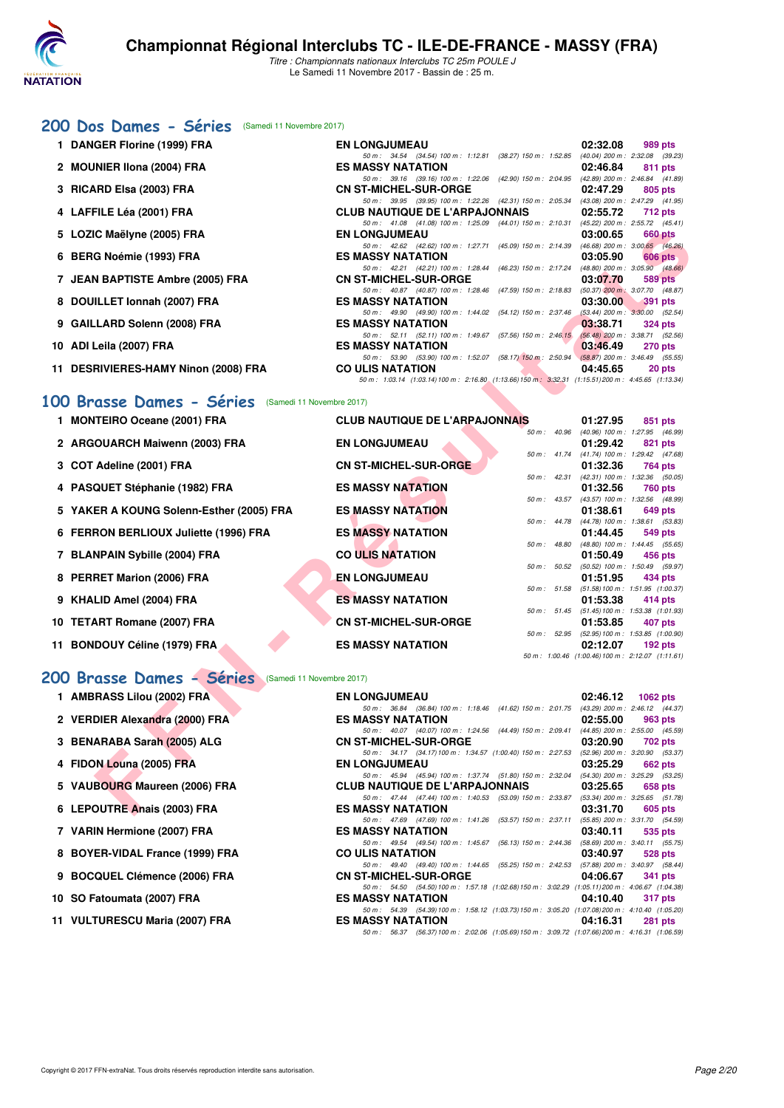

# [200 Dos Dames - Séries](http://www.ffnatation.fr/webffn/resultats.php?idact=nat&go=epr&idcpt=48527&idepr=13) (Samedi 11 Novembre 2017)

| 1 DANGER Florine (1999) FRA          | <b>EN LONGJUMEAU</b>                                                                                          | 02:32.08           | 989 pts          |
|--------------------------------------|---------------------------------------------------------------------------------------------------------------|--------------------|------------------|
|                                      | 50 m: 34.54 (34.54) 100 m: 1:12.81 (38.27) 150 m: 1:52.85 (40.04) 200 m: 2:32.08 (39.23)                      |                    |                  |
| 2 MOUNIER IIona (2004) FRA           | <b>ES MASSY NATATION</b>                                                                                      | 02:46.84 811 pts   |                  |
|                                      | 50 m: 39.16 (39.16) 100 m: 1:22.06 (42.90) 150 m: 2:04.95 (42.89) 200 m: 2:46.84 (41.89)                      |                    |                  |
| 3 RICARD Elsa (2003) FRA             | CN ST-MICHEL-SUR-ORGE NAMEL AND THE STATE OF STATE OF STATE AND THE STATE OF STATE OF STATE OF STATE OF STATE |                    | 02:47.29 805 pts |
|                                      | 50 m: 39.95 (39.95) 100 m: 1:22.26 (42.31) 150 m: 2:05.34 (43.08) 200 m: 2:47.29 (41.95)                      |                    |                  |
| 4 LAFFILE Léa (2001) FRA             | CLUB NAUTIQUE DE L'ARPAJONNAIS 02:55.72 712 pts                                                               |                    |                  |
|                                      | 50 m: 41.08 (41.08) 100 m: 1:25.09 (44.01) 150 m: 2:10.31 (45.22) 200 m: 2:55.72 (45.41)                      |                    |                  |
| 5 LOZIC Maëlyne (2005) FRA           | <b>EN LONGJUMEAU</b>                                                                                          |                    | 03:00.65 660 pts |
|                                      | 50 m: 42.62 (42.62) 100 m: 1:27.71 (45.09) 150 m: 2:14.39 (46.68) 200 m: 3:00.65 (46.26)                      |                    |                  |
| 6 BERG Noémie (1993) FRA             | ES MASSY NATATION                                                                                             | 03:05.90           | 606 pts          |
|                                      | 50 m: 42.21 (42.21) 100 m: 1:28.44 (46.23) 150 m: 2:17.24 (48.80) 200 m: 3:05.90 (48.66)                      |                    |                  |
| 7 JEAN BAPTISTE Ambre (2005) FRA     | <b>CN ST-MICHEL-SUR-ORGE</b>                                                                                  | $03:07.70$ 589 pts |                  |
|                                      | 50 m: 40.87 (40.87) 100 m: 1:28.46 (47.59) 150 m: 2:18.83 (50.37) 200 m: 3:07.70 (48.87)                      |                    |                  |
| 8 DOUILLET Ionnah (2007) FRA         | <b>ES MASSY NATATION</b>                                                                                      | $03:30.00$ 391 pts |                  |
|                                      | 50 m: 49.90 (49.90) 100 m: 1:44.02 (54.12) 150 m: 2:37.46 (53.44) 200 m: 3:30.00 (52.54)                      |                    |                  |
| 9 GAILLARD Solenn (2008) FRA         | <b>ES MASSY NATATION</b>                                                                                      | 03:38.71 324 pts   |                  |
|                                      | 50 m: 52.11 (52.11) 100 m: 1:49.67 (57.56) 150 m: 2:46.15 (56.48) 200 m: 3:38.71 (52.56)                      |                    |                  |
| 10 ADI Leila (2007) FRA              | <b>ES MASSY NATATION</b>                                                                                      | 03:46.49 270 pts   |                  |
|                                      | 50 m: 53.90 (53.90) 100 m: 1:52.07 (58.17) 150 m: 2:50.94 (58.87) 200 m: 3:46.49 (55.55)                      |                    |                  |
| 11 DESRIVIERES-HAMY Ninon (2008) FRA | <b>CO ULIS NATATION</b>                                                                                       | 04:45.65           | 20 pts           |
|                                      | 50 m: 1:03.14 (1:03.14) 100 m: 2:16.80 (1:13.66) 150 m: 3:32.31 (1:15.51) 200 m: 4:45.65 (1:13.34)            |                    |                  |
|                                      |                                                                                                               |                    |                  |

## **[100 Brasse Dames - Séries](http://www.ffnatation.fr/webffn/resultats.php?idact=nat&go=epr&idcpt=48527&idepr=22)** (Samedi 11 Novembre 2017)

| 5 LOZIC Maëlyne (2005) FRA                                   | <b>EN LONGJUMEAU</b>                                                                                               | 03:00.65                                               | <b>660 pts</b>  |
|--------------------------------------------------------------|--------------------------------------------------------------------------------------------------------------------|--------------------------------------------------------|-----------------|
| 6 BERG Noémie (1993) FRA                                     | 50 m: 42.62 (42.62) 100 m: 1:27.71 (45.09) 150 m: 2:14.39<br><b>ES MASSY NATATION</b>                              | $(46.68)$ 200 m : 3:00.65 $(46.26)$<br>03:05.90        | 606 pts         |
|                                                              | 50 m: 42.21 (42.21) 100 m: 1:28.44 (46.23) 150 m: 2:17.24 (48.80) 200 m: 3:05.90 (48.66)                           |                                                        |                 |
| 7 JEAN BAPTISTE Ambre (2005) FRA                             | <b>CN ST-MICHEL-SUR-ORGE</b>                                                                                       | 03:07.70                                               | 589 pts         |
|                                                              | 50 m: 40.87 (40.87) 100 m: 1:28.46 (47.59) 150 m: 2:18.83 (50.37) 200 m: 3:07.70 (48.87)                           |                                                        |                 |
| 8 DOUILLET Ionnah (2007) FRA                                 | <b>ES MASSY NATATION</b>                                                                                           | 03:30.00                                               | <b>391 pts</b>  |
| 9 GAILLARD Solenn (2008) FRA                                 | 50 m: 49.90 (49.90) 100 m: 1:44.02 (54.12) 150 m: 2:37.46<br><b>ES MASSY NATATION</b>                              | $(53.44)$ 200 m : $3:30.00$ $(52.54)$<br>03:38.71      | 324 pts         |
|                                                              | 50 m: 52.11 (52.11) 100 m: 1:49.67 (57.56) 150 m: 2:46.15 (56.48) 200 m: 3:38.71 (52.56)                           |                                                        |                 |
| 10 ADI Leila (2007) FRA                                      | <b>ES MASSY NATATION</b>                                                                                           | 03:46.49                                               | 270 pts         |
|                                                              | 50 m: 53.90 (53.90) 100 m: 1:52.07 (58.17) 150 m: 2:50.94 (58.87) 200 m: 3:46.49 (55.55)                           |                                                        |                 |
| 11 DESRIVIERES-HAMY Ninon (2008) FRA                         | <b>CO ULIS NATATION</b>                                                                                            | 04:45.65                                               | 20 pts          |
|                                                              | 50 m: 1:03.14 (1:03.14) 100 m: 2:16.80 (1:13.66) 150 m: 3:32.31 (1:15.51) 200 m: 4:45.65 (1:13.34)                 |                                                        |                 |
| 00 Brasse Dames - Séries (Samedi 11 Novembre 2017)           |                                                                                                                    |                                                        |                 |
| 1 MONTEIRO Oceane (2001) FRA                                 | <b>CLUB NAUTIQUE DE L'ARPAJONNAIS</b>                                                                              | 01:27.95                                               | 851 pts         |
|                                                              |                                                                                                                    | 50 m : 40.96 (40.96) 100 m : 1:27.95 (46.99)           |                 |
| 2 ARGOUARCH Maiwenn (2003) FRA                               | <b>EN LONGJUMEAU</b>                                                                                               | 01:29.42                                               | 821 pts         |
|                                                              |                                                                                                                    | 50 m: 41.74 (41.74) 100 m: 1:29.42 (47.68)             |                 |
| 3 COT Adeline (2001) FRA                                     | <b>CN ST-MICHEL-SUR-ORGE</b>                                                                                       | 01:32.36                                               | 764 pts         |
|                                                              | 50 m: 42.31<br><b>ES MASSY NATATION</b>                                                                            | (42.31) 100 m: 1:32.36 (50.05)                         |                 |
| 4 PASQUET Stéphanie (1982) FRA                               |                                                                                                                    | 01:32.56<br>50 m: 43.57 (43.57) 100 m: 1:32.56 (48.99) | 760 pts         |
| 5 YAKER A KOUNG Solenn-Esther (2005) FRA                     | <b>ES MASSY NATATION</b>                                                                                           | 01:38.61                                               | 649 pts         |
|                                                              |                                                                                                                    | 50 m: 44.78 (44.78) 100 m: 1:38.61 (53.83)             |                 |
| 6 FERRON BERLIOUX Juliette (1996) FRA                        | <b>ES MASSY NATATION</b>                                                                                           | 01:44.45                                               | 549 pts         |
|                                                              | 50 m : 48.80                                                                                                       | (48.80) 100 m: 1:44.45 (55.65)                         |                 |
| 7 BLANPAIN Sybille (2004) FRA                                | <b>CO ULIS NATATION</b>                                                                                            | 01:50.49                                               | 456 pts         |
| 8 PERRET Marion (2006) FRA                                   | <b>EN LONGJUMEAU</b>                                                                                               | 50 m: 50.52 (50.52) 100 m: 1:50.49 (59.97)<br>01:51.95 | 434 pts         |
|                                                              |                                                                                                                    | 50 m: 51.58 (51.58) 100 m: 1:51.95 (1:00.37)           |                 |
| 9 KHALID Amel (2004) FRA                                     | <b>ES MASSY NATATION</b>                                                                                           | 01:53.38                                               | 414 pts         |
|                                                              |                                                                                                                    | 50 m: 51.45 (51.45) 100 m: 1:53.38 (1:01.93)           |                 |
| 10 TETART Romane (2007) FRA                                  | <b>CN ST-MICHEL-SUR-ORGE</b>                                                                                       | 01:53.85                                               | 407 pts         |
|                                                              |                                                                                                                    | 50 m: 52.95 (52.95) 100 m: 1:53.85 (1:00.90)           |                 |
| 11 BONDOUY Céline (1979) FRA                                 | <b>ES MASSY NATATION</b>                                                                                           | 02:12.07                                               | $192$ pts       |
|                                                              |                                                                                                                    | 50 m: 1:00.46 (1:00.46) 100 m: 2:12.07 (1:11.61)       |                 |
| <b>00 Brasse Dames - Séries</b><br>(Samedi 11 Novembre 2017) |                                                                                                                    |                                                        |                 |
| 1 AMBRASS Lilou (2002) FRA                                   | <b>EN LONGJUMEAU</b>                                                                                               | 02:46.12                                               | <b>1062 pts</b> |
|                                                              | 50 m: 36.84 (36.84) 100 m: 1:18.46 (41.62) 150 m: 2:01.75 (43.29) 200 m: 2:46.12 (44.37)                           |                                                        |                 |
| 2 VERDIER Alexandra (2000) FRA                               | <b>ES MASSY NATATION</b>                                                                                           | 02:55.00                                               | 963 pts         |
|                                                              | 50 m: 40.07 (40.07) 100 m: 1:24.56 (44.49) 150 m: 2:09.41 (44.85) 200 m: 2:55.00 (45.59)                           |                                                        |                 |
| 3 BENARABA Sarah (2005) ALG                                  | <b>CN ST-MICHEL-SUR-ORGE</b>                                                                                       | 03:20.90                                               | 702 pts         |
| 4 FIDON Louna (2005) FRA                                     | 50 m: 34.17 (34.17) 100 m: 1:34.57 (1:00.40) 150 m: 2:27.53 (52.96) 200 m: 3:20.90 (53.37)<br><b>EN LONGJUMEAU</b> | 03:25.29                                               | 662 pts         |
|                                                              | 50 m: 45.94 (45.94) 100 m: 1:37.74 (51.80) 150 m: 2:32.04 (54.30) 200 m: 3:25.29 (53.25)                           |                                                        |                 |
| 5 VAUBOURG Maureen (2006) FRA                                | <b>CLUB NAUTIQUE DE L'ARPAJONNAIS</b>                                                                              | 03:25.65                                               | 658 pts         |
|                                                              | 50 m: 47.44 (47.44) 100 m: 1:40.53 (53.09) 150 m: 2:33.87 (53.34) 200 m: 3:25.65 (51.78)                           |                                                        |                 |
| 6 LEPOUTRE Anais (2003) FRA                                  | <b>ES MASSY NATATION</b>                                                                                           | 03:31.70                                               | 605 pts         |

### **[200 Brasse Dames - Séries](http://www.ffnatation.fr/webffn/resultats.php?idact=nat&go=epr&idcpt=48527&idepr=23)** (Samedi 11 Novembre 2017)

| 1 AMBRASS Lilou (2002) FRA      | <b>EN LONGJUMEAU</b>                            |  |  | $02:46.12$ 1062 pts                                                                            |                |
|---------------------------------|-------------------------------------------------|--|--|------------------------------------------------------------------------------------------------|----------------|
|                                 |                                                 |  |  | 50 m: 36.84 (36.84) 100 m: 1:18.46 (41.62) 150 m: 2:01.75 (43.29) 200 m: 2:46.12 (44.37)       |                |
| 2 VERDIER Alexandra (2000) FRA  | ES MASSY NATATION                               |  |  | $02:55.00$ 963 pts                                                                             |                |
|                                 |                                                 |  |  | 50 m: 40.07 (40.07) 100 m: 1:24.56 (44.49) 150 m: 2:09.41 (44.85) 200 m: 2:55.00 (45.59)       |                |
| 3 BENARABA Sarah (2005) ALG     | CN ST-MICHEL-SUR-ORGE 03:20.90 702 pts          |  |  |                                                                                                |                |
|                                 |                                                 |  |  | 50 m: 34.17 (34.17) 100 m: 1:34.57 (1:00.40) 150 m: 2:27.53 (52.96) 200 m: 3:20.90 (53.37)     |                |
| 4 FIDON Louna (2005) FRA        | <b>EN LONGJUMEAU</b>                            |  |  | $03:25.29$ 662 pts                                                                             |                |
|                                 |                                                 |  |  | 50 m: 45.94 (45.94) 100 m: 1:37.74 (51.80) 150 m: 2:32.04 (54.30) 200 m: 3:25.29 (53.25)       |                |
| 5 VAUBOURG Maureen (2006) FRA   | CLUB NAUTIQUE DE L'ARPAJONNAIS 03:25.65 658 pts |  |  |                                                                                                |                |
|                                 |                                                 |  |  | 50 m: 47.44 (47.44) 100 m: 1:40.53 (53.09) 150 m: 2:33.87 (53.34) 200 m: 3:25.65 (51.78)       |                |
| 6 LEPOUTRE Anais (2003) FRA     | <b>ES MASSY NATATION</b>                        |  |  | $03:31.70$ 605 pts                                                                             |                |
|                                 |                                                 |  |  | 50 m: 47.69 (47.69) 100 m: 1:41.26 (53.57) 150 m: 2:37.11 (55.85) 200 m: 3:31.70 (54.59)       |                |
| 7 VARIN Hermione (2007) FRA     | <b>ES MASSY NATATION</b>                        |  |  | $03:40.11$ 535 pts                                                                             |                |
|                                 |                                                 |  |  | 50 m: 49.54 (49.54) 100 m: 1:45.67 (56.13) 150 m: 2:44.36 (58.69) 200 m: 3:40.11 (55.75)       |                |
| 8 BOYER-VIDAL France (1999) FRA | CO ULIS NATATION                                |  |  | 03:40.97 528 pts                                                                               |                |
|                                 |                                                 |  |  | 50 m: 49.40 (49.40) 100 m: 1:44.65 (55.25) 150 m: 2:42.53 (57.88) 200 m: 3:40.97 (58.44)       |                |
| 9 BOCQUEL Clémence (2006) FRA   |                                                 |  |  |                                                                                                | 341 pts        |
|                                 |                                                 |  |  | 50 m: 54.50 (54.50) 100 m: 1:57.18 (1:02.68) 150 m: 3:02.29 (1:05.11) 200 m: 4:06.67 (1:04.38) |                |
| 10 SO Fatoumata (2007) FRA      | <b>ES MASSY NATATION</b>                        |  |  | 04:10.40                                                                                       | <b>317 pts</b> |
|                                 |                                                 |  |  | 50 m: 54.39 (54.39) 100 m: 1:58.12 (1:03.73) 150 m: 3:05.20 (1:07.08) 200 m: 4:10.40 (1:05.20) |                |
| 11 VULTURESCU Maria (2007) FRA  | ES MASSY NATATION ESTIMATES                     |  |  | 04:16.31                                                                                       | 281 pts        |
|                                 |                                                 |  |  | 50 m: 56.37 (56.37) 100 m: 2:02.06 (1:05.69) 150 m: 3:09.72 (1:07.66) 200 m: 4:16.31 (1:06.59) |                |

10 SO Fatoumata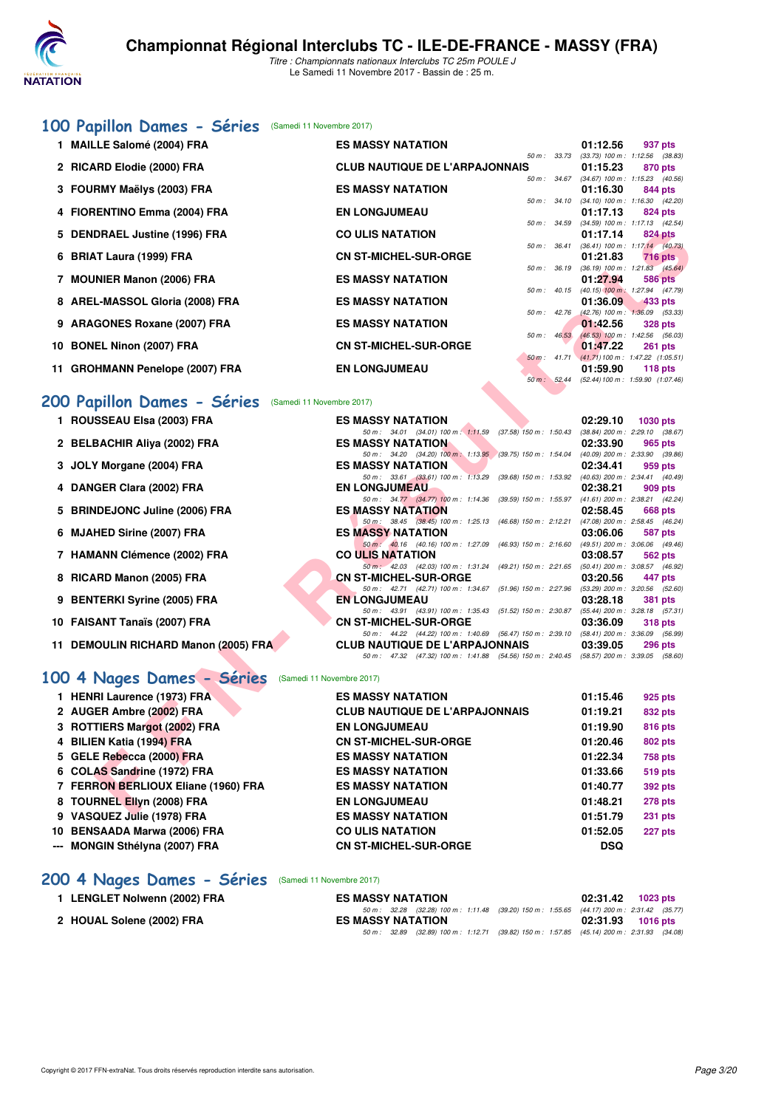

# **[100 Papillon Dames - Séries](http://www.ffnatation.fr/webffn/resultats.php?idact=nat&go=epr&idcpt=48527&idepr=32)** (Samedi 11 Novembre 2017)

| 1 MAILLE Salomé (2004) FRA      | <b>ES MASSY NATATION</b>              |                  | 01:12.56                                       | 937 pts        |
|---------------------------------|---------------------------------------|------------------|------------------------------------------------|----------------|
|                                 |                                       | $50 m$ : $33.73$ | $(33.73)$ 100 m : 1:12.56 $(38.83)$            |                |
| 2 RICARD Elodie (2000) FRA      | <b>CLUB NAUTIQUE DE L'ARPAJONNAIS</b> |                  | 01:15.23                                       | 870 pts        |
|                                 |                                       |                  | 50 m: 34.67 (34.67) 100 m: 1:15.23 (40.56)     |                |
| 3 FOURMY Maëlys (2003) FRA      | <b>ES MASSY NATATION</b>              |                  | 01:16.30                                       | 844 pts        |
|                                 |                                       |                  | 50 m: 34.10 (34.10) 100 m: 1:16.30 (42.20)     |                |
| 4 FIORENTINO Emma (2004) FRA    | <b>EN LONGJUMEAU</b>                  |                  | 01:17.13                                       | 824 pts        |
|                                 |                                       |                  | 50 m: 34.59 (34.59) 100 m: 1:17.13 (42.54)     |                |
| 5 DENDRAEL Justine (1996) FRA   | <b>CO ULIS NATATION</b>               |                  | 01:17.14                                       | 824 pts        |
|                                 |                                       |                  | 50 m: 36.41 (36.41) 100 m: 1:17.14 (40.73)     |                |
| 6 BRIAT Laura (1999) FRA        | <b>CN ST-MICHEL-SUR-ORGE</b>          |                  | 01:21.83                                       | <b>716 pts</b> |
|                                 |                                       |                  | 50 m: 36.19 (36.19) 100 m: 1:21.83 (45.64)     |                |
| 7 MOUNIER Manon (2006) FRA      | <b>ES MASSY NATATION</b>              |                  | 01:27.94                                       | 586 pts        |
|                                 |                                       | $50 m$ : $40.15$ | $(40.15)$ 100 m : 1:27.94 $(47.79)$            |                |
| 8 AREL-MASSOL Gloria (2008) FRA | <b>ES MASSY NATATION</b>              |                  | 01:36.09                                       | 433 pts        |
|                                 |                                       | 50 m: 42.76      | $(42.76)$ 100 m : 1:36.09 (53.33)              |                |
| 9 ARAGONES Roxane (2007) FRA    | <b>ES MASSY NATATION</b>              |                  | 01:42.56                                       | <b>328 pts</b> |
|                                 |                                       | 50 m: 46.53      | $(46.53)$ 100 m : 1:42.56 (56.03)              |                |
| 10 BONEL Ninon (2007) FRA       | <b>CN ST-MICHEL-SUR-ORGE</b>          |                  | 01:47.22                                       | <b>261 pts</b> |
|                                 |                                       |                  | 50 m: 41.71 (41.71) 100 m: 1:47.22 (1:05.51)   |                |
| 11 GROHMANN Penelope (2007) FRA | <b>EN LONGJUMEAU</b>                  |                  | 01:59.90                                       | 118 $pts$      |
|                                 |                                       |                  | 50 m : 52.44 (52.44) 100 m : 1:59.90 (1:07.46) |                |

# **[200 Papillon Dames - Séries](http://www.ffnatation.fr/webffn/resultats.php?idact=nat&go=epr&idcpt=48527&idepr=33)** (Samedi 11 Novembre 2017)

| 5 DENDRAEL Justine (1996) FRA                           | <b>CO ULIS NATATION</b>                                                                                                    | 01:17.14 | <b>824 pts</b>                                          |
|---------------------------------------------------------|----------------------------------------------------------------------------------------------------------------------------|----------|---------------------------------------------------------|
| 6 BRIAT Laura (1999) FRA                                | <b>CN ST-MICHEL-SUR-ORGE</b>                                                                                               | 01:21.83 | 50 m: 36.41 (36.41) 100 m: 1:17.14 (40.73)<br>$716$ pts |
|                                                         |                                                                                                                            |          | 50 m : 36.19 (36.19) 100 m : 1:21.83 (45.64)            |
| 7 MOUNIER Manon (2006) FRA                              | <b>ES MASSY NATATION</b>                                                                                                   | 01:27.94 | 586 pts                                                 |
| 8 AREL-MASSOL Gloria (2008) FRA                         | <b>ES MASSY NATATION</b>                                                                                                   | 01:36.09 | 50 m : 40.15 (40.15) 100 m : 1:27.94 (47.79)<br>433 pts |
|                                                         | 50 m: 42.76                                                                                                                |          | $(42.76)$ 100 m : 1:36.09 (53.33)                       |
| 9 ARAGONES Roxane (2007) FRA                            | <b>ES MASSY NATATION</b>                                                                                                   | 01:42.56 | <b>328 pts</b>                                          |
| 10 BONEL Ninon (2007) FRA                               | $50 m$ : $46.53$<br><b>CN ST-MICHEL-SUR-ORGE</b>                                                                           | 01:47.22 | $(46.53)$ 100 m : 1:42.56 (56.03)<br><b>261 pts</b>     |
|                                                         |                                                                                                                            |          | 50 m: 41.71 (41.71) 100 m: 1:47.22 (1:05.51)            |
| 11 GROHMANN Penelope (2007) FRA                         | <b>EN LONGJUMEAU</b>                                                                                                       | 01:59.90 | 118 pts                                                 |
|                                                         | 50 m : 52.44                                                                                                               |          | (52.44) 100 m: 1:59.90 (1:07.46)                        |
| 00 Papillon Dames - Séries<br>(Samedi 11 Novembre 2017) |                                                                                                                            |          |                                                         |
| 1 ROUSSEAU Elsa (2003) FRA                              | <b>ES MASSY NATATION</b>                                                                                                   | 02:29.10 | <b>1030 pts</b>                                         |
|                                                         | 50 m: 34.01 (34.01) 100 m: 1:11.59 (37.58) 150 m: 1:50.43 (38.84) 200 m: 2:29.10 (38.67)                                   |          |                                                         |
| 2 BELBACHIR Aliya (2002) FRA                            | <b>ES MASSY NATATION</b>                                                                                                   | 02:33.90 | 965 pts                                                 |
| 3 JOLY Morgane (2004) FRA                               | 50 m : 34.20 (34.20) 100 m : 1:13.95 (39.75) 150 m : 1:54.04<br><b>ES MASSY NATATION</b>                                   | 02:34.41 | $(40.09)$ 200 m : 2:33.90 $(39.86)$<br>959 pts          |
|                                                         | 50 m: 33.61 (33.61) 100 m: 1:13.29 (39.68) 150 m: 1:53.92 (40.63) 200 m: 2:34.41 (40.49)                                   |          |                                                         |
| 4 DANGER Clara (2002) FRA                               | <b>EN LONGJUMEAU</b>                                                                                                       | 02:38.21 | 909 pts                                                 |
| 5 BRINDEJONC Juline (2006) FRA                          | 50 m: 34.77 (34.77) 100 m: 1:14.36<br>(39.59) 150 m : 1:55.97<br><b>ES MASSY NATATION</b>                                  | 02:58.45 | $(41.61)$ 200 m : 2:38.21 $(42.24)$<br>668 pts          |
|                                                         | 50 m: 38.45 (38.45) 100 m: 1:25.13<br>(46.68) 150 m : 2:12.21                                                              |          | (47.08) 200 m : 2:58.45 (46.24)                         |
| 6 MJAHED Sirine (2007) FRA                              | <b>ES MASSY NATATION</b>                                                                                                   | 03:06.06 | 587 pts                                                 |
| 7 HAMANN Clémence (2002) FRA                            | 50 m : 40.16 (40.16) 100 m : 1:27.09<br>(46.93) 150 m : 2:16.60 (49.51) 200 m : 3:06.06 (49.46)                            |          |                                                         |
|                                                         | <b>CO ULIS NATATION</b><br>50 m : 42.03 (42.03) 100 m : 1:31.24<br>(49.21) 150 m : 2:21.65 (50.41) 200 m : 3:08.57 (46.92) | 03:08.57 | 562 pts                                                 |
| 8 RICARD Manon (2005) FRA                               | <b>CN ST-MICHEL-SUR-ORGE</b>                                                                                               | 03:20.56 | 447 pts                                                 |
|                                                         | 50 m: 42.71 (42.71) 100 m: 1:34.67 (51.96) 150 m: 2:27.96 (53.29) 200 m: 3:20.56 (52.60)                                   |          |                                                         |
| 9 BENTERKI Syrine (2005) FRA                            | <b>EN LONGJUMEAU</b><br>50 m: 43.91 (43.91) 100 m: 1:35.43 (51.52) 150 m: 2:30.87                                          | 03:28.18 | 381 pts<br>(55.44) 200 m : 3:28.18 (57.31)              |
| 10 FAISANT Tanaïs (2007) FRA                            | <b>CN ST-MICHEL-SUR-ORGE</b>                                                                                               | 03:36.09 | 318 pts                                                 |
|                                                         | 50 m: 44.22 (44.22) 100 m: 1:40.69 (56.47) 150 m: 2:39.10 (58.41) 200 m: 3:36.09 (56.99)                                   |          |                                                         |
| 11 DEMOULIN RICHARD Manon (2005) FRA                    | <b>CLUB NAUTIQUE DE L'ARPAJONNAIS</b>                                                                                      | 03:39.05 | 296 pts                                                 |
| 00 4 Nages Dames - Séries<br>(Samedi 11 Novembre 2017)  | 50 m: 47.32 (47.32) 100 m: 1:41.88 (54.56) 150 m: 2:40.45 (58.57) 200 m: 3:39.05 (58.60)                                   |          |                                                         |
|                                                         |                                                                                                                            |          |                                                         |
| 1 HENRI Laurence (1973) FRA                             | <b>ES MASSY NATATION</b>                                                                                                   | 01:15.46 | 925 pts                                                 |
| 2 AUGER Ambre (2002) FRA                                | <b>CLUB NAUTIQUE DE L'ARPAJONNAIS</b>                                                                                      | 01:19.21 | 832 pts                                                 |
| 3 ROTTIERS Margot (2002) FRA                            | <b>EN LONGJUMEAU</b>                                                                                                       | 01:19.90 | 816 pts                                                 |
| 4 BILIEN Katia (1994) FRA                               | <b>CN ST-MICHEL-SUR-ORGE</b>                                                                                               | 01:20.46 | 802 pts                                                 |
| 5 GELE Rebecca (2000) FRA                               | <b>ES MASSY NATATION</b>                                                                                                   | 01:22.34 | 758 pts                                                 |
| 6 COLAS Sandrine (1972) FRA                             | <b>ES MASSY NATATION</b>                                                                                                   | 01:33.66 | 519 pts                                                 |
| 7 FERRON BERLIOUX Eliane (1960) FRA                     | <b>ES MASSY NATATION</b>                                                                                                   | 01:40.77 | 392 pts                                                 |
| 8 TOURNEL Ellyn (2008) FRA                              | <b>EN LONGJUMEAU</b>                                                                                                       | 01:48.21 | 278 pts                                                 |
| 0.318001157 hHz (4070) EDA                              | <b><i>COMACOV MATATION</i></b>                                                                                             | 04.54.70 | $0.04 - 4.4$                                            |

| 1 HENRI Laurence (1973) FRA         | <b>ES MASSY NATATION</b>              | 01:15.46   | 925 pts        |
|-------------------------------------|---------------------------------------|------------|----------------|
| 2 AUGER Ambre (2002) FRA            | <b>CLUB NAUTIQUE DE L'ARPAJONNAIS</b> | 01:19.21   | 832 pts        |
| 3 ROTTIERS Margot (2002) FRA        | <b>EN LONGJUMEAU</b>                  | 01:19.90   | 816 pts        |
| 4 BILIEN Katia (1994) FRA           | <b>CN ST-MICHEL-SUR-ORGE</b>          | 01:20.46   | <b>802 pts</b> |
| 5 GELE Rebecca (2000) FRA           | <b>ES MASSY NATATION</b>              | 01:22.34   | <b>758 pts</b> |
| 6 COLAS Sandrine (1972) FRA         | <b>ES MASSY NATATION</b>              | 01:33.66   | 519 pts        |
| 7 FERRON BERLIOUX Eliane (1960) FRA | <b>ES MASSY NATATION</b>              | 01:40.77   | <b>392 pts</b> |
| 8 TOURNEL Ellyn (2008) FRA          | <b>EN LONGJUMEAU</b>                  | 01:48.21   | <b>278 pts</b> |
| 9 VASQUEZ Julie (1978) FRA          | <b>ES MASSY NATATION</b>              | 01:51.79   | <b>231 pts</b> |
| 10 BENSAADA Marwa (2006) FRA        | <b>CO ULIS NATATION</b>               | 01:52.05   | <b>227 pts</b> |
| --- MONGIN Sthélyna (2007) FRA      | <b>CN ST-MICHEL-SUR-ORGE</b>          | <b>DSQ</b> |                |
|                                     |                                       |            |                |

# [200 4 Nages Dames - Séries](http://www.ffnatation.fr/webffn/resultats.php?idact=nat&go=epr&idcpt=48527&idepr=41) (Samedi 11 Novembre 2017)

| 1 LENGLET Nolwenn (2002) FRA | <b>ES MASSY NATATION</b>                                                                    | 02:31.42 1023 pts |  |
|------------------------------|---------------------------------------------------------------------------------------------|-------------------|--|
|                              | 50 m : 32.28 (32.28) 100 m : 1:11.48 (39.20) 150 m : 1:55.65 (44.17) 200 m : 2:31.42 (35.77 |                   |  |
| 2 HOUAL Solene (2002) FRA    | <b>ES MASSY NATATION</b>                                                                    | 02:31.93 1016 pts |  |
|                              | 50 m : 32.89 (32.89) 100 m : 1:12.71 (39.82) 150 m : 1:57.85 (45.14) 200 m : 2:31.93 (34.08 |                   |  |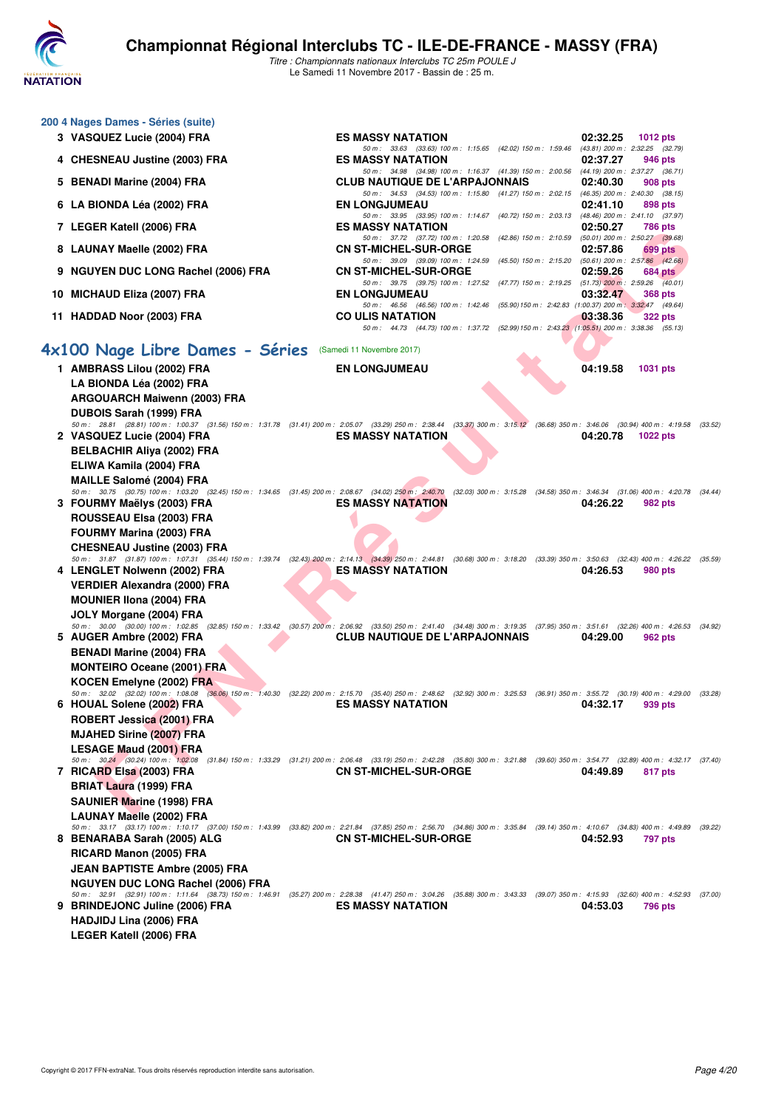

|   | 200 4 Nages Dames - Séries (suite)                                                                                                                                                                                              |                                                                                                                                                                                                                     |                                                        |
|---|---------------------------------------------------------------------------------------------------------------------------------------------------------------------------------------------------------------------------------|---------------------------------------------------------------------------------------------------------------------------------------------------------------------------------------------------------------------|--------------------------------------------------------|
|   | 3 VASQUEZ Lucie (2004) FRA                                                                                                                                                                                                      | <b>ES MASSY NATATION</b>                                                                                                                                                                                            | 02:32.25<br><b>1012 pts</b>                            |
|   | 4 CHESNEAU Justine (2003) FRA                                                                                                                                                                                                   | 50 m : 33.63 (33.63) 100 m : 1:15.65 (42.02) 150 m : 1:59.46<br><b>ES MASSY NATATION</b>                                                                                                                            | (43.81) 200 m : 2:32.25 (32.79)<br>02:37.27<br>946 pts |
|   | 5 BENADI Marine (2004) FRA                                                                                                                                                                                                      | 50 m: 34.98 (34.98) 100 m: 1:16.37 (41.39) 150 m: 2:00.56 (44.19) 200 m: 2:37.27 (36.71)<br><b>CLUB NAUTIQUE DE L'ARPAJONNAIS</b>                                                                                   | 02:40.30<br>908 pts                                    |
|   | 6 LA BIONDA Léa (2002) FRA                                                                                                                                                                                                      | 50 m: 34.53 (34.53) 100 m: 1:15.80 (41.27) 150 m: 2:02.15 (46.35) 200 m: 2:40.30 (38.15)<br><b>EN LONGJUMEAU</b>                                                                                                    | 02:41.10<br>898 pts                                    |
|   | 7 LEGER Katell (2006) FRA                                                                                                                                                                                                       | 50 m: 33.95 (33.95) 100 m: 1:14.67 (40.72) 150 m: 2:03.13 (48.46) 200 m: 2:41.10 (37.97)<br><b>ES MASSY NATATION</b>                                                                                                | 02:50.27<br>786 pts                                    |
|   | 8 LAUNAY Maelle (2002) FRA                                                                                                                                                                                                      | 50 m: 37.72 (37.72) 100 m: 1:20.58 (42.86) 150 m: 2:10.59 (50.01) 200 m: 2:50.27 (39.68)<br><b>CN ST-MICHEL-SUR-ORGE</b>                                                                                            | 02:57.86<br>699 pts                                    |
| 9 | <b>NGUYEN DUC LONG Rachel (2006) FRA</b>                                                                                                                                                                                        | 50 m: 39.09 (39.09) 100 m: 1:24.59 (45.50) 150 m: 2:15.20 (50.61) 200 m: 2:57.86 (42.66)<br><b>CN ST-MICHEL-SUR-ORGE</b>                                                                                            | 02:59.26<br>$684$ pts                                  |
|   | 10 MICHAUD Eliza (2007) FRA                                                                                                                                                                                                     | 50 m: 39.75 (39.75) 100 m: 1:27.52 (47.77) 150 m: 2:19.25 (51.73) 200 m: 2:59.26 (40.01)<br><b>EN LONGJUMEAU</b>                                                                                                    | 03:32.47<br>368 pts                                    |
|   | 11 HADDAD Noor (2003) FRA                                                                                                                                                                                                       | 50 m: 46.56 (46.56) 100 m: 1:42.46 (55.90) 150 m: 2:42.83 (1:00.37) 200 m: 3:32.47 (49.64)<br><b>CO ULIS NATATION</b><br>50 m: 44.73 (44.73) 100 m: 1:37.72 (52.99) 150 m: 2:43.23 (1:05.51) 200 m: 3:38.36 (55.13) | 03:38.36<br><b>322 pts</b>                             |
|   | 4x100 Nage Libre Dames - Séries                                                                                                                                                                                                 | (Samedi 11 Novembre 2017)                                                                                                                                                                                           |                                                        |
|   | 1 AMBRASS Lilou (2002) FRA                                                                                                                                                                                                      | <b>EN LONGJUMEAU</b>                                                                                                                                                                                                | 04:19.58<br><b>1031 pts</b>                            |
|   | LA BIONDA Léa (2002) FRA<br><b>ARGOUARCH Maiwenn (2003) FRA</b>                                                                                                                                                                 |                                                                                                                                                                                                                     |                                                        |
|   | <b>DUBOIS Sarah (1999) FRA</b>                                                                                                                                                                                                  |                                                                                                                                                                                                                     |                                                        |
|   | 50 m: 28.81 (28.81) 100 m: 1:00.37 (31.56) 150 m: 1:31.78 (31.41) 200 m: 2:05.07 (33.29) 250 m: 2:38.44 (33.37) 300 m: 3:15.12 (36.68) 350 m: 3:46.06 (30.94) 400 m: 4:19.58 (33.52)<br>2 VASQUEZ Lucie (2004) FRA              | <b>ES MASSY NATATION</b>                                                                                                                                                                                            | 04:20.78                                               |
|   | <b>BELBACHIR Aliya (2002) FRA</b>                                                                                                                                                                                               |                                                                                                                                                                                                                     | <b>1022 pts</b>                                        |
|   | ELIWA Kamila (2004) FRA                                                                                                                                                                                                         |                                                                                                                                                                                                                     |                                                        |
|   | <b>MAILLE Salomé (2004) FRA</b>                                                                                                                                                                                                 |                                                                                                                                                                                                                     |                                                        |
|   | 50 m: 30.75 (30.75) 100 m: 1:03.20 (32.45) 150 m: 1:34.65 (31.45) 200 m: 2:08.67 (34.02) 250 m: 2:40.70 (32.03) 300 m: 3:15.28 (34.58) 350 m: 3:46.34 (31.06) 400 m: 4:20.78 (34.44,<br>3 FOURMY Maëlys (2003) FRA              | <b>ES MASSY NATATION</b>                                                                                                                                                                                            | 04:26.22<br>982 pts                                    |
|   | ROUSSEAU Elsa (2003) FRA                                                                                                                                                                                                        |                                                                                                                                                                                                                     |                                                        |
|   | <b>FOURMY Marina (2003) FRA</b>                                                                                                                                                                                                 |                                                                                                                                                                                                                     |                                                        |
|   | <b>CHESNEAU Justine (2003) FRA</b>                                                                                                                                                                                              |                                                                                                                                                                                                                     |                                                        |
|   | 50 m: 31.87 (31.87) 100 m: 1:07.31 (35.44) 150 m: 1:39.74 (32.43) 200 m: 2:14.13 (34.39) 250 m: 2:44.81 (30.68) 300 m: 3:18.20 (33.39) 350 m: 3:50.63 (32.43) 400 m: 4:26.22 (35.59)<br>4 LENGLET Nolwenn (2002) FRA            | <b>ES MASSY NATATION</b>                                                                                                                                                                                            | 04:26.53<br>980 pts                                    |
|   | VERDIER Alexandra (2000) FRA                                                                                                                                                                                                    |                                                                                                                                                                                                                     |                                                        |
|   | <b>MOUNIER IIona (2004) FRA</b>                                                                                                                                                                                                 |                                                                                                                                                                                                                     |                                                        |
|   | JOLY Morgane (2004) FRA<br>50 m : 30.00 (30.00) 100 m : 1:02.85 (32.85) 150 m : 1:33.42 (30.57) 200 m : 2:06.92 (33.50) 250 m : 2:41.40 (34.48) 300 m : 3:19.35 (37.95) 350 m : 3:51.61 (32.26) 400 m : 4:26.53 (34.92)         |                                                                                                                                                                                                                     |                                                        |
|   | 5 AUGER Ambre (2002) FRA                                                                                                                                                                                                        | <b>CLUB NAUTIQUE DE L'ARPAJONNAIS</b>                                                                                                                                                                               | 04:29.00<br>962 pts                                    |
|   | <b>BENADI Marine (2004) FRA</b>                                                                                                                                                                                                 |                                                                                                                                                                                                                     |                                                        |
|   | <b>MONTEIRO Oceane (2001) FRA</b>                                                                                                                                                                                               |                                                                                                                                                                                                                     |                                                        |
|   | <b>KOCEN Emelyne (2002) FRA</b><br>50 m : 32.02 (32.02) 100 m : 1:08.08 (36.06) 150 m : 1:40.30 (32.22) 200 m : 2:15.70 (35.40) 250 m : 2:48.62 (32.92) 300 m : 3:25.53 (36.91) 350 m : 3:55.72 (30.19) 400 m : 4:29.00 (33.28, |                                                                                                                                                                                                                     |                                                        |
|   | 6 HOUAL Solene (2002) FRA                                                                                                                                                                                                       | <b>ES MASSY NATATION</b>                                                                                                                                                                                            | 04:32.17<br>939 pts                                    |
|   | ROBERT Jessica (2001) FRA<br><b>MJAHED Sirine (2007) FRA</b>                                                                                                                                                                    |                                                                                                                                                                                                                     |                                                        |
|   | <b>LESAGE Maud (2001) FRA</b>                                                                                                                                                                                                   |                                                                                                                                                                                                                     |                                                        |
|   | 50 m: 30.24 (30.24) 100 m: 1:02.08 (31.84) 150 m: 1:33.29 (31.21) 200 m: 2:06.48 (33.19) 250 m: 2:42.28 (35.80) 300 m: 3:21.88 (39.60) 350 m: 3:54.77 (32.89) 400 m: 4:32.17 (37.40                                             |                                                                                                                                                                                                                     |                                                        |
|   | 7 RICARD Elsa (2003) FRA<br><b>BRIAT Laura (1999) FRA</b>                                                                                                                                                                       | <b>CN ST-MICHEL-SUR-ORGE</b>                                                                                                                                                                                        | 04:49.89<br>817 pts                                    |
|   | <b>SAUNIER Marine (1998) FRA</b>                                                                                                                                                                                                |                                                                                                                                                                                                                     |                                                        |
|   | <b>LAUNAY Maelle (2002) FRA</b>                                                                                                                                                                                                 |                                                                                                                                                                                                                     |                                                        |
|   | 50 m: 33.17 (33.17) 100 m: 1:10.17 (37.00) 150 m: 1:43.99 (33.82) 200 m: 2:21.84 (37.85) 250 m: 2:56.70 (34.86) 300 m: 3:35.84 (39.14) 350 m: 4:10.67 (34.83) 400 m: 4:49.89<br>8 BENARABA Sarah (2005) ALG                     | <b>CN ST-MICHEL-SUR-ORGE</b>                                                                                                                                                                                        | (39.22)<br>04:52.93<br>797 pts                         |
|   | RICARD Manon (2005) FRA                                                                                                                                                                                                         |                                                                                                                                                                                                                     |                                                        |
|   | <b>JEAN BAPTISTE Ambre (2005) FRA</b>                                                                                                                                                                                           |                                                                                                                                                                                                                     |                                                        |
|   | <b>NGUYEN DUC LONG Rachel (2006) FRA</b>                                                                                                                                                                                        |                                                                                                                                                                                                                     |                                                        |
|   | 50 m : 32.91 (32.91) 100 m : 1:11.64 (38.73) 150 m : 1:46.91 (35.27) 200 m : 2:28.38 (41.47) 250 m : 3:04.26 (35.88) 300 m : 3:43.33 (39.07) 350 m : 4:15.93 (32.60) 400 m : 4:52.93 (37.00)<br>9 BRINDEJONC Juline (2006) FRA  | <b>ES MASSY NATATION</b>                                                                                                                                                                                            | 04:53.03<br>796 pts                                    |
|   | HADJIDJ Lina (2006) FRA                                                                                                                                                                                                         |                                                                                                                                                                                                                     |                                                        |
|   | LEGER Katell (2006) FRA                                                                                                                                                                                                         |                                                                                                                                                                                                                     |                                                        |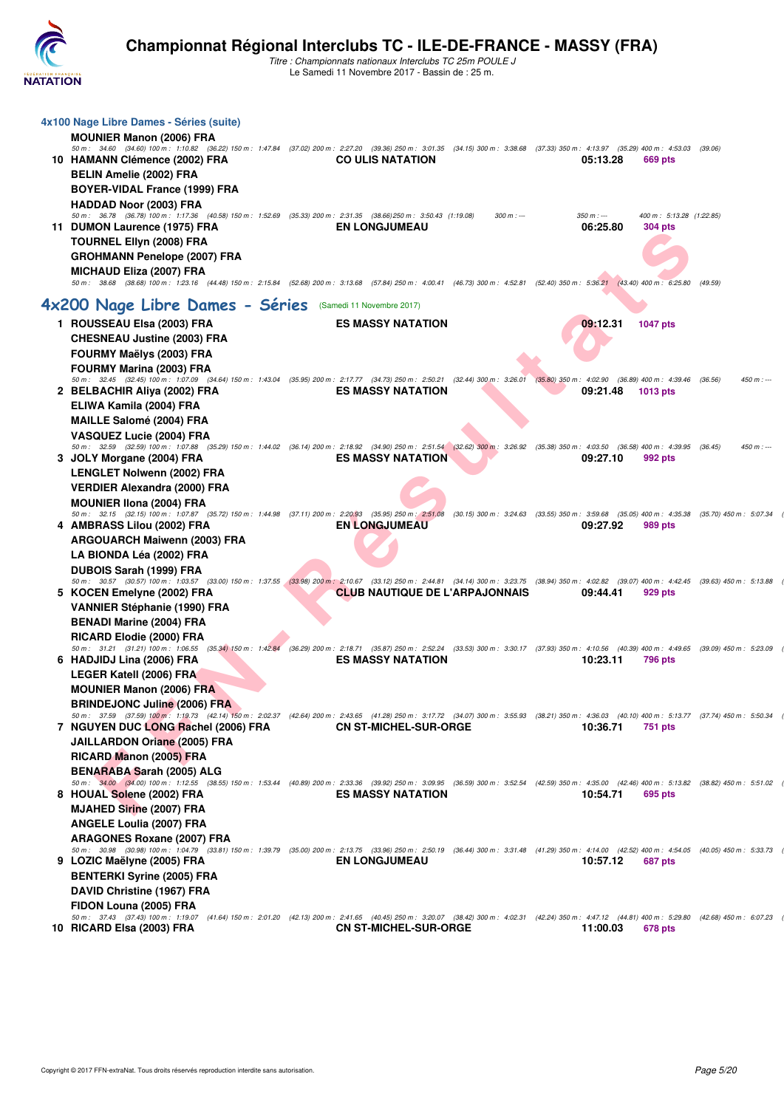

| 4x100 Nage Libre Dames - Séries (suite)<br><b>MOUNIER Manon (2006) FRA</b>                                                                                                                                                                 |                                       |               |                        |                                            |         |               |
|--------------------------------------------------------------------------------------------------------------------------------------------------------------------------------------------------------------------------------------------|---------------------------------------|---------------|------------------------|--------------------------------------------|---------|---------------|
| 50 m: 34.60 (34.60) 100 m: 1:10.82 (36.22) 150 m: 1:47.84 (37.02) 200 m: 2:27.20 (39.36) 250 m: 3:01.35 (34.15) 300 m: 3:38.68 (37.33) 350 m: 4:13.97 (35.29) 400 m: 4:53.03                                                               |                                       |               |                        |                                            | (39.06) |               |
| 10 HAMANN Clémence (2002) FRA                                                                                                                                                                                                              | <b>CO ULIS NATATION</b>               |               | 05:13.28               | 669 pts                                    |         |               |
| <b>BELIN Amelie (2002) FRA</b>                                                                                                                                                                                                             |                                       |               |                        |                                            |         |               |
| <b>BOYER-VIDAL France (1999) FRA</b>                                                                                                                                                                                                       |                                       |               |                        |                                            |         |               |
| <b>HADDAD Noor (2003) FRA</b>                                                                                                                                                                                                              |                                       |               |                        |                                            |         |               |
| 50 m: 36.78 (36.78) 100 m: 1:17.36 (40.58) 150 m: 1:52.69 (35.33) 200 m: 2:31.35 (38.66) 250 m: 3:50.43 (1:19.08)<br>11 DUMON Laurence (1975) FRA                                                                                          | <b>EN LONGJUMEAU</b>                  | $300 m$ : --- | $350 m: -$<br>06:25.80 | 400 m: 5:13.28 (1:22.85)<br><b>304 pts</b> |         |               |
| <b>TOURNEL Ellyn (2008) FRA</b>                                                                                                                                                                                                            |                                       |               |                        |                                            |         |               |
| <b>GROHMANN Penelope (2007) FRA</b>                                                                                                                                                                                                        |                                       |               |                        |                                            |         |               |
| <b>MICHAUD Eliza (2007) FRA</b>                                                                                                                                                                                                            |                                       |               |                        |                                            |         |               |
| 50 m: 38.68 (38.68) 100 m: 1:23.16 (44.48) 150 m: 2:15.84 (52.68) 200 m: 3:13.68 (57.84) 250 m: 4:00.41 (46.73) 300 m: 4:52.81 (52.40) 350 m: 5:36.21 (43.40) 400 m: 6:25.80                                                               |                                       |               |                        |                                            | (49.59) |               |
| 4x200 Nage Libre Dames - Séries                                                                                                                                                                                                            | (Samedi 11 Novembre 2017)             |               |                        |                                            |         |               |
|                                                                                                                                                                                                                                            | <b>ES MASSY NATATION</b>              |               | 09:12.31               |                                            |         |               |
| 1 ROUSSEAU Elsa (2003) FRA                                                                                                                                                                                                                 |                                       |               |                        | <b>1047 pts</b>                            |         |               |
| <b>CHESNEAU Justine (2003) FRA</b>                                                                                                                                                                                                         |                                       |               |                        |                                            |         |               |
| FOURMY Maëlys (2003) FRA<br><b>FOURMY Marina (2003) FRA</b>                                                                                                                                                                                |                                       |               |                        |                                            |         |               |
| 50 m: 32.45 (32.45) 100 m: 1:07.09 (34.64) 150 m: 1:43.04 (35.95) 200 m: 2:17.77 (34.73) 250 m: 2:50.21 (32.44) 300 m: 3:26.01 (35.80) 350 m: 4:02.90 (36.89) 400 m: 4:39.46                                                               |                                       |               |                        |                                            | (36.56) | $450 m$ : --- |
| 2 BELBACHIR Aliya (2002) FRA                                                                                                                                                                                                               | <b>ES MASSY NATATION</b>              |               | 09:21.48               | 1013 pts                                   |         |               |
| ELIWA Kamila (2004) FRA                                                                                                                                                                                                                    |                                       |               |                        |                                            |         |               |
| <b>MAILLE Salomé (2004) FRA</b>                                                                                                                                                                                                            |                                       |               |                        |                                            |         |               |
| VASQUEZ Lucie (2004) FRA                                                                                                                                                                                                                   |                                       |               |                        |                                            |         |               |
| 50 m : 32.59 (32.59) 100 m : 1:07.88 (35.29) 150 m : 1:44.02 (36.14) 200 m : 2:18.92 (34.90) 250 m : 2:51.54 (32.62) 300 m : 3:26.92 (35.38) 350 m : 4:03.50 (36.58) 400 m : 4:39.95 (36.45)<br>3 JOLY Morgane (2004) FRA                  | <b>ES MASSY NATATION</b>              |               | 09:27.10               | 992 pts                                    |         | $450 m : -$   |
| LENGLET Nolwenn (2002) FRA                                                                                                                                                                                                                 |                                       |               |                        |                                            |         |               |
| <b>VERDIER Alexandra (2000) FRA</b>                                                                                                                                                                                                        |                                       |               |                        |                                            |         |               |
| <b>MOUNIER IIona (2004) FRA</b>                                                                                                                                                                                                            |                                       |               |                        |                                            |         |               |
| 50 m: 32.15 (32.15) 100 m: 1:07.87 (35.72) 150 m: 1:44.98 (37.11) 200 m: 2:20.93 (35.95) 250 m: 2:51.08 (30.15) 300 m: 3:24.63 (33.55) 350 m: 3:59.68 (35.05) 400 m: 4:35.38 (35.70) 450 m: 5:07.34                                        |                                       |               |                        |                                            |         |               |
| 4 AMBRASS Lilou (2002) FRA                                                                                                                                                                                                                 | <b>EN LONGJUMEAU</b>                  |               | 09:27.92               | 989 pts                                    |         |               |
| <b>ARGOUARCH Maiwenn (2003) FRA</b>                                                                                                                                                                                                        |                                       |               |                        |                                            |         |               |
| LA BIONDA Léa (2002) FRA                                                                                                                                                                                                                   |                                       |               |                        |                                            |         |               |
| <b>DUBOIS Sarah (1999) FRA</b>                                                                                                                                                                                                             |                                       |               |                        |                                            |         |               |
| 50 m: 30.57 (30.57) 100 m: 1:03.57 (33.00) 150 m: 1:37.55 (33.98) 200 m: 2:10.67 (33.12) 250 m: 2:44.81 (34.14) 300 m: 3:23.75 (38.94) 350 m: 4:02.82 (39.07) 400 m: 4:42.45 (39.63) 450 m: 4:42.45<br>5 KOCEN Emelyne (2002) FRA          | <b>CLUB NAUTIQUE DE L'ARPAJONNAIS</b> |               | 09:44.41               | 929 pts                                    |         |               |
| <b>VANNIER Stéphanie (1990) FRA</b>                                                                                                                                                                                                        |                                       |               |                        |                                            |         |               |
| <b>BENADI Marine (2004) FRA</b>                                                                                                                                                                                                            |                                       |               |                        |                                            |         |               |
| <b>RICARD Elodie (2000) FRA</b>                                                                                                                                                                                                            |                                       |               |                        |                                            |         |               |
| 50 m: 31.21 (31.21) 100 m: 1:06.55 (35.34) 150 m: 1:42.84 (36.29) 200 m: 2:18.71 (35.87) 250 m: 2:52.24 (33.53) 300 m: 3:30.17 (37.93) 350 m: 4:10.56 (40.39) 400 m: 4:49.65 (39.09) 450 m: 5:23.09                                        |                                       |               |                        |                                            |         |               |
| 6 HADJIDJ Lina (2006) FRA                                                                                                                                                                                                                  | <b>ES MASSY NATATION</b>              |               | 10:23.11               | 796 pts                                    |         |               |
| <b>LEGER Katell (2006) FRA</b>                                                                                                                                                                                                             |                                       |               |                        |                                            |         |               |
| <b>MOUNIER Manon (2006) FRA</b>                                                                                                                                                                                                            |                                       |               |                        |                                            |         |               |
| <b>BRINDEJONC Juline (2006) FRA</b><br>50 m: 37.59 (37.59) 100 m: 1:19.73 (42.14) 150 m: 2:02.37 (42.64) 200 m: 2:43.65 (41.28) 250 m: 3:17.72 (34.07) 300 m: 3:55.93 (38.21) 350 m: 4:36.03 (40.10) 400 m: 5:13.77 (37.74) 450 m: 5:50.34 |                                       |               |                        |                                            |         |               |
| 7 NGUYEN DUC LONG Rachel (2006) FRA                                                                                                                                                                                                        | <b>CN ST-MICHEL-SUR-ORGE</b>          |               | 10:36.71               | 751 pts                                    |         |               |
| <b>JAILLARDON Oriane (2005) FRA</b>                                                                                                                                                                                                        |                                       |               |                        |                                            |         |               |
| RICARD Manon (2005) FRA                                                                                                                                                                                                                    |                                       |               |                        |                                            |         |               |
| <b>BENARABA Sarah (2005) ALG</b>                                                                                                                                                                                                           |                                       |               |                        |                                            |         |               |
| 50 m: 34.00 (34.00) 100 m: 1:12.55 (38.55) 150 m: 1:53.44 (40.89) 200 m: 2:33.36 (39.92) 250 m: 3:09.95 (36.59) 300 m: 3:52.54 (42.59) 350 m: 4:35.00 (42.46) 400 m: 5:13.82 (38.82) 450 m: 5:51.02                                        |                                       |               |                        |                                            |         |               |
| 8 HOUAL Solene (2002) FRA                                                                                                                                                                                                                  | <b>ES MASSY NATATION</b>              |               | 10:54.71               | 695 pts                                    |         |               |
| <b>MJAHED Sirine (2007) FRA</b>                                                                                                                                                                                                            |                                       |               |                        |                                            |         |               |
| <b>ANGELE Loulia (2007) FRA</b><br><b>ARAGONES Roxane (2007) FRA</b>                                                                                                                                                                       |                                       |               |                        |                                            |         |               |
| 50 m: 30.98 (30.98) 100 m: 1:04.79 (33.81) 150 m: 1:39.79 (35.00) 200 m: 2:13.75 (33.96) 250 m: 2:50.19 (36.44) 300 m: 3:31.48 (41.29) 350 m: 4:14.00 (42.52) 400 m: 4:54.05 (40.05) 450 m: 5:33.73                                        |                                       |               |                        |                                            |         |               |
| 9 LOZIC Maëlyne (2005) FRA                                                                                                                                                                                                                 | <b>EN LONGJUMEAU</b>                  |               | 10:57.12               | 687 pts                                    |         |               |
| <b>BENTERKI Syrine (2005) FRA</b>                                                                                                                                                                                                          |                                       |               |                        |                                            |         |               |
| DAVID Christine (1967) FRA                                                                                                                                                                                                                 |                                       |               |                        |                                            |         |               |
| FIDON Louna (2005) FRA                                                                                                                                                                                                                     |                                       |               |                        |                                            |         |               |
| 50 m: 37.43 (37.43) 100 m: 1:19.07 (41.64) 150 m: 2:01.20 (42.13) 200 m: 2:41.65 (40.45) 250 m: 3:20.07 (38.42) 300 m: 4:02.31 (42.24) 350 m: 4:47.12 (44.81) 400 m: 5:29.80 (42.68) 450 m: 6:07.23<br>10 RICARD Elsa (2003) FRA           | <b>CN ST-MICHEL-SUR-ORGE</b>          |               | 11:00.03               | 678 pts                                    |         |               |
|                                                                                                                                                                                                                                            |                                       |               |                        |                                            |         |               |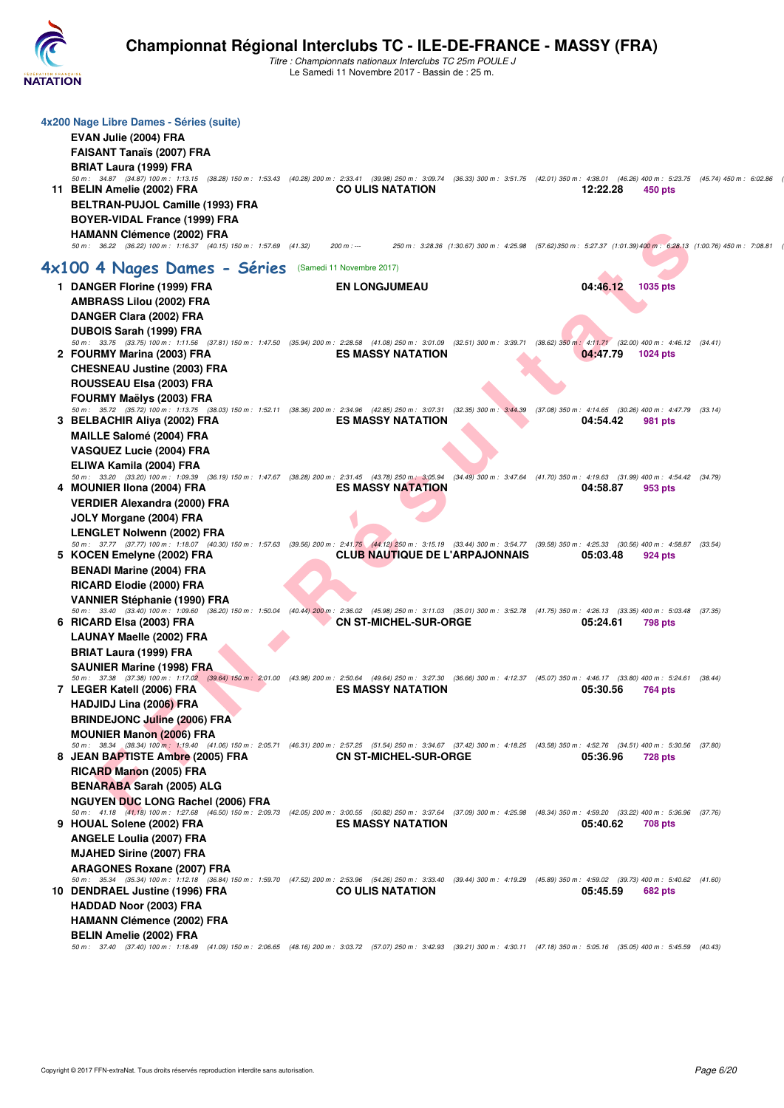

| 4x200 Nage Libre Dames - Séries (suite)                                                                                                                                                                                       |                                       |                                                                                                                       |          |                |  |
|-------------------------------------------------------------------------------------------------------------------------------------------------------------------------------------------------------------------------------|---------------------------------------|-----------------------------------------------------------------------------------------------------------------------|----------|----------------|--|
| EVAN Julie (2004) FRA                                                                                                                                                                                                         |                                       |                                                                                                                       |          |                |  |
| <b>FAISANT Tanaïs (2007) FRA</b>                                                                                                                                                                                              |                                       |                                                                                                                       |          |                |  |
| BRIAT Laura (1999) FRA<br>50 m: 34.87 (34.87) 100 m: 1:13.15 (38.28) 150 m: 1:53.43 (40.28) 200 m: 2:33.41 (39.98) 250 m: 3:09.74 (36.33) 300 m: 3:51.75 (42.01) 350 m: 4:38.01 (46.26) 400 m: 5:23.75 (45.74) 450 m: 6:02.86 |                                       |                                                                                                                       |          |                |  |
| 11 BELIN Amelie (2002) FRA                                                                                                                                                                                                    | <b>CO ULIS NATATION</b>               |                                                                                                                       | 12:22.28 | 450 pts        |  |
| BELTRAN-PUJOL Camille (1993) FRA                                                                                                                                                                                              |                                       |                                                                                                                       |          |                |  |
| BOYER-VIDAL France (1999) FRA                                                                                                                                                                                                 |                                       |                                                                                                                       |          |                |  |
| <b>HAMANN Clémence (2002) FRA</b>                                                                                                                                                                                             |                                       |                                                                                                                       |          |                |  |
| 50 m: 36.22 (36.22) 100 m: 1:16.37 (40.15) 150 m: 1:57.69 (41.32)                                                                                                                                                             | $200 m : -$                           | 250 m : 3:28.36 (1:30.67) 300 m : 4:25.98 (57.62) 350 m : 5:27.37 (1:01.39) 400 m : 6:28.13 (1:00.76) 450 m : 7:08.81 |          |                |  |
| 4x100 4 Nages Dames - Séries (Samedi 11 Novembre 2017)                                                                                                                                                                        |                                       |                                                                                                                       |          |                |  |
| 1 DANGER Florine (1999) FRA                                                                                                                                                                                                   | <b>EN LONGJUMEAU</b>                  |                                                                                                                       | 04:46.12 | 1035 pts       |  |
| <b>AMBRASS Lilou (2002) FRA</b>                                                                                                                                                                                               |                                       |                                                                                                                       |          |                |  |
| DANGER Clara (2002) FRA                                                                                                                                                                                                       |                                       |                                                                                                                       |          |                |  |
| <b>DUBOIS Sarah (1999) FRA</b><br>50 m: 33.75 (33.75) 100 m: 1:11.56 (37.81) 150 m: 1:47.50 (35.94) 200 m: 2:28.58 (41.08) 250 m: 3:01.09 (32.51) 300 m: 3:39.71 (38.62) 350 m: 4:11.71 (32.00) 400 m: 4:46.12 (34.41)        |                                       |                                                                                                                       |          |                |  |
| 2 FOURMY Marina (2003) FRA                                                                                                                                                                                                    | <b>ES MASSY NATATION</b>              |                                                                                                                       | 04:47.79 | 1024 pts       |  |
| <b>CHESNEAU Justine (2003) FRA</b>                                                                                                                                                                                            |                                       |                                                                                                                       |          |                |  |
| ROUSSEAU Elsa (2003) FRA                                                                                                                                                                                                      |                                       |                                                                                                                       |          |                |  |
| <b>FOURMY Maëlys (2003) FRA</b><br>50 m: 35.72 (35.72) 100 m: 1:13.75 (38.03) 150 m: 1:52.11 (38.36) 200 m: 2:34.96 (42.85) 250 m: 3:07.31 (32.35) 300 m: 3:44.39 (37.08) 350 m: 4:14.65 (30.26) 400 m: 4:47.79 (33.14)       |                                       |                                                                                                                       |          |                |  |
| 3 BELBACHIR Aliya (2002) FRA                                                                                                                                                                                                  | <b>ES MASSY NATATION</b>              |                                                                                                                       | 04:54.42 | 981 pts        |  |
| <b>MAILLE Salomé (2004) FRA</b>                                                                                                                                                                                               |                                       |                                                                                                                       |          |                |  |
| VASQUEZ Lucie (2004) FRA                                                                                                                                                                                                      |                                       |                                                                                                                       |          |                |  |
| ELIWA Kamila (2004) FRA                                                                                                                                                                                                       |                                       |                                                                                                                       |          |                |  |
| 50 m : 33.20 (33.20) 100 m : 1:09.39 (36.19) 150 m : 1:47.67 (38.28) 200 m : 2:31.45 (43.78) 250 m : 3:05.94 (34.49) 300 m : 3:47.64 (41.70) 350 m : 4:19.63 (31.99) 400 m : 4:54.42 (34.79)<br>4 MOUNIER IIona (2004) FRA    | <b>ES MASSY NATATION</b>              |                                                                                                                       | 04:58.87 | 953 pts        |  |
| <b>VERDIER Alexandra (2000) FRA</b>                                                                                                                                                                                           |                                       |                                                                                                                       |          |                |  |
| JOLY Morgane (2004) FRA                                                                                                                                                                                                       |                                       |                                                                                                                       |          |                |  |
| <b>LENGLET Nolwenn (2002) FRA</b>                                                                                                                                                                                             |                                       |                                                                                                                       |          |                |  |
| 50 m: 37.77 (37.77) 100 m: 1:18.07 (40.30) 150 m: 1:57.63 (39.56) 200 m: 2:41.75 (44.12) 250 m: 3:15.19 (33.44) 300 m: 3:54.77 (39.58) 350 m: 4:25.33 (30.56) 400 m: 4:58.87 (33.54)<br>5 KOCEN Emelyne (2002) FRA            | <b>CLUB NAUTIQUE DE L'ARPAJONNAIS</b> |                                                                                                                       | 05:03.48 | 924 pts        |  |
| <b>BENADI Marine (2004) FRA</b>                                                                                                                                                                                               |                                       |                                                                                                                       |          |                |  |
| <b>RICARD Elodie (2000) FRA</b>                                                                                                                                                                                               |                                       |                                                                                                                       |          |                |  |
| <b>VANNIER Stéphanie (1990) FRA</b>                                                                                                                                                                                           |                                       |                                                                                                                       |          |                |  |
| 50 m: 33.40 (33.40) 100 m: 1:09.60 (36.20) 150 m: 1:50.04 (40.44) 200 m: 2:36.02 (45.98) 250 m: 3:11.03 (35.01) 300 m: 3:52.78 (41.75) 350 m: 4:26.13 (33.35) 400 m: 5:03.48 (37.35)                                          | <b>CN ST-MICHEL-SUR-ORGE</b>          |                                                                                                                       | 05:24.61 |                |  |
| 6 RICARD Elsa (2003) FRA<br>LAUNAY Maelle (2002) FRA                                                                                                                                                                          |                                       |                                                                                                                       |          | <b>798 pts</b> |  |
| <b>BRIAT Laura (1999) FRA</b>                                                                                                                                                                                                 |                                       |                                                                                                                       |          |                |  |
| <b>SAUNIER Marine (1998) FRA</b>                                                                                                                                                                                              |                                       |                                                                                                                       |          |                |  |
| 50 m: 37.38 (37.38) 100 m: 1:17.02 (39.64) 150 m: 2:01.00 (43.98) 200 m: 2:50.64 (49.64) 250 m: 3:27.30 (36.66) 300 m: 4:12.37 (45.07) 350 m: 4:46.17 (33.80) 400 m: 5:24.61 (38.44)                                          |                                       |                                                                                                                       |          |                |  |
| 7 LEGER Katell (2006) FRA<br>HADJIDJ Lina (2006) FRA                                                                                                                                                                          | <b>ES MASSY NATATION</b>              |                                                                                                                       | 05:30.56 | 764 pts        |  |
| <b>BRINDEJONC Juline (2006) FRA</b>                                                                                                                                                                                           |                                       |                                                                                                                       |          |                |  |
| <b>MOUNIER Manon (2006) FRA</b>                                                                                                                                                                                               |                                       |                                                                                                                       |          |                |  |
| 50 m: 38.34 (38.34) 100 m: 1:19.40 (41.06) 150 m: 2:05.71 (46.31) 200 m: 2:57.25 (51.54) 250 m: 3:34.67 (37.42) 300 m: 4:18.25 (43.58) 350 m: 4:52.76 (34.51) 400 m: 5:30.56 (37.80)                                          |                                       |                                                                                                                       |          |                |  |
| 8 JEAN BAPTISTE Ambre (2005) FRA                                                                                                                                                                                              | <b>CN ST-MICHEL-SUR-ORGE</b>          |                                                                                                                       | 05:36.96 | <b>728 pts</b> |  |
| RICARD Manon (2005) FRA<br><b>BENARABA Sarah (2005) ALG</b>                                                                                                                                                                   |                                       |                                                                                                                       |          |                |  |
| <b>NGUYEN DUC LONG Rachel (2006) FRA</b>                                                                                                                                                                                      |                                       |                                                                                                                       |          |                |  |
| 50 m : 41.18 (41.18) 100 m : 1:27.68 (46.50) 150 m : 2:09.73 (42.05) 200 m : 3:00.55 (50.82) 250 m : 3:37.64 (37.09) 300 m : 4:25.98 (48.34) 350 m : 4:59.20 (33.22) 400 m : 5:36.96 (37.76)                                  |                                       |                                                                                                                       |          |                |  |
| 9 HOUAL Solene (2002) FRA                                                                                                                                                                                                     | <b>ES MASSY NATATION</b>              |                                                                                                                       | 05:40.62 | <b>708 pts</b> |  |
| <b>ANGELE Loulia (2007) FRA</b>                                                                                                                                                                                               |                                       |                                                                                                                       |          |                |  |
| <b>MJAHED Sirine (2007) FRA</b>                                                                                                                                                                                               |                                       |                                                                                                                       |          |                |  |
| <b>ARAGONES Roxane (2007) FRA</b><br>50 m: 35.34 (35.34) 100 m: 1:12.18 (36.84) 150 m: 1:59.70 (47.52) 200 m: 2:53.96 (54.26) 250 m: 3:33.40 (39.44) 300 m: 4:19.29 (45.89) 350 m: 4:59.02 (39.73) 400 m: 5:40.62 (41.60)     |                                       |                                                                                                                       |          |                |  |
| 10 DENDRAEL Justine (1996) FRA                                                                                                                                                                                                | <b>CO ULIS NATATION</b>               |                                                                                                                       | 05:45.59 | 682 pts        |  |
| HADDAD Noor (2003) FRA                                                                                                                                                                                                        |                                       |                                                                                                                       |          |                |  |
| <b>HAMANN Clémence (2002) FRA</b>                                                                                                                                                                                             |                                       |                                                                                                                       |          |                |  |
| <b>BELIN Amelie (2002) FRA</b><br>50 m: 37.40 (37.40) 100 m: 1:18.49 (41.09) 150 m: 2:06.65 (48.16) 200 m: 3:03.72 (57.07) 250 m: 3:42.93 (39.21) 300 m: 4:30.11 (47.18) 350 m: 5:05.16 (35.05) 400 m: 5:45.59 (40.43)        |                                       |                                                                                                                       |          |                |  |
|                                                                                                                                                                                                                               |                                       |                                                                                                                       |          |                |  |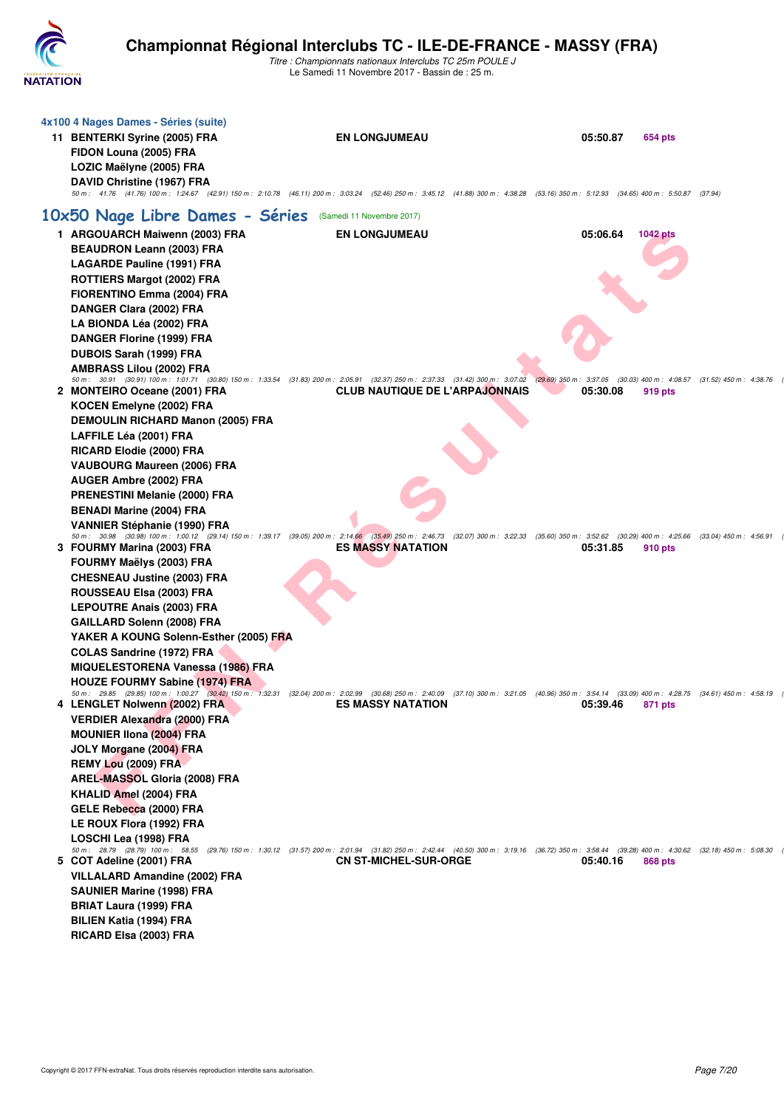

| 4x100 4 Nages Dames - Séries (suite)<br>11 BENTERKI Syrine (2005) FRA<br>FIDON Louna (2005) FRA<br>LOZIC Maëlyne (2005) FRA<br>DAVID Christine (1967) FRA                                                                                                                  | <b>EN LONGJUMEAU</b><br>50 m: 41.76 (41.76) 100 m: 1:24.67 (42.91) 150 m: 2:10.78 (46.11) 200 m: 3:03.24 (52.46) 250 m: 3:45.12 (41.88) 300 m: 4:38.28 (53.16) 350 m: 5:12.93 (34.65) 400 m: 5:50.87 (37.94)                                 | 05:50.87 | 654 pts         |
|----------------------------------------------------------------------------------------------------------------------------------------------------------------------------------------------------------------------------------------------------------------------------|----------------------------------------------------------------------------------------------------------------------------------------------------------------------------------------------------------------------------------------------|----------|-----------------|
| 10x50 Nage Libre Dames - Séries (Samedi 11 Novembre 2017)                                                                                                                                                                                                                  |                                                                                                                                                                                                                                              |          |                 |
| 1 ARGOUARCH Maiwenn (2003) FRA<br><b>BEAUDRON Leann (2003) FRA</b>                                                                                                                                                                                                         | <b>EN LONGJUMEAU</b>                                                                                                                                                                                                                         | 05:06.64 | <b>1042 pts</b> |
| <b>LAGARDE Pauline (1991) FRA</b><br><b>ROTTIERS Margot (2002) FRA</b><br>FIORENTINO Emma (2004) FRA<br>DANGER Clara (2002) FRA<br>LA BIONDA Léa (2002) FRA                                                                                                                |                                                                                                                                                                                                                                              |          |                 |
| DANGER Florine (1999) FRA<br>DUBOIS Sarah (1999) FRA<br><b>AMBRASS Lilou (2002) FRA</b>                                                                                                                                                                                    |                                                                                                                                                                                                                                              |          |                 |
| 2 MONTEIRO Oceane (2001) FRA                                                                                                                                                                                                                                               | 50 m: 30.91 (30.91) 100 m: 1:01.71 (30.80) 150 m: 1:33.54 (31.83) 200 m: 2:05.91 (32.37) 250 m: 2:37.33 (31.42) 300 m: 3:07.02 (29.69) 350 m: 3:37.05 (30.03) 400 m: 4:08.57 (31.52) 450 m: 4:38.76<br><b>CLUB NAUTIQUE DE L'ARPAJONNAIS</b> | 05:30.08 | 919 pts         |
| KOCEN Emelyne (2002) FRA<br><b>DEMOULIN RICHARD Manon (2005) FRA</b><br>LAFFILE Léa (2001) FRA<br>RICARD Elodie (2000) FRA<br><b>VAUBOURG Maureen (2006) FRA</b>                                                                                                           |                                                                                                                                                                                                                                              |          |                 |
| AUGER Ambre (2002) FRA<br><b>PRENESTINI Melanie (2000) FRA</b><br><b>BENADI Marine (2004) FRA</b><br><b>VANNIER Stéphanie (1990) FRA</b>                                                                                                                                   | 50 m: 30.98 (30.98) 100 m: 1:00.12 (29.14) 150 m: 1:39.17 (39.05) 200 m: 2:14.66 (35.49) 250 m: 2:46.73 (32.07) 300 m: 3:22.33 (35.60) 350 m: 3:52.62 (30.29) 400 m: 4:25.66 (33.04) 450 m: 4:56.91                                          |          |                 |
| 3 FOURMY Marina (2003) FRA<br>FOURMY Maëlys (2003) FRA<br><b>CHESNEAU Justine (2003) FRA</b><br>ROUSSEAU Elsa (2003) FRA<br><b>LEPOUTRE Anais (2003) FRA</b><br>GAILLARD Solenn (2008) FRA                                                                                 | <b>ES MASSY NATATION</b>                                                                                                                                                                                                                     | 05:31.85 | 910 pts         |
| YAKER A KOUNG Solenn-Esther (2005) FRA<br><b>COLAS Sandrine (1972) FRA</b><br><b>MIQUELESTORENA Vanessa (1986) FRA</b><br><b>HOUZE FOURMY Sabine (1974) FRA</b>                                                                                                            | 50 m: 29.85 (29.85) 100 m: 1:00.27 (30.42) 150 m: 1:32.31 (32.04) 200 m: 2:02.99 (30.68) 250 m: 2:40.09 (37.10) 300 m: 3:21.05 (40.96) 350 m: 3:54.14 (33.09) 400 m: 4:28.75 (34.61) 450 m: 4:28.75                                          |          |                 |
| 4 LENGLET Nolwenn (2002) FRA<br><b>VERDIER Alexandra (2000) FRA</b><br><b>MOUNIER IIona (2004) FRA</b><br>JOLY Morgane (2004) FRA<br>REMY Lou (2009) FRA<br>AREL-MASSOL Gloria (2008) FRA<br>KHALID Amel (2004) FRA<br>GELE Rebecca (2000) FRA<br>LE ROUX Flora (1992) FRA | <b>ES MASSY NATATION</b>                                                                                                                                                                                                                     | 05:39.46 | 871 pts         |
| LOSCHI Lea (1998) FRA<br>5 COT Adeline (2001) FRA<br>VILLALARD Amandine (2002) FRA<br><b>SAUNIER Marine (1998) FRA</b><br><b>BRIAT Laura (1999) FRA</b><br><b>BILIEN Katia (1994) FRA</b><br>RICARD Elsa (2003) FRA                                                        | 50 m: 28.79 (28.79) 100 m: 58.55 (29.76) 150 m: 1:30.12 (31.57) 200 m: 2:01.94 (31.82) 250 m: 2:42.44 (40.50) 300 m: 3:19.16 (36.72) 350 m: 3:58.44 (39.28) 400 m: 4:30.62 (32.18) 450 m: 5:08.30<br><b>CN ST-MICHEL-SUR-ORGE</b>            | 05:40.16 | 868 pts         |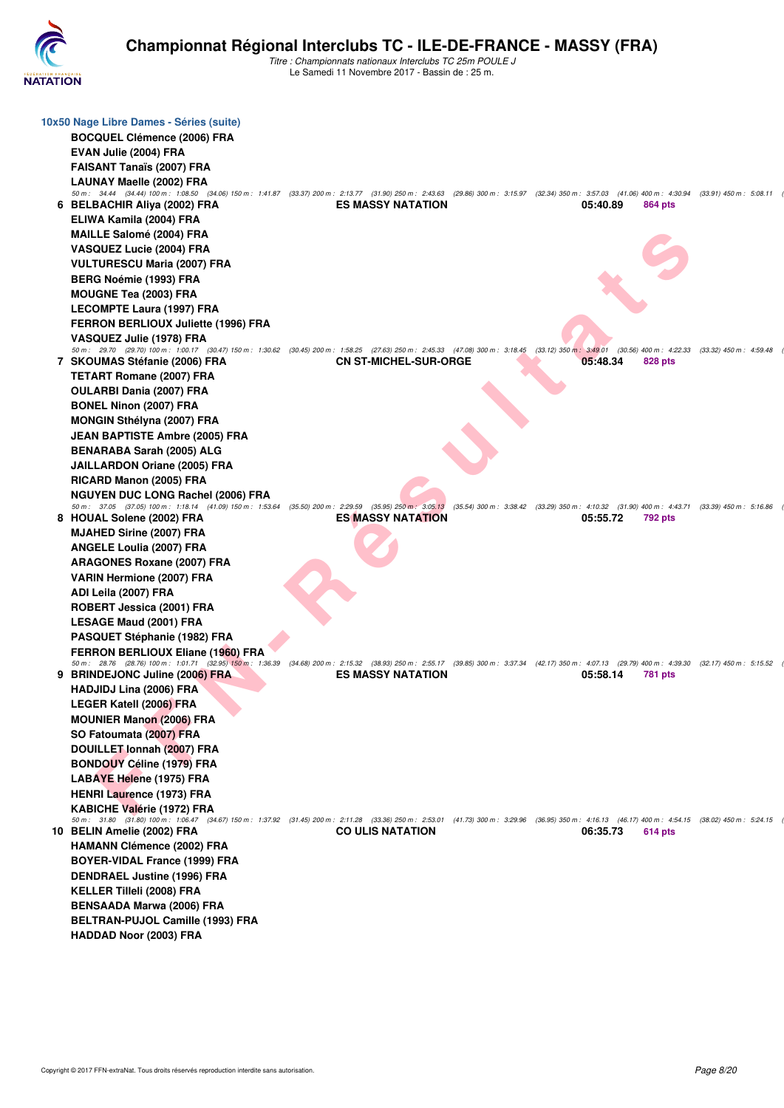

| 10x50 Nage Libre Dames - Séries (suite)                                                                                                                                                                               |                              |                                                                                             |                |                           |  |
|-----------------------------------------------------------------------------------------------------------------------------------------------------------------------------------------------------------------------|------------------------------|---------------------------------------------------------------------------------------------|----------------|---------------------------|--|
| <b>BOCQUEL Clémence (2006) FRA</b>                                                                                                                                                                                    |                              |                                                                                             |                |                           |  |
| EVAN Julie (2004) FRA                                                                                                                                                                                                 |                              |                                                                                             |                |                           |  |
| <b>FAISANT Tanaïs (2007) FRA</b>                                                                                                                                                                                      |                              |                                                                                             |                |                           |  |
|                                                                                                                                                                                                                       |                              |                                                                                             |                |                           |  |
| <b>LAUNAY Maelle (2002) FRA</b><br>50 m: 34.44 (34.44) 100 m: 1:08.50 (34.06) 150 m: 1:41.87 (33.37) 200 m: 2:13.77 (31.90) 250 m: 2:43.63 (29.86) 300 m: 3:15.97 (32.34) 350 m: 3:57.03 (41.06) 400 m: 4:30.94       |                              |                                                                                             |                | $(33.91)$ 450 m : 5:08.11 |  |
| 6 BELBACHIR Aliya (2002) FRA                                                                                                                                                                                          | <b>ES MASSY NATATION</b>     | 05:40.89                                                                                    | 864 pts        |                           |  |
| ELIWA Kamila (2004) FRA                                                                                                                                                                                               |                              |                                                                                             |                |                           |  |
| <b>MAILLE Salomé (2004) FRA</b>                                                                                                                                                                                       |                              |                                                                                             |                |                           |  |
| <b>VASQUEZ Lucie (2004) FRA</b>                                                                                                                                                                                       |                              |                                                                                             |                |                           |  |
|                                                                                                                                                                                                                       |                              |                                                                                             |                |                           |  |
| <b>VULTURESCU Maria (2007) FRA</b>                                                                                                                                                                                    |                              |                                                                                             |                |                           |  |
| <b>BERG Noémie (1993) FRA</b>                                                                                                                                                                                         |                              |                                                                                             |                |                           |  |
| <b>MOUGNE Tea (2003) FRA</b>                                                                                                                                                                                          |                              |                                                                                             |                |                           |  |
| <b>LECOMPTE Laura (1997) FRA</b>                                                                                                                                                                                      |                              |                                                                                             |                |                           |  |
| <b>FERRON BERLIOUX Juliette (1996) FRA</b>                                                                                                                                                                            |                              |                                                                                             |                |                           |  |
| VASQUEZ Julie (1978) FRA                                                                                                                                                                                              |                              |                                                                                             |                |                           |  |
| 50 m : 29.70 (29.70) 100 m : 1:00.17 (30.47) 150 m : 1:30.62 (30.45) 200 m : 1:58.25 (27.63) 250 m : 2:45.33 (47.08) 300 m : 3:18.45 (33.12) 350 m : 3:49.01 (30.56) 400 m : 4:22.33<br>7 SKOUMAS Stéfanie (2006) FRA | <b>CN ST-MICHEL-SUR-ORGE</b> | 05:48.34                                                                                    | 828 pts        | $(33.32)$ 450 m : 4:59.48 |  |
|                                                                                                                                                                                                                       |                              |                                                                                             |                |                           |  |
| <b>TETART Romane (2007) FRA</b>                                                                                                                                                                                       |                              |                                                                                             |                |                           |  |
| <b>OULARBI Dania (2007) FRA</b>                                                                                                                                                                                       |                              |                                                                                             |                |                           |  |
| <b>BONEL Ninon (2007) FRA</b>                                                                                                                                                                                         |                              |                                                                                             |                |                           |  |
| <b>MONGIN Sthélyna (2007) FRA</b>                                                                                                                                                                                     |                              |                                                                                             |                |                           |  |
| <b>JEAN BAPTISTE Ambre (2005) FRA</b>                                                                                                                                                                                 |                              |                                                                                             |                |                           |  |
| BENARABA Sarah (2005) ALG                                                                                                                                                                                             |                              |                                                                                             |                |                           |  |
| <b>JAILLARDON Oriane (2005) FRA</b>                                                                                                                                                                                   |                              |                                                                                             |                |                           |  |
| RICARD Manon (2005) FRA                                                                                                                                                                                               |                              |                                                                                             |                |                           |  |
| <b>NGUYEN DUC LONG Rachel (2006) FRA</b>                                                                                                                                                                              |                              |                                                                                             |                |                           |  |
| 50 m: 37.05 (37.05) 100 m: 1:18.14 (41.09) 150 m: 1:53.64 (35.50) 200 m: 2:29.59 (35.95) 250 m: 3:05.13                                                                                                               |                              | (35.54) 300 m: 3:38.42 (33.29) 350 m: 4:10.32 (31.90) 400 m: 4:43.71 (33.39) 450 m: 5:16.86 |                |                           |  |
| 8 HOUAL Solene (2002) FRA                                                                                                                                                                                             | ES MASSY NATATION            | 05:55.72                                                                                    | <b>792 pts</b> |                           |  |
| <b>MJAHED Sirine (2007) FRA</b>                                                                                                                                                                                       |                              |                                                                                             |                |                           |  |
| <b>ANGELE Loulia (2007) FRA</b>                                                                                                                                                                                       |                              |                                                                                             |                |                           |  |
| <b>ARAGONES Roxane (2007) FRA</b>                                                                                                                                                                                     |                              |                                                                                             |                |                           |  |
| VARIN Hermione (2007) FRA                                                                                                                                                                                             |                              |                                                                                             |                |                           |  |
| ADI Leila (2007) FRA                                                                                                                                                                                                  |                              |                                                                                             |                |                           |  |
| ROBERT Jessica (2001) FRA                                                                                                                                                                                             |                              |                                                                                             |                |                           |  |
| <b>LESAGE Maud (2001) FRA</b>                                                                                                                                                                                         |                              |                                                                                             |                |                           |  |
| PASQUET Stéphanie (1982) FRA                                                                                                                                                                                          |                              |                                                                                             |                |                           |  |
| <b>FERRON BERLIOUX Eliane (1960) FRA</b>                                                                                                                                                                              |                              |                                                                                             |                |                           |  |
| 50 m: 28.76 (28.76) 100 m: 1:01.71 (32.95) 150 m: 1:36.39 (34.68) 200 m: 2:15.32 (38.93) 250 m: 2:55.17 (39.85) 300 m: 3:37.34 (42.17) 350 m: 4:07.13 (29.79) 400 m: 4:39.30 (32.17) 450 m: 5:15.52                   |                              |                                                                                             |                |                           |  |
| 9 BRINDEJONC Juline (2006) FRA                                                                                                                                                                                        | <b>ES MASSY NATATION</b>     | 05:58.14                                                                                    | <b>781 pts</b> |                           |  |
| HADJIDJ Lina (2006) FRA                                                                                                                                                                                               |                              |                                                                                             |                |                           |  |
| LEGER Katell (2006) FRA                                                                                                                                                                                               |                              |                                                                                             |                |                           |  |
| <b>MOUNIER Manon (2006) FRA</b>                                                                                                                                                                                       |                              |                                                                                             |                |                           |  |
| SO Fatoumata (2007) FRA                                                                                                                                                                                               |                              |                                                                                             |                |                           |  |
| DOUILLET Ionnah (2007) FRA                                                                                                                                                                                            |                              |                                                                                             |                |                           |  |
| <b>BONDOUY Céline (1979) FRA</b>                                                                                                                                                                                      |                              |                                                                                             |                |                           |  |
| <b>LABAYE Helene (1975) FRA</b>                                                                                                                                                                                       |                              |                                                                                             |                |                           |  |
| <b>HENRI Laurence (1973) FRA</b>                                                                                                                                                                                      |                              |                                                                                             |                |                           |  |
| <b>KABICHE Valérie (1972) FRA</b>                                                                                                                                                                                     |                              |                                                                                             |                |                           |  |
| 50 m: 31.80 (31.80) 100 m: 1:06.47 (34.67) 150 m: 1:37.92 (31.45) 200 m: 2:11.28 (33.36) 250 m: 2:53.01 (41.73) 300 m: 3:29.96 (36.95) 350 m: 4:16.13 (46.17) 400 m: 4:54.15 (38.02) 450 m: 5:24.15                   |                              |                                                                                             |                |                           |  |
| 10 BELIN Amelie (2002) FRA                                                                                                                                                                                            | <b>CO ULIS NATATION</b>      | 06:35.73                                                                                    | 614 pts        |                           |  |
| <b>HAMANN Clémence (2002) FRA</b>                                                                                                                                                                                     |                              |                                                                                             |                |                           |  |
| <b>BOYER-VIDAL France (1999) FRA</b>                                                                                                                                                                                  |                              |                                                                                             |                |                           |  |
| <b>DENDRAEL Justine (1996) FRA</b>                                                                                                                                                                                    |                              |                                                                                             |                |                           |  |
| <b>KELLER Tilleli (2008) FRA</b>                                                                                                                                                                                      |                              |                                                                                             |                |                           |  |
| <b>BENSAADA Marwa (2006) FRA</b>                                                                                                                                                                                      |                              |                                                                                             |                |                           |  |
| BELTRAN-PUJOL Camille (1993) FRA                                                                                                                                                                                      |                              |                                                                                             |                |                           |  |
| <b>HADDAD Noor (2003) FRA</b>                                                                                                                                                                                         |                              |                                                                                             |                |                           |  |
|                                                                                                                                                                                                                       |                              |                                                                                             |                |                           |  |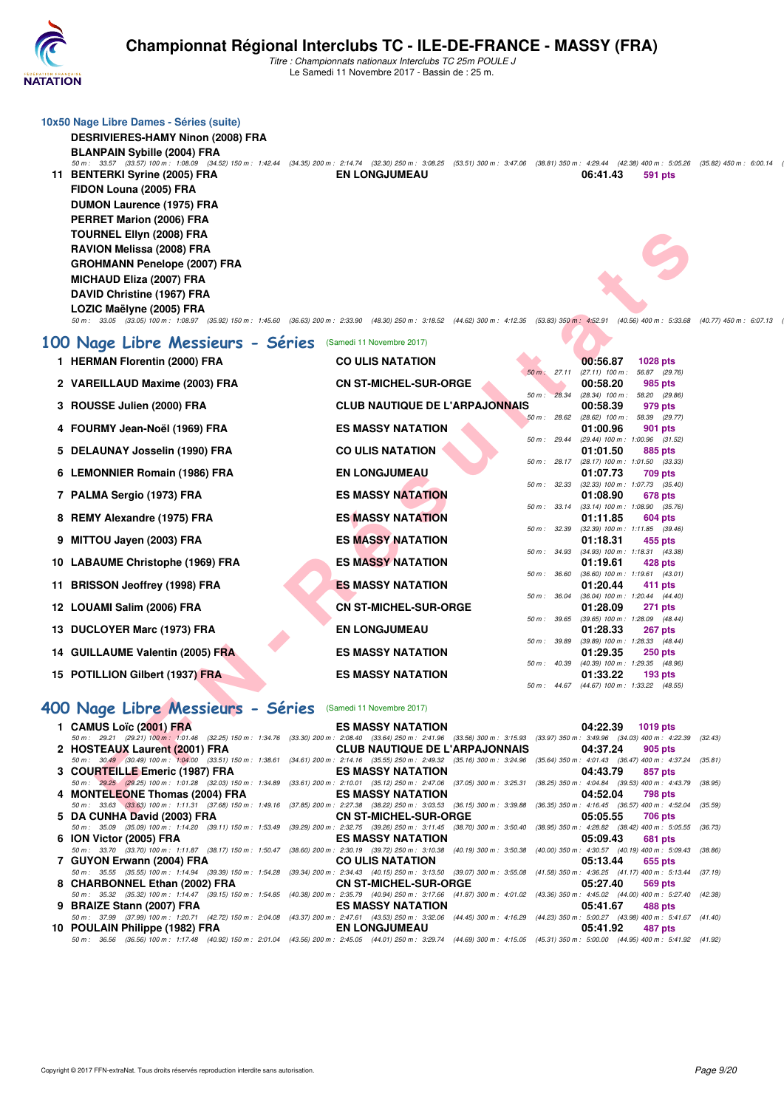

*Titre : Championnats nationaux Interclubs TC 25m POULE J* Le Samedi 11 Novembre 2017 - Bassin de : 25 m.

|     | 10x50 Nage Libre Dames - Séries (suite)<br><b>DESRIVIERES-HAMY Ninon (2008) FRA</b><br><b>BLANPAIN Sybille (2004) FRA</b><br>50 m: 33.57 (33.57) 100 m: 1:08.09 (34.52) 150 m: 1:42.44 (34.35) 200 m: 2:14.74 (32.30) 250 m: 3:08.25 (53.51) 300 m: 3:47.06 (38.81) 350 m: 4:29.44 (42.38) 400 m: 5:05.26 (35.82) 450 m: 6:00.14<br>11 BENTERKI Syrine (2005) FRA<br>FIDON Louna (2005) FRA<br><b>DUMON Laurence (1975) FRA</b><br>PERRET Marion (2006) FRA<br>TOURNEL Ellyn (2008) FRA<br>RAVION Melissa (2008) FRA<br><b>GROHMANN Penelope (2007) FRA</b><br><b>MICHAUD Eliza (2007) FRA</b><br>DAVID Christine (1967) FRA<br>LOZIC Maëlyne (2005) FRA<br>50 m: 33.05 (33.05) 100 m: 1:08.97 (35.92) 150 m: 1:45.60 (36.63) 200 m: 2:33.90 (48.30) 250 m: 3:18.52 (44.62) 300 m: 4:12.35 (53.83) 350 m: 4:52.91 (40.56) 400 m: 5:33.68 | <b>EN LONGJUMEAU</b>                                                                                             |                   | 06:41.43<br>591 pts                                                                   | (40.77) 450 m : 6:07.13 |
|-----|------------------------------------------------------------------------------------------------------------------------------------------------------------------------------------------------------------------------------------------------------------------------------------------------------------------------------------------------------------------------------------------------------------------------------------------------------------------------------------------------------------------------------------------------------------------------------------------------------------------------------------------------------------------------------------------------------------------------------------------------------------------------------------------------------------------------------------------|------------------------------------------------------------------------------------------------------------------|-------------------|---------------------------------------------------------------------------------------|-------------------------|
|     | 100 Nage Libre Messieurs - Séries                                                                                                                                                                                                                                                                                                                                                                                                                                                                                                                                                                                                                                                                                                                                                                                                        | (Samedi 11 Novembre 2017)                                                                                        |                   |                                                                                       |                         |
|     | 1 HERMAN Florentin (2000) FRA                                                                                                                                                                                                                                                                                                                                                                                                                                                                                                                                                                                                                                                                                                                                                                                                            | <b>CO ULIS NATATION</b>                                                                                          |                   | 00:56.87<br><b>1028 pts</b>                                                           |                         |
|     | 2 VAREILLAUD Maxime (2003) FRA                                                                                                                                                                                                                                                                                                                                                                                                                                                                                                                                                                                                                                                                                                                                                                                                           | <b>CN ST-MICHEL-SUR-ORGE</b>                                                                                     | $50 m$ :          | 27.11 (27.11) 100 m :<br>56.87 (29.76)<br>00:58.20<br>985 pts                         |                         |
|     | 3 ROUSSE Julien (2000) FRA                                                                                                                                                                                                                                                                                                                                                                                                                                                                                                                                                                                                                                                                                                                                                                                                               | <b>CLUB NAUTIQUE DE L'ARPAJONNAIS</b>                                                                            | $50 m$ :<br>28.34 | $(28.34)$ 100 m : 58.20 $(29.86)$<br>00:58.39<br>979 pts                              |                         |
|     | 4 FOURMY Jean-Noël (1969) FRA                                                                                                                                                                                                                                                                                                                                                                                                                                                                                                                                                                                                                                                                                                                                                                                                            | <b>ES MASSY NATATION</b>                                                                                         | 50 m: 28.62       | $(28.62)$ 100 m :<br>58.39 (29.77)<br>01:00.96<br>901 pts                             |                         |
|     | 5 DELAUNAY Josselin (1990) FRA                                                                                                                                                                                                                                                                                                                                                                                                                                                                                                                                                                                                                                                                                                                                                                                                           | <b>CO ULIS NATATION</b>                                                                                          | 50 m: 29.44       | (29.44) 100 m: 1:00.96 (31.52)<br>01:01.50<br>885 pts                                 |                         |
|     | 6 LEMONNIER Romain (1986) FRA                                                                                                                                                                                                                                                                                                                                                                                                                                                                                                                                                                                                                                                                                                                                                                                                            | <b>EN LONGJUMEAU</b>                                                                                             |                   | 50 m: 28.17 (28.17) 100 m: 1:01.50 (33.33)<br>01:07.73<br>709 pts                     |                         |
|     | 7 PALMA Sergio (1973) FRA                                                                                                                                                                                                                                                                                                                                                                                                                                                                                                                                                                                                                                                                                                                                                                                                                | <b>ES MASSY NATATION</b>                                                                                         |                   | 50 m: 32.33 (32.33) 100 m: 1:07.73 (35.40)<br>01:08.90<br>678 pts                     |                         |
| 8   | <b>REMY Alexandre (1975) FRA</b>                                                                                                                                                                                                                                                                                                                                                                                                                                                                                                                                                                                                                                                                                                                                                                                                         | <b>ES MASSY NATATION</b>                                                                                         |                   | 50 m: 33.14 (33.14) 100 m: 1:08.90 (35.76)<br>01:11.85<br>604 pts                     |                         |
|     | 9 MITTOU Jayen (2003) FRA                                                                                                                                                                                                                                                                                                                                                                                                                                                                                                                                                                                                                                                                                                                                                                                                                | <b>ES MASSY NATATION</b>                                                                                         |                   | 50 m: 32.39 (32.39) 100 m: 1:11.85 (39.46)<br>01:18.31<br>455 pts                     |                         |
|     | 10 LABAUME Christophe (1969) FRA                                                                                                                                                                                                                                                                                                                                                                                                                                                                                                                                                                                                                                                                                                                                                                                                         | <b>ES MASSY NATATION</b>                                                                                         | 50 m : 34.93      | $(34.93)$ 100 m : 1:18.31 $(43.38)$<br>01:19.61<br>428 pts                            |                         |
| 11. | <b>BRISSON Jeoffrey (1998) FRA</b>                                                                                                                                                                                                                                                                                                                                                                                                                                                                                                                                                                                                                                                                                                                                                                                                       | <b>ES MASSY NATATION</b>                                                                                         | 50 m : 36.60      | $(36.60)$ 100 m : 1:19.61 $(43.01)$<br>01:20.44<br>411 pts                            |                         |
| 12  | LOUAMI Salim (2006) FRA                                                                                                                                                                                                                                                                                                                                                                                                                                                                                                                                                                                                                                                                                                                                                                                                                  | <b>CN ST-MICHEL-SUR-ORGE</b>                                                                                     | 50 m : 36.04      | (36.04) 100 m: 1:20.44 (44.40)<br>01:28.09<br>271 pts                                 |                         |
| 13  | <b>DUCLOYER Marc (1973) FRA</b>                                                                                                                                                                                                                                                                                                                                                                                                                                                                                                                                                                                                                                                                                                                                                                                                          | <b>EN LONGJUMEAU</b>                                                                                             |                   | 50 m: 39.65 (39.65) 100 m: 1:28.09 (48.44)<br>01:28.33<br><b>267 pts</b>              |                         |
|     | 14 GUILLAUME Valentin (2005) FRA                                                                                                                                                                                                                                                                                                                                                                                                                                                                                                                                                                                                                                                                                                                                                                                                         | <b>ES MASSY NATATION</b>                                                                                         |                   | 50 m: 39.89 (39.89) 100 m: 1:28.33 (48.44)<br>01:29.35<br>250 pts                     |                         |
|     | 15 POTILLION Gilbert (1937) FRA                                                                                                                                                                                                                                                                                                                                                                                                                                                                                                                                                                                                                                                                                                                                                                                                          | <b>ES MASSY NATATION</b>                                                                                         |                   | 50 m : 40.39 (40.39) 100 m : 1:29.35 (48.96)<br>01:33.22<br>$193$ pts                 |                         |
|     |                                                                                                                                                                                                                                                                                                                                                                                                                                                                                                                                                                                                                                                                                                                                                                                                                                          |                                                                                                                  |                   | 50 m: 44.67 (44.67) 100 m: 1:33.22 (48.55)                                            |                         |
|     | 400 Nage Libre Messieurs - Séries (Samedi 11 Novembre 2017)                                                                                                                                                                                                                                                                                                                                                                                                                                                                                                                                                                                                                                                                                                                                                                              |                                                                                                                  |                   |                                                                                       |                         |
|     | 1 CAMUS Loïc (2001) FRA<br>50 m: 29.21 (29.21) 100 m: 1:01.46 (32.25) 150 m: 1:34.76                                                                                                                                                                                                                                                                                                                                                                                                                                                                                                                                                                                                                                                                                                                                                     | <b>ES MASSY NATATION</b><br>(33.30) 200 m : 2:08.40 (33.64) 250 m : 2:41.96 (33.56) 300 m : 3:15.93              |                   | 04:22.39<br><b>1019 pts</b><br>(33.97) 350 m : 3:49.96 (34.03) 400 m : 4:22.39        | (32.43)                 |
|     | 2 HOSTEAUX Laurent (2001) FRA<br>50 m: 30.49 (30.49) 100 m: 1:04.00 (33.51) 150 m: 1:38.61                                                                                                                                                                                                                                                                                                                                                                                                                                                                                                                                                                                                                                                                                                                                               | <b>CLUB NAUTIQUE DE L'ARPAJONNAIS</b><br>(34.61) 200 m : 2:14.16 (35.55) 250 m : 2:49.32 (35.16) 300 m : 3:24.96 |                   | 04:37.24<br>905 pts<br>(35.64) 350 m : 4:01.43 (36.47) 400 m : 4:37.24 (35.81)        |                         |
|     | 3 COURTEILLE Emeric (1987) FRA                                                                                                                                                                                                                                                                                                                                                                                                                                                                                                                                                                                                                                                                                                                                                                                                           | <b>ES MASSY NATATION</b>                                                                                         |                   | 04:43.79<br>857 pts                                                                   |                         |
|     | 50 m : 29.25 (29.25) 100 m : 1:01.28 (32.03) 150 m : 1:34.89 (33.61) 200 m : 2:10.01 (35.12) 250 m : 2:47.06 (37.05) 300 m : 3:25.31<br>4 MONTELEONE Thomas (2004) FRA                                                                                                                                                                                                                                                                                                                                                                                                                                                                                                                                                                                                                                                                   | <b>ES MASSY NATATION</b>                                                                                         |                   | (38.25) 350 m : 4:04.84 (39.53) 400 m : 4:43.79 (38.95)<br>04:52.04<br><b>798 pts</b> |                         |
|     | 50 m : 33.63 (33.63) 100 m : 1:11.31 (37.68) 150 m : 1:49.16 (37.85) 200 m : 2:27.38 (38.22) 250 m : 3:03.53 (36.15) 300 m : 3:39.88<br>5 DA CUNHA David (2003) FRA                                                                                                                                                                                                                                                                                                                                                                                                                                                                                                                                                                                                                                                                      | <b>CN ST-MICHEL-SUR-ORGE</b>                                                                                     |                   | (36.35) 350 m: 4:16.45 (36.57) 400 m: 4:52.04 (35.59)<br>05:05.55<br>706 pts          |                         |
|     | 50 m: 35.09 (35.09) 100 m: 1:14.20 (39.11) 150 m: 1:53.49<br>6 ION Victor (2005) FRA                                                                                                                                                                                                                                                                                                                                                                                                                                                                                                                                                                                                                                                                                                                                                     | (39.29) 200 m: 2:32.75 (39.26) 250 m: 3:11.45 (38.70) 300 m: 3:50.40<br><b>ES MASSY NATATION</b>                 |                   | (38.95) 350 m: 4:28.82 (38.42) 400 m: 5:05.55 (36.73)<br>05:09.43<br>681 pts          |                         |
|     | 50 m : 33.70 (33.70) 100 m : 1:11.87 (38.17) 150 m : 1:50.47 (38.60) 200 m : 2:30.19 (39.72) 250 m : 3:10.38 (40.19) 300 m : 3:50.38<br>7 GUYON Erwann (2004) FRA                                                                                                                                                                                                                                                                                                                                                                                                                                                                                                                                                                                                                                                                        | <b>CO ULIS NATATION</b>                                                                                          |                   | (40.00) 350 m: 4:30.57 (40.19) 400 m: 5:09.43 (38.86)<br>05:13.44<br>655 pts          |                         |
|     | 50 m: 35.55 (35.55) 100 m: 1:14.94 (39.39) 150 m: 1:54.28<br>8 CHARBONNEL Ethan (2002) FRA                                                                                                                                                                                                                                                                                                                                                                                                                                                                                                                                                                                                                                                                                                                                               | (39.34) 200 m : 2:34.43 (40.15) 250 m : 3:13.50 (39.07) 300 m : 3:55.08<br><b>CN ST-MICHEL-SUR-ORGE</b>          |                   | (41.58) 350 m: 4:36.25 (41.17) 400 m: 5:13.44 (37.19)<br>05:27.40<br>569 pts          |                         |
|     | 50 m : 35.32 (35.32) 100 m : 1:14.47 (39.15) 150 m : 1:54.85 (40.38) 200 m : 2:35.79 (40.94) 250 m : 3:17.66 (41.87) 300 m : 4:01.02 (43.36) 350 m : 4:45.02 (44.00) 400 m : 5:27.40 (42.38)<br>9 BRAIZE Stann (2007) FRA                                                                                                                                                                                                                                                                                                                                                                                                                                                                                                                                                                                                                | <b>ES MASSY NATATION</b>                                                                                         |                   | 05:41.67<br>488 pts                                                                   |                         |
|     | 50 m : 37.99 (37.99) 100 m : 1:20.71 (42.72) 150 m : 2:04.08 (43.37) 200 m : 2:47.61 (43.53) 250 m : 3:32.06 (44.45) 300 m : 4:16.29 (44.23) 350 m : 5:00.27 (43.98) 400 m : 5:41.67 (41.40)<br>10 POULAIN Philippe (1982) FRA                                                                                                                                                                                                                                                                                                                                                                                                                                                                                                                                                                                                           | <b>EN LONGJUMEAU</b>                                                                                             |                   | 05:41.92<br>487 pts                                                                   |                         |

*50 m : 36.56 (36.56) 100 m : 1:17.48 (40.92) 150 m : 2:01.04 (43.56) 200 m : 2:45.05 (44.01) 250 m : 3:29.74 (44.69) 300 m : 4:15.05 (45.31) 350 m : 5:00.00 (44.95) 400 m : 5:41.92 (41.92)*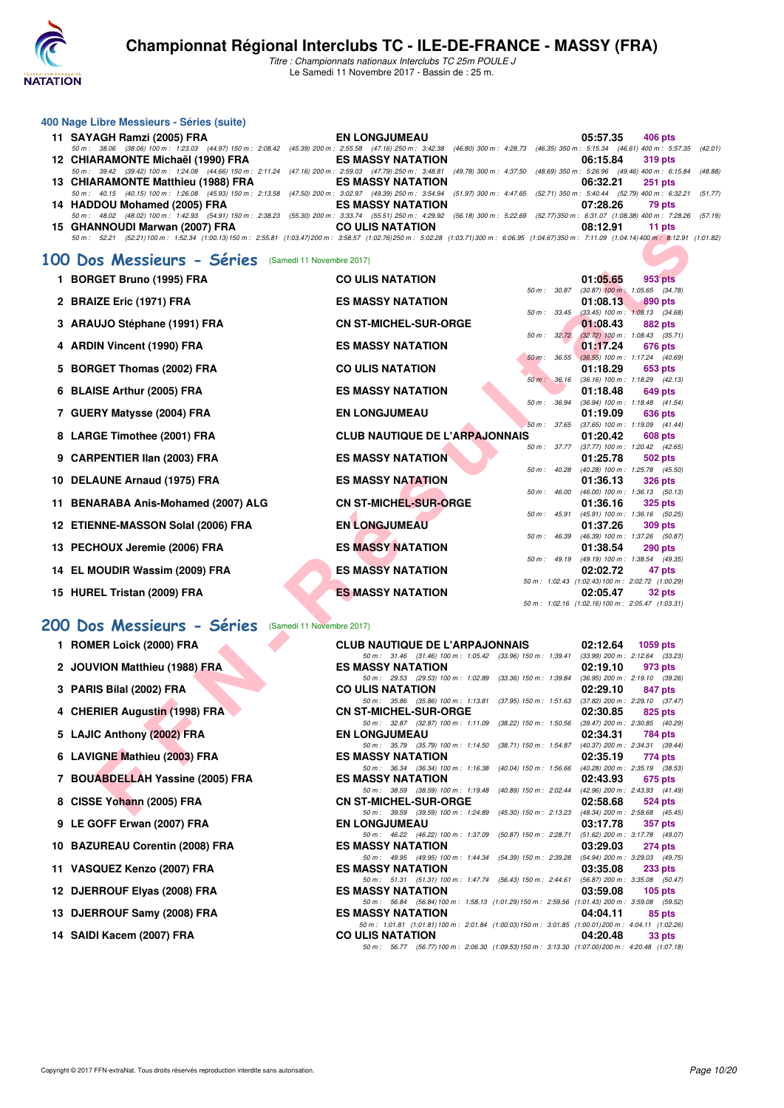

*Titre : Championnats nationaux Interclubs TC 25m POULE J* Le Samedi 11 Novembre 2017 - Bassin de : 25 m.

#### **400 Nage Libre Messieurs - Séries (suite)**

| 11 SAYAGH Ramzi (2005) FRA         | <b>EN LONGJUMEAU</b>                                                                                                                                                                             | 05:57.35 406 pts     |
|------------------------------------|--------------------------------------------------------------------------------------------------------------------------------------------------------------------------------------------------|----------------------|
|                                    | 50 m: 38.06 (38.06) 100 m: 1:23.03 (44.97) 150 m: 2:08.42 (45.39) 200 m: 2:55.58 (47.16) 250 m: 3:42.38 (46.80) 300 m: 4:28.73 (46.35) 350 m: 5:15.34 (46.61) 400 m: 5:57.35 (42.01)             |                      |
| 12 CHIARAMONTE Michaël (1990) FRA  | ES MASSY NATATION                                                                                                                                                                                | 06:15.84 319 pts     |
|                                    | 50 m : 39.42 (39.42) 100 m : 1:24.08 (44.66) 150 m : 2:11.24 (47.16) 200 m : 2:59.03 (47.79) 250 m : 3:48.81 (49.78) 300 m : 4:37.50 (48.69) 350 m : 5:26.96 (49.46) 400 m : 6:15.84 (48.88)     |                      |
| 13 CHIARAMONTE Matthieu (1988) FRA | ES MASSY NATATION                                                                                                                                                                                | 06:32.21 251 pts     |
|                                    | 50 m: 40.15 (40.15) 100 m: 1:26.08 (45.93) 150 m: 2:13.58 (47.50) 200 m: 3:02.97 (49.39) 250 m: 3:54.94 (51.97) 300 m: 4:47.65 (52.71) 350 m: 5:40.44 (52.79) 400 m: 6:32.21 (51.77)             |                      |
| 14 HADDOU Mohamed (2005) FRA       | ES MASSY NATATION                                                                                                                                                                                | 07:28.26<br>79 pts   |
|                                    | 50 m: 48.02 (48.02) 100 m: 1:42.93 (54.91) 150 m: 2:38.23 (55.30) 200 m: 3:33.74 (55.51) 250 m: 4:29.92 (56.18) 300 m: 5:22.69 (52.77) 350 m: 6:31.07 (1:08.38) 400 m: 7:28.26 (57.19)           |                      |
| 15 GHANNOUDI Marwan (2007) FRA     | <b>CO ULIS NATATION</b>                                                                                                                                                                          | 08:12.91<br>$11$ pts |
|                                    | 50 m: 52.21 (52.21) 100 m: 1:52.34 (1:00.13) 150 m: 2:55.81 (1:03.47) 200 m: 3:58.57 (1:02.76) 250 m: 5:02.28 (1:03.71) 300 m: 6:06.95 (1:04.67) 350 m: 7:11.09 (1:04.41400 m: 8:12.91 (1:01.82) |                      |

#### **[100 Dos Messieurs - Séries](http://www.ffnatation.fr/webffn/resultats.php?idact=nat&go=epr&idcpt=48527&idepr=62)** (Samedi 11 Novembre 2017)

|           | <b>GUANNOUDI MAI WAII (2007) FRA</b><br>50 m: 52.21 (52.21) 100 m: 1:52.34 (1:00.13) 150 m: 2:55.81 (1:03.47) 200 m: 3:58.57 (1:02.76) 250 m: 5:02.28 (1:03.71) 300 m: 6:06.95 (1:04.67) 350 m: 7:11.09 (1:04.14) 400 m: 8:12.91 (1:0 | <b>UU ULIJ NATATIUN</b>                                                                                                           |              | <b>UG.IZ.JI</b>                                              | 11 NW          |  |
|-----------|---------------------------------------------------------------------------------------------------------------------------------------------------------------------------------------------------------------------------------------|-----------------------------------------------------------------------------------------------------------------------------------|--------------|--------------------------------------------------------------|----------------|--|
|           | 00 Dos Messieurs - Séries (Samedi 11 Novembre 2017)                                                                                                                                                                                   |                                                                                                                                   |              |                                                              |                |  |
|           | 1 BORGET Bruno (1995) FRA                                                                                                                                                                                                             | <b>CO ULIS NATATION</b>                                                                                                           |              | 01:05.65                                                     | 953 pts        |  |
|           |                                                                                                                                                                                                                                       | <b>ES MASSY NATATION</b>                                                                                                          | 50 m: 30.87  | $(30.87)$ 100 m : 1:05.65 $(34.78)$                          |                |  |
|           | 2 BRAIZE Eric (1971) FRA                                                                                                                                                                                                              |                                                                                                                                   | 50 m : 33.45 | 01:08.13<br>$(33.45)$ 100 m : 1:08.13 $(34.68)$              | 890 pts        |  |
|           | 3 ARAUJO Stéphane (1991) FRA                                                                                                                                                                                                          | <b>CN ST-MICHEL-SUR-ORGE</b>                                                                                                      |              | 01:08.43                                                     | 882 pts        |  |
|           | 4 ARDIN Vincent (1990) FRA                                                                                                                                                                                                            | <b>ES MASSY NATATION</b>                                                                                                          | 50 m: 32.72  | $(32.72)$ 100 m : 1:08.43 $(35.71)$<br>01:17.24              | 676 pts        |  |
|           |                                                                                                                                                                                                                                       |                                                                                                                                   |              | 50 m : 36.55 (36.55) 100 m : 1:17.24 (40.69)                 |                |  |
|           | 5 BORGET Thomas (2002) FRA                                                                                                                                                                                                            | <b>CO ULIS NATATION</b>                                                                                                           |              | 01:18.29                                                     | 653 pts        |  |
|           | 6 BLAISE Arthur (2005) FRA                                                                                                                                                                                                            | <b>ES MASSY NATATION</b>                                                                                                          | 50 m: 36.16  | $(36.16)$ 100 m : 1:18.29 $(42.13)$<br>01:18.48              | 649 pts        |  |
|           |                                                                                                                                                                                                                                       |                                                                                                                                   | 50 m : 36.94 | (36.94) 100 m: 1:18.48 (41.54)                               |                |  |
|           | 7 GUERY Matysse (2004) FRA                                                                                                                                                                                                            | <b>EN LONGJUMEAU</b>                                                                                                              |              | 01:19.09                                                     | 636 pts        |  |
|           |                                                                                                                                                                                                                                       |                                                                                                                                   |              | 50 m: 37.65 (37.65) 100 m: 1:19.09 (41.44)                   |                |  |
|           | 8 LARGE Timothee (2001) FRA                                                                                                                                                                                                           | <b>CLUB NAUTIQUE DE L'ARPAJONNAIS</b>                                                                                             | 50 m : 37.77 | 01:20.42<br>$(37.77)$ 100 m : 1:20.42 $(42.65)$              | 608 pts        |  |
|           | 9 CARPENTIER IIan (2003) FRA                                                                                                                                                                                                          | <b>ES MASSY NATATION</b>                                                                                                          |              | 01:25.78                                                     | 502 pts        |  |
|           |                                                                                                                                                                                                                                       |                                                                                                                                   | 50 m : 40.28 | $(40.28)$ 100 m : 1:25.78 $(45.50)$                          |                |  |
|           | 10 DELAUNE Arnaud (1975) FRA                                                                                                                                                                                                          | <b>ES MASSY NATATION</b>                                                                                                          | 50 m : 46.00 | 01:36.13<br>$(46.00)$ 100 m : 1:36.13 $(50.13)$              | <b>326 pts</b> |  |
|           | 11 BENARABA Anis-Mohamed (2007) ALG                                                                                                                                                                                                   | <b>CN ST-MICHEL-SUR-ORGE</b>                                                                                                      |              | 01:36.16                                                     | 325 pts        |  |
|           |                                                                                                                                                                                                                                       |                                                                                                                                   | 50 m : 45.91 | $(45.91)$ 100 m : 1:36.16 (50.25)                            |                |  |
|           | 12 ETIENNE-MASSON Solal (2006) FRA                                                                                                                                                                                                    | <b>EN LONGJUMEAU</b>                                                                                                              |              | 01:37.26<br>50 m : 46.39 (46.39) 100 m : 1:37.26 (50.87)     | 309 pts        |  |
|           | 13 PECHOUX Jeremie (2006) FRA                                                                                                                                                                                                         | <b>ES MASSY NATATION</b>                                                                                                          |              | 01:38.54                                                     | <b>290 pts</b> |  |
|           |                                                                                                                                                                                                                                       |                                                                                                                                   |              | 50 m: 49.19 (49.19) 100 m: 1:38.54 (49.35)                   |                |  |
|           | 14 EL MOUDIR Wassim (2009) FRA                                                                                                                                                                                                        | <b>ES MASSY NATATION</b>                                                                                                          |              | 02:02.72                                                     | 47 pts         |  |
|           | 15 HUREL Tristan (2009) FRA                                                                                                                                                                                                           | <b>ES MASSY NATATION</b>                                                                                                          |              | 50 m: 1:02.43 (1:02.43) 100 m: 2:02.72 (1:00.29)<br>02:05.47 | 32 pts         |  |
|           |                                                                                                                                                                                                                                       |                                                                                                                                   |              | 50 m: 1:02.16 (1:02.16) 100 m: 2:05.47 (1:03.31)             |                |  |
| <b>OO</b> | Dos Messieurs - Séries<br>(Samedi 11 Novembre 2017)                                                                                                                                                                                   |                                                                                                                                   |              |                                                              |                |  |
|           |                                                                                                                                                                                                                                       |                                                                                                                                   |              |                                                              |                |  |
|           | 1 ROMER Loick (2000) FRA                                                                                                                                                                                                              | <b>CLUB NAUTIQUE DE L'ARPAJONNAIS</b><br>50 m: 31.46 (31.46) 100 m: 1:05.42 (33.96) 150 m: 1:39.41 (33.99) 200 m: 2:12.64 (33.23) |              | 02:12.64                                                     | 1059 pts       |  |
|           | 2 JOUVION Matthieu (1988) FRA                                                                                                                                                                                                         | <b>ES MASSY NATATION</b>                                                                                                          |              | 02:19.10                                                     | 973 pts        |  |
|           |                                                                                                                                                                                                                                       | 50 m: 29.53 (29.53) 100 m: 1:02.89                                                                                                |              | (33.36) 150 m : 1:39.84 (36.95) 200 m : 2:19.10 (39.26)      |                |  |
|           | 3 PARIS Bilal (2002) FRA                                                                                                                                                                                                              | <b>CO ULIS NATATION</b><br>50 m: 35.86 (35.86) 100 m: 1:13.81 (37.95) 150 m: 1:51.63 (37.82) 200 m: 2:29.10 (37.47)               |              | 02:29.10                                                     | 847 pts        |  |
|           | 4 CHERIER Augustin (1998) FRA                                                                                                                                                                                                         | <b>CN ST-MICHEL-SUR-ORGE</b>                                                                                                      |              | 02:30.85                                                     | 825 pts        |  |
|           |                                                                                                                                                                                                                                       | 50 m: 32.87 (32.87) 100 m: 1:11.09                                                                                                |              | (38.22) 150 m : 1:50.56 (39.47) 200 m : 2:30.85 (40.29)      |                |  |
|           | 5 LAJIC Anthony (2002) FRA                                                                                                                                                                                                            | <b>EN LONGJUMEAU</b><br>(38.71) 150 m : 1:54.87                                                                                   |              | 02:34.31                                                     | 784 pts        |  |
|           | 6 LAVIGNE Mathieu (2003) FRA                                                                                                                                                                                                          | 50 m: 35.79 (35.79) 100 m: 1:14.50<br><b>ES MASSY NATATION</b>                                                                    |              | (40.37) 200 m : 2:34.31 (39.44)<br>02:35.19                  | 774 pts        |  |
|           |                                                                                                                                                                                                                                       | 50 m: 36.34 (36.34) 100 m: 1:16.38                                                                                                |              | (40.04) 150 m : 1:56.66 (40.28) 200 m : 2:35.19 (38.53)      |                |  |
|           | 7 BOUABDELLAH Yassine (2005) FRA                                                                                                                                                                                                      | <b>ES MASSY NATATION</b>                                                                                                          |              | 02:43.93                                                     | 675 pts        |  |
|           | 8 CISSE Yohann (2005) FRA                                                                                                                                                                                                             | 50 m: 38.59 (38.59) 100 m: 1:19.48 (40.89) 150 m: 2:02.44 (42.96) 200 m: 2:43.93 (41.49)<br><b>CN ST-MICHEL-SUR-ORGE</b>          |              | 02:58.68                                                     | 524 pts        |  |
|           |                                                                                                                                                                                                                                       | 50 m: 39.59 (39.59) 100 m: 1:24.89 (45.30) 150 m: 2:13.23 (48.34) 200 m: 2:58.68 (45.45)                                          |              |                                                              |                |  |

### **[200 Dos Messieurs - Séries](http://www.ffnatation.fr/webffn/resultats.php?idact=nat&go=epr&idcpt=48527&idepr=63)** (Samedi 11 Novembre 2017)

**9 LE GOFF Erwan (2007) FRA** 

11 VASQUEZ Kenzo (2007) FRA

12 DJERROUF Elyas (2008) FRA

13 DJERROUF Samy (2008) FRA

**14 SAIDI Kacem (2007) FRA** 

10 BAZUREAU Corentin (2008) FRA

| <b>CLUB NAUTIQUE DE L'ARPAJONNAIS</b>                                                             |  | $02:12.64$ 1059 pts             |                |
|---------------------------------------------------------------------------------------------------|--|---------------------------------|----------------|
| 50 m: 31.46 (31.46) 100 m: 1:05.42 (33.96) 150 m: 1:39.41 (33.99) 200 m: 2:12.64 (33.23           |  |                                 |                |
| <b>ES MASSY NATATION</b>                                                                          |  | $02:19.10$ 973 pts              |                |
| 50 m: 29.53 (29.53) 100 m: 1:02.89 (33.36) 150 m: 1:39.84                                         |  | (36.95) 200 m: 2:19.10 (39.26)  |                |
| <b>CO ULIS NATATION</b>                                                                           |  | 02:29.10                        | 847 pts        |
| 50 m: 35.86 (35.86) 100 m: 1:13.81 (37.95) 150 m: 1:51.63                                         |  | (37.82) 200 m : 2:29.10 (37.47) |                |
| <b>CN ST-MICHEL-SUR-ORGE</b>                                                                      |  | 02:30.85                        | 825 pts        |
| 50 m: 32.87 (32.87) 100 m: 1:11.09 (38.22) 150 m: 1:50.56                                         |  | (39.47) 200 m : 2:30.85 (40.29) |                |
| <b>EN LONGJUMEAU</b>                                                                              |  | 02:34.31 784 pts                |                |
| 50 m: 35.79 (35.79) 100 m: 1:14.50 (38.71) 150 m: 1:54.87 (40.37) 200 m: 2:34.31 (39.44           |  |                                 |                |
| <b>ES MASSY NATATION</b>                                                                          |  | 02:35.19 774 pts                |                |
| 50 m: 36.34 (36.34) 100 m: 1:16.38 (40.04) 150 m: 1:56.66                                         |  | (40.28) 200 m : 2:35.19 (38.53) |                |
| <b>ES MASSY NATATION</b>                                                                          |  | 02:43.93                        | 675 pts        |
| 50 m: 38.59 (38.59) 100 m: 1:19.48 (40.89) 150 m: 2:02.44 (42.96) 200 m: 2:43.93 (41.49           |  |                                 |                |
| <b>CN ST-MICHEL-SUR-ORGE</b>                                                                      |  | 02:58.68                        | <b>524 pts</b> |
| 50 m: 39.59 (39.59) 100 m: 1:24.89 (45.30) 150 m: 2:13.23 (48.34) 200 m: 2:58.68 (45.45           |  |                                 |                |
| <b>EN LONGJUMEAU</b>                                                                              |  | 03:17.78                        | <b>357 pts</b> |
| 50 m: 46.22 (46.22) 100 m: 1:37.09 (50.87) 150 m: 2:28.71 (51.62) 200 m: 3:17.78 (49.07           |  |                                 |                |
| <b>ES MASSY NATATION</b>                                                                          |  | 03:29.03                        | <b>274 pts</b> |
| 50 m: 49.95 (49.95) 100 m: 1:44.34 (54.39) 150 m: 2:39.28 (54.94) 200 m: 3:29.03 (49.75           |  |                                 |                |
| <b>ES MASSY NATATION</b>                                                                          |  | 03:35.08                        | $233$ pts      |
| 50 m: 51.31 (51.31) 100 m: 1.47.74 (56.43) 150 m: 2.44.61 (56.87) 200 m: 3:35.08 (50.47           |  |                                 |                |
| <b>ES MASSY NATATION</b>                                                                          |  | 03:59.08                        | $105$ pts      |
| 50 m: 56.84 (56.84) 100 m: 1.58.13 (1.01.29) 150 m: 2.59.56 (1.01.43) 200 m: 3.59.08 (59.52       |  |                                 |                |
| <b>ES MASSY NATATION</b>                                                                          |  | 04:04.11                        | 85 pts         |
| 50 m: 1:01.81 (1:01.81) 100 m: 2:01.84 (1:00.03) 150 m: 3:01.85 (1:00.01) 200 m: 4:04.11 (1:02.26 |  |                                 |                |
| <b>CO ULIS NATATION</b>                                                                           |  | 04:20.48                        | 33 pts         |
|                                                                                                   |  |                                 |                |

*50 m : 56.77 (56.77)100 m : 2:06.30 (1:09.53)150 m : 3:13.30 (1:07.00)200 m : 4:20.48 (1:07.18)*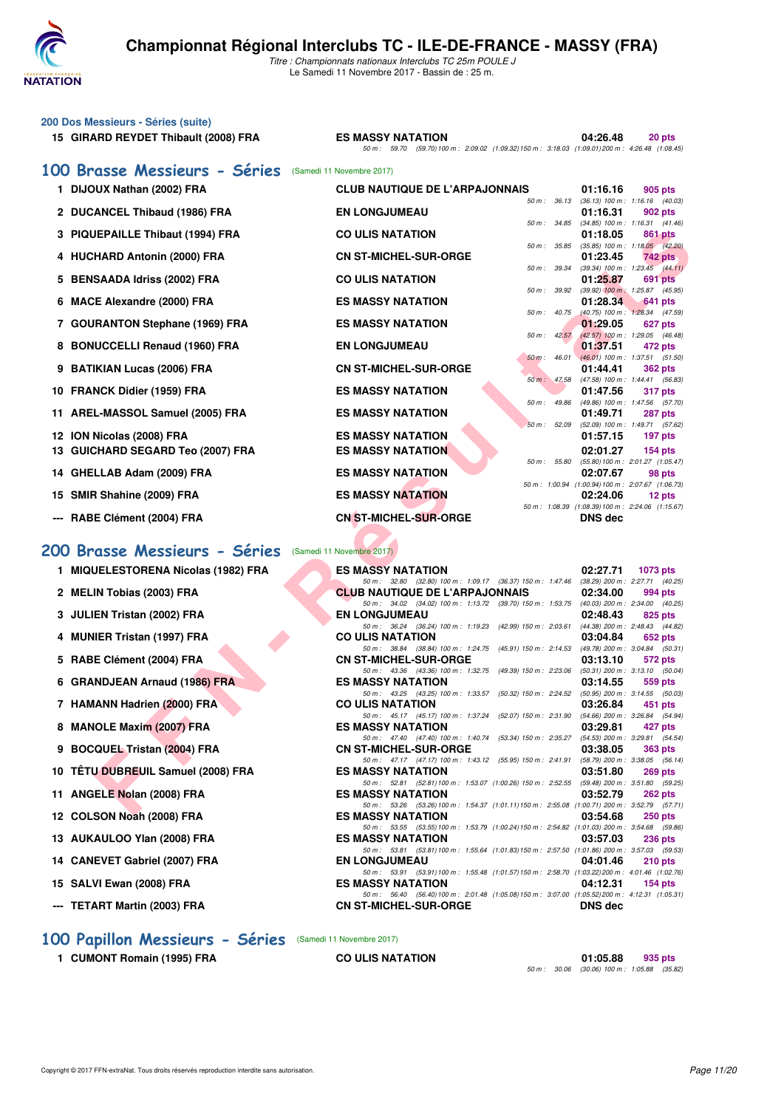

| 200 Dos Messieurs - Séries (suite)<br>15 GIRARD REYDET Thibault (2008) FRA | <b>ES MASSY NATATION</b><br>50 m: 59.70 (59.70) 100 m: 2:09.02 (1:09.32) 150 m: 3:18.03 (1:09.01) 200 m: 4:26.48 (1:08.45)     | 04:26.48<br>20 pts                                                     |
|----------------------------------------------------------------------------|--------------------------------------------------------------------------------------------------------------------------------|------------------------------------------------------------------------|
| 100 Brasse Messieurs - Séries                                              | (Samedi 11 Novembre 2017)                                                                                                      |                                                                        |
| 1 DIJOUX Nathan (2002) FRA                                                 | <b>CLUB NAUTIQUE DE L'ARPAJONNAIS</b>                                                                                          | 01:16.16<br>905 pts                                                    |
| 2 DUCANCEL Thibaud (1986) FRA                                              | $50 m$ : $36.13$<br><b>EN LONGJUMEAU</b>                                                                                       | $(36.13)$ 100 m : 1:16.16 $(40.03)$<br>01:16.31<br>902 pts             |
|                                                                            | 50 m : 34.85                                                                                                                   | $(34.85)$ 100 m : 1:16.31 $(41.46)$                                    |
| 3 PIQUEPAILLE Thibaut (1994) FRA                                           | <b>CO ULIS NATATION</b><br>50 m : 35.85                                                                                        | 01:18.05<br>861 pts<br>$(35.85)$ 100 m : 1:18.05 $(42.20)$             |
| 4 HUCHARD Antonin (2000) FRA                                               | <b>CN ST-MICHEL-SUR-ORGE</b><br>50 m : 39.34                                                                                   | 01:23.45<br><b>742 pts</b><br>$(39.34)$ 100 m : 1:23.45 $(44.11)$      |
| 5 BENSAADA Idriss (2002) FRA                                               | <b>CO ULIS NATATION</b>                                                                                                        | 01:25.87<br>691 pts                                                    |
| 6 MACE Alexandre (2000) FRA                                                | 50 m : 39.92<br><b>ES MASSY NATATION</b>                                                                                       | $(39.92)$ 100 m : 1:25.87 $(45.95)$<br>01:28.34<br>641 pts             |
|                                                                            | $50 m$ : $40.75$<br><b>ES MASSY NATATION</b>                                                                                   | (40.75) 100 m : 1:28.34 (47.59)                                        |
| 7 GOURANTON Stephane (1969) FRA                                            | $50 m$ : $42.57$                                                                                                               | 01:29.05<br>627 pts<br>$(42.57)$ 100 m : 1:29.05 $(46.48)$             |
| 8 BONUCCELLI Renaud (1960) FRA                                             | <b>EN LONGJUMEAU</b><br>$50 m$ : 46.01                                                                                         | 01:37.51<br>472 pts<br>$(46.01)$ 100 m : 1:37.51 (51.50)               |
| 9 BATIKIAN Lucas (2006) FRA                                                | <b>CN ST-MICHEL-SUR-ORGE</b>                                                                                                   | 01:44.41<br>362 pts                                                    |
| 10 FRANCK Didier (1959) FRA                                                | 50 m: 47.58<br><b>ES MASSY NATATION</b>                                                                                        | (47.58) 100 m: 1:44.41 (56.83)<br>01:47.56<br>317 pts                  |
|                                                                            | 50 m: 49.86                                                                                                                    | (49.86) 100 m: 1:47.56 (57.70)                                         |
| 11 AREL-MASSOL Samuel (2005) FRA                                           | <b>ES MASSY NATATION</b><br>50 m: 52.09                                                                                        | 01:49.71<br><b>287 pts</b><br>(52.09) 100 m: 1:49.71 (57.62)           |
| 12 ION Nicolas (2008) FRA                                                  | <b>ES MASSY NATATION</b>                                                                                                       | 01:57.15<br>197 pts                                                    |
| 13 GUICHARD SEGARD Teo (2007) FRA                                          | <b>ES MASSY NATATION</b><br>50 m: 55.80                                                                                        | 02:01.27<br>$154$ pts<br>(55.80) 100 m : 2:01.27 (1:05.47)             |
| 14 GHELLAB Adam (2009) FRA                                                 | <b>ES MASSY NATATION</b>                                                                                                       | 02:07.67<br>98 pts                                                     |
| 15 SMIR Shahine (2009) FRA                                                 | <b>ES MASSY NATATION</b>                                                                                                       | 50 m: 1:00.94 (1:00.94) 100 m: 2:07.67 (1:06.73)<br>02:24.06<br>12 pts |
|                                                                            |                                                                                                                                | 50 m: 1:08.39 (1:08.39) 100 m: 2:24.06 (1:15.67)                       |
| --- RABE Clément (2004) FRA                                                | <b>CN ST-MICHEL-SUR-ORGE</b>                                                                                                   | <b>DNS</b> dec                                                         |
| 200 Brasse Messieurs - Séries                                              | (Samedi 11 Novembre 2017)                                                                                                      |                                                                        |
| 1 MIQUELESTORENA Nicolas (1982) FRA                                        | <b>ES MASSY NATATION</b>                                                                                                       | 02:27.71<br>1073 pts                                                   |
|                                                                            | 50 m : 32.80 (32.80) 100 m : 1:09.17 (36.37) 150 m : 1:47.46                                                                   | (38.29) 200 m : 2:27.71 (40.25)                                        |
| 2 MELIN Tobias (2003) FRA                                                  | <b>CLUB NAUTIQUE DE L'ARPAJONNAIS</b><br>50 m: 34.02 (34.02) 100 m: 1:13.72 (39.70) 150 m: 1:53.75                             | 02:34.00<br>994 pts<br>(40.03) 200 m : 2:34.00 (40.25)                 |
| 3 JULIEN Tristan (2002) FRA                                                | <b>EN LONGJUMEAU</b>                                                                                                           | 02:48.43<br>825 pts                                                    |
| 4 MUNIER Tristan (1997) FRA                                                | 50 m: 36.24 (36.24) 100 m: 1:19.23 (42.99) 150 m: 2:03.61<br><b>CO ULIS NATATION</b>                                           | (44.38) 200 m : 2:48.43 (44.82)<br>03:04.84<br>652 pts                 |
| 5 RABE Clément (2004) FRA                                                  | 50 m: 38.84 (38.84) 100 m: 1:24.75 (45.91) 150 m: 2:14.53<br><b>CN ST-MICHEL-SUR-ORGE</b>                                      | (49.78) 200 m : 3:04.84 (50.31)<br>03:13.10<br>572 pts                 |
|                                                                            | 50 m: 43.36 (43.36) 100 m: 1:32.75 (49.39) 150 m: 2:23.06                                                                      | $(50.31)$ 200 m : 3:13.10 $(50.04)$                                    |
| 6 GRANDJEAN Arnaud (1986) FRA                                              | <b>ES MASSY NATATION</b><br>50 m : 43.25 (43.25) 100 m : 1:33.57 (50.32) 150 m : 2:24.52                                       | 03:14.55<br>559 pts<br>$(50.95)$ 200 m : 3:14.55 $(50.03)$             |
| 7 HAMANN Hadrien (2000) FRA                                                | <b>CO ULIS NATATION</b>                                                                                                        | 03:26.84<br>451 pts                                                    |
| 8 MANOLE Maxim (2007) FRA                                                  | 50 m: 45.17 (45.17) 100 m: 1:37.24 (52.07) 150 m: 2:31.90 (54.66) 200 m: 3:26.84 (54.94)<br><b>ES MASSY NATATION</b>           | 03:29.81<br>427 pts                                                    |
|                                                                            | 50 m: 47.40 (47.40) 100 m: 1:40.74 (53.34) 150 m: 2:35.27 (54.53) 200 m: 3:29.81 (54.54)                                       |                                                                        |
| 9 BOCQUEL Tristan (2004) FRA                                               | <b>CN ST-MICHEL-SUR-ORGE</b><br>50 m: 47.17 (47.17) 100 m: 1:43.12 (55.95) 150 m: 2:41.91                                      | 03:38.05<br><b>363 pts</b><br>(58.79) 200 m : 3:38.05 (56.14)          |
| 10 TÊTU DUBREUIL Samuel (2008) FRA                                         | <b>ES MASSY NATATION</b><br>50 m: 52.81 (52.81) 100 m: 1:53.07 (1:00.26) 150 m: 2:52.55 (59.48) 200 m: 3:51.80 (59.25)         | 03:51.80<br><b>269 pts</b>                                             |
| 11 ANGELE Nolan (2008) FRA                                                 | <b>ES MASSY NATATION</b>                                                                                                       | 03:52.79<br><b>262 pts</b>                                             |
| 10. COLOGNI NAAL (0000) EDA                                                | 50 m: 53.26 (53.26) 100 m: 1:54.37 (1:01.11) 150 m: 2:55.08 (1:00.71) 200 m: 3:52.79 (57.71)<br><b><i>COMACOV MATATION</i></b> | 00.54.00<br>$0.50 - 1.5$                                               |

- **7 HAMANN Hadrien (2000) FRA CO ULIS NATATION 03:26.84 451 pts**
- **8 MANOLE Maxim (2007) FRA** ES MASSY NATATION 03:29.81 **427 pts**<br>  $\frac{50 \text{ m} \times 4740}{4740} \frac{(4740}{491400 \text{ m} \times 140 \text{ Z}} \frac{(53341}{253 \text{ m} \times 235 \text{ Z}} \frac{(5453 \text{ m})}{(5453 \text{ m} \times 329 \text{ R})} \frac{329.81}{(545 \text{ m} \times 329 \text{ R})}$
- **9 BOCQUEL Tristan (2004) FRA CN ST-MICHEL-SUR-ORGE 03:38.05 363 pts**
- **10 TÊTU DUBREUIL Samuel (2008) FRA** ES MASSY NATATION **03:51.80 03:51.80 269 pts**<br> **ES MASSY NATATION 52.81** (52.81) 100 m: 1:53.07 (1:00.26) 150 m: 2:52.55 (59.48) 200 m: 3:51.80 (59.25)
- **11 ANGELE Nolan (2008) FRA ES MASSY NATATION 03:52.79 262 pts**
- **12 COLSON Noah (2008) FRA ES MASSY NATATION 03:54.68 250 pts**
- **13 AUKAULOO Ylan (2008) FRA ES MASSY NATATION 03:57.03 236 pts**
- **14 CANEVET Gabriel (2007) FRA EN LONGJUMEAU 04:01.46 210 pts**
- **15 SALVI Ewan (2008) FRA ES MASSY NATATION 04:12.31 154 pts**
- **--- TETART Martin (2003) FRA**

**[100 Papillon Messieurs - Séries](http://www.ffnatation.fr/webffn/resultats.php?idact=nat&go=epr&idcpt=48527&idepr=82)** (Samedi 11 Novembre 2017)

**1 CUMONT Romain (1995) FRA CO ULIS NATATION 01:05.88 935 pts**

*50 m : 30.06 (30.06) 100 m : 1:05.88 (35.82)*

*50 m : 53.55 (53.55)100 m : 1:53.79 (1:00.24)150 m : 2:54.82 (1:01.03) 200 m : 3:54.68 (59.86)*

*50 m : 53.81 (53.81)100 m : 1:55.64 (1:01.83)150 m : 2:57.50 (1:01.86) 200 m : 3:57.03 (59.53)*

*50 m : 53.26 (53.26)* 100 m : 1:54.37 (1:01.11)150 m : 2:55.08 (1:00.71) 200 m : 3:52.79 (57.71)<br>**ES MASSY NATATION** 03:54.68 250 pts

*50 m : 53.91 (53.91)* 100 m : 1:55.48 (1:01.57) 150 m : 2:58.70 (1:02.22) 200 m : 4:01.46 (1:02.76)<br>**ES MASSY NATATION** 04:12.31 154 pts

**50 m : 56.40 (56.40)100 m : 2:01.48 (1:05.08)150 m : 3:07.00 (1:05.52)200 m : 4:12.31 (1:05.31)**<br>**CN ST-MICHEL-SUR-ORGE DNS dec**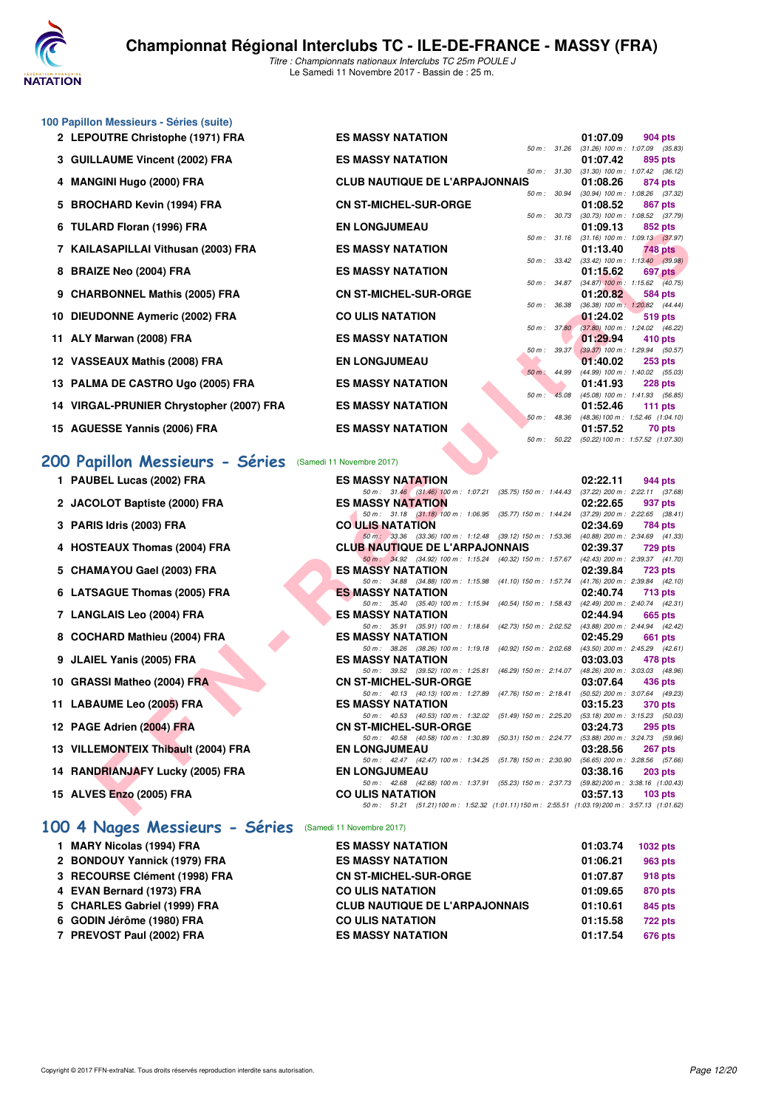

|  | 100 Papillon Messieurs - Séries (suite) |  |  |  |
|--|-----------------------------------------|--|--|--|
|--|-----------------------------------------|--|--|--|

- **2 LEPOUTRE Christophe (1971) FRA ES MASSY NATATION** 60 1:07.09 **01:07.09** 904 pts<br> **2 LEPOUTRE Christophe (1971) FRA**
- **3 GUILLAUME Vincent (2002) FRA ES MASSY NATATION 01:07.42 895 pts**
- **4 MANGINI Hugo (2000) FRA CLUB NAUTIQUE DE L'ARPAJONNAIS 01:08.26 874 pts**
- **5 BROCHARD Kevin (1994) FRA CN ST-MICHEL-SUR-ORGE 01:08.52 867 pts**
- **6 TULARD Floran (1996) FRA EN LONGJUMEAU 61:09.13**
- **7 KAILASAPILLAI Vithusan (2003) FRA ES MASSY NATATION 01:13.40 748 pts**
- **8 BRAIZE Neo (2004) FRA ES MASSY NATATION 01:15.62 697 pts**
- **9 CHARBONNEL Mathis (2005) FRA** CN ST-MICHEL-SUR-ORGE 01:20.82 584 pts<br>  $\frac{50 \text{ m} \cdot 36.38 \cdot (36.38) \cdot 100 \text{ m} \cdot 120.82}{(36.38) \cdot 100 \text{ m} \cdot 120.82}$
- **10 DIEUDONNE Aymeric (2002) FRA CO ULIS NATATION** 60m assessment parameters of the **1:24.02 619 pts**<br>
50 **1:24.02 619 pts**
- **11 ALY Marwan (2008) FRA ES MASSY NATATION** 60 and 50 and 50 and 50 and 50 and 50 and 50 and 50 and 50 and 50 and 50 and 50 and 50 and 50 and 50 and 50 and 50 and 50 and 50 and 50 and 50 and 50 and 50 and 50 and 50 and
- **12 VASSEAUX Mathis (2008) FRA EN LONGJUMEAU 12 VASSEAUX Mathis (2008) FRA EN LONGJUMEAU**
- **13 PALMA DE CASTRO Ugo (2005) FRA ES MASSY NATATION** 50 m : 45.08 (45.08) 100 m : 1:41.93 (56.68) 100 m : 1:41.93 (56.68) 100 m : 1:41.93 (56.68) 100 m : 1:41.93 (56.68) 100 m : 1:41.93 (56.68) 100 m : 1:41.93 (56.68) 1
- **14 VIRGAL-PRUNIER Chrystopher (2007) FRA ES MASSY NATATION 01:52.46 111 pts**
- **15 AGUESSE Yannis (2006) FRA ES MASSY NATATION 1:57.52 70** pts **1:57.52 70** pts **1:57.52 1:07.32 1:07.32 1:07.52 1:07.52 1:07.52 1:07.52 1:07.52 1:07.52 1:07.52 1:07.52 1:07.52 1:07.52 1:**

**1 PAUBEL Lucas (2002) FRA** 

**3 PARIS Idris (2003) FRA** 

2 JACOLOT Baptiste (2000) FRA

**4 HOSTEAUX Thomas (2004) FRA** 

**6 LATSAGUE Thomas (2005) FRA** 

8 COCHARD Mathieu (2004) FRA

5 CHAMAYOU Gael (2003) FRA

**7 LANGLAIS Leo (2004) FRA** 

**9 JLAIEL Yanis (2005) FRA** 

**10 GRASSI Matheo (2004) FRA** 

**11 LABAUME Leo (2005) FRA** 

**12 PAGE Adrien (2004) FRA** 

**15 ALVES Enzo (2005) FRA** 

**13 VILLEMONTEIX Thibault (2004) FRA** 

**14 RANDRIANJAFY Lucky (2005) FRA** 

### **[200 Papillon Messieurs - Séries](http://www.ffnatation.fr/webffn/resultats.php?idact=nat&go=epr&idcpt=48527&idepr=83)** (Samedi 11 Novembre 2017)

| אחז (1950) וואוטוז שחד                              | <b>EN LUNGJUMEAU</b>                                                                                                     | U I.UJ. I J<br><b>OJZ DIS</b>                                        |
|-----------------------------------------------------|--------------------------------------------------------------------------------------------------------------------------|----------------------------------------------------------------------|
| ASAPILLAI Vithusan (2003) FRA                       | <b>ES MASSY NATATION</b>                                                                                                 | 50 m: 31.16 (31.16) 100 m: 1:09.13 (37.97)<br>01:13.40<br>748 pts    |
| IZE Neo (2004) FRA                                  | <b>ES MASSY NATATION</b>                                                                                                 | 50 m : 33.42 (33.42) 100 m : 1:13.40 (39.98)<br>01:15.62<br>697 pts  |
|                                                     |                                                                                                                          | 50 m : 34.87 (34.87) 100 m : 1:15.62 (40.75)                         |
| RBONNEL Mathis (2005) FRA                           | <b>CN ST-MICHEL-SUR-ORGE</b><br>50 m : 36.38                                                                             | 01:20.82<br>584 pts<br>$(36.38)$ 100 m : 1:20.82 $(44.44)$           |
| <b>IDONNE Aymeric (2002) FRA</b>                    | <b>CO ULIS NATATION</b>                                                                                                  | 01:24.02<br>519 pts                                                  |
| Marwan (2008) FRA                                   | <b>ES MASSY NATATION</b>                                                                                                 | 50 m : 37.80 (37.80) 100 m : 1:24.02 (46.22)<br>01:29.94<br>410 pts  |
|                                                     |                                                                                                                          | 50 m : 39.37 (39.37) 100 m : 1:29.94 (50.57)                         |
| SEAUX Mathis (2008) FRA                             | <b>EN LONGJUMEAU</b>                                                                                                     | 01:40.02<br>$253$ pts                                                |
| MA DE CASTRO Ugo (2005) FRA                         | <b>ES MASSY NATATION</b>                                                                                                 | 50 m: 44.99 (44.99) 100 m: 1:40.02 (55.03)<br>01:41.93<br>228 pts    |
|                                                     | $50 m$ :                                                                                                                 | 45.08 (45.08) 100 m : 1:41.93 (56.85)                                |
| <b>AL-PRUNIER Chrystopher (2007) FRA</b>            | <b>ES MASSY NATATION</b>                                                                                                 | 01:52.46<br>111 $pts$                                                |
| ESSE Yannis (2006) FRA                              | <b>ES MASSY NATATION</b>                                                                                                 | 50 m : 48.36 (48.36) 100 m : 1:52.46 (1:04.10)<br>01:57.52<br>70 pts |
|                                                     |                                                                                                                          | 50 m: 50.22 (50.22) 100 m: 1:57.52 (1:07.30)                         |
|                                                     |                                                                                                                          |                                                                      |
| pillon Messieurs - Séries (Samedi 11 Novembre 2017) |                                                                                                                          |                                                                      |
| <b>BEL Lucas (2002) FRA</b>                         | <b>ES MASSY NATATION</b>                                                                                                 | 02:22.11<br>944 pts                                                  |
|                                                     | 50 m: 31.46 (31.46) 100 m: 1:07.21 (35.75) 150 m: 1:44.43 (37.22) 200 m: 2:22.11 (37.68)                                 |                                                                      |
| OLOT Baptiste (2000) FRA                            | <b>ES MASSY NATATION</b>                                                                                                 | 02:22.65<br>937 pts                                                  |
| IS Idris (2003) FRA                                 | 50 m: 31.18 (31.18) 100 m: 1:06.95 (35.77) 150 m: 1:44.24 (37.29) 200 m: 2:22.65 (38.41)<br><b>CO ULIS NATATION</b>      | 02:34.69<br>784 pts                                                  |
|                                                     | 50 m: 33.36 (33.36) 100 m: 1:12.48 (39.12) 150 m: 1:53.36 (40.88) 200 m: 2:34.69 (41.33)                                 |                                                                      |
| TEAUX Thomas (2004) FRA                             | <b>CLUB NAUTIQUE DE L'ARPAJONNAIS</b>                                                                                    | 02:39.37<br><b>729 pts</b>                                           |
| <b>MAYOU Gael (2003) FRA</b>                        | 50 m: 34.92 (34.92) 100 m: 1:15.24 (40.32) 150 m: 1:57.67 (42.43) 200 m: 2:39.37 (41.70)<br><b>ES MASSY NATATION</b>     | 02:39.84<br><b>723 pts</b>                                           |
|                                                     | 50 m: 34.88 (34.88) 100 m: 1:15.98 (41.10) 150 m: 1:57.74 (41.76) 200 m: 2:39.84 (42.10)                                 |                                                                      |
| <b>SAGUE Thomas (2005) FRA</b>                      | <b>ES MASSY NATATION</b>                                                                                                 | 02:40.74<br><b>713 pts</b>                                           |
|                                                     | 50 m: 35.40 (35.40) 100 m: 1:15.94 (40.54) 150 m: 1:58.43 (42.49) 200 m: 2:40.74 (42.31)<br><b>ES MASSY NATATION</b>     |                                                                      |
| GLAIS Leo (2004) FRA                                | 50 m: 35.91 (35.91) 100 m: 1:18.64 (42.73) 150 m: 2:02.52 (43.88) 200 m: 2:44.94 (42.42)                                 | 02:44.94<br>665 pts                                                  |
| HARD Mathieu (2004) FRA                             | <b>ES MASSY NATATION</b>                                                                                                 | 02:45.29<br>661 pts                                                  |
|                                                     | 50 m: 38.26 (38.26) 100 m: 1:19.18 (40.92) 150 m: 2:02.68 (43.50) 200 m: 2:45.29 (42.61)                                 |                                                                      |
| EL Yanis (2005) FRA                                 | <b>ES MASSY NATATION</b>                                                                                                 | 03:03.03<br>478 pts                                                  |
| SSI Matheo (2004) FRA                               | 50 m: 39.52 (39.52) 100 m: 1:25.81 (46.29) 150 m: 2:14.07 (48.26) 200 m: 3:03.03 (48.96)<br><b>CN ST-MICHEL-SUR-ORGE</b> | 03:07.64<br>436 pts                                                  |
|                                                     | 50 m: 40.13 (40.13) 100 m: 1:27.89 (47.76) 150 m: 2:18.41 (50.52) 200 m: 3:07.64 (49.23)                                 |                                                                      |
| <b>AUME Leo (2005) FRA</b>                          | <b>ES MASSY NATATION</b>                                                                                                 | 03:15.23<br>370 pts                                                  |
| E Adrien (2004) FRA                                 | 50 m: 40.53 (40.53) 100 m: 1:32.02 (51.49) 150 m: 2:25.20 (53.18) 200 m: 3:15.23 (50.03)<br><b>CN ST-MICHEL-SUR-ORGE</b> | 03:24.73<br>295 pts                                                  |
|                                                     | 50 m: 40.58 (40.58) 100 m: 1:30.89 (50.31) 150 m: 2:24.77 (53.88) 200 m: 3:24.73 (59.96)                                 |                                                                      |
| EMONTEIX Thibault (2004) FRA                        | <b>EN LONGJUMEAU</b>                                                                                                     | 03:28.56<br><b>267 pts</b>                                           |
| DRIANJAFY Lucky (2005) FRA                          | 50 m: 42.47 (42.47) 100 m: 1:34.25 (51.78) 150 m: 2:30.90 (56.65) 200 m: 3:28.56 (57.66)<br><b>EN LONGJUMEAU</b>         | 03:38.16                                                             |
|                                                     | 50 m: 42.68 (42.68) 100 m: 1:37.91 (55.23) 150 m: 2:37.73 (59.82) 200 m: 3:38.16 (1:00.43)                               | 203 pts                                                              |
| ES E <mark>nzo</mark> (2005) FRA                    | <b>CO ULIS NATATION</b>                                                                                                  | 03:57.13<br>103 $pts$                                                |
|                                                     | 50 m: 51.21 (51.21) 100 m: 1:52.32 (1:01.11) 150 m: 2:55.51 (1:03.19) 200 m: 3:57.13 (1:01.62)                           |                                                                      |
|                                                     |                                                                                                                          |                                                                      |

*50 m : 31.26 (31.26) 100 m : 1:07.09 (35.83)*

*50 m : 31.30 (31.30) 100 m : 1:07.42 (36.12)*

*50 m : 30.94 (30.94) 100 m : 1:08.26 (37.32)*

*50 m : 30.73 (30.73) 100 m : 1:08.52 (37.79)*

**[100 4 Nages Messieurs - Séries](http://www.ffnatation.fr/webffn/resultats.php?idact=nat&go=epr&idcpt=48527&idepr=90)** (Samedi 11 Novembre 2017)

| 1 MARY Nicolas (1994) FRA     | <b>ES MASSY NATATION</b>              | 01:03.74 | 1032 pts       |
|-------------------------------|---------------------------------------|----------|----------------|
| 2 BONDOUY Yannick (1979) FRA  | <b>ES MASSY NATATION</b>              | 01:06.21 | 963 pts        |
| 3 RECOURSE Clément (1998) FRA | <b>CN ST-MICHEL-SUR-ORGE</b>          | 01:07.87 | 918 pts        |
| 4 EVAN Bernard (1973) FRA     | <b>CO ULIS NATATION</b>               | 01:09.65 | 870 pts        |
| 5 CHARLES Gabriel (1999) FRA  | <b>CLUB NAUTIQUE DE L'ARPAJONNAIS</b> | 01:10.61 | 845 pts        |
| 6 GODIN Jérôme (1980) FRA     | <b>CO ULIS NATATION</b>               | 01:15.58 | <b>722 pts</b> |
| 7 PREVOST Paul (2002) FRA     | <b>ES MASSY NATATION</b>              | 01:17.54 | 676 pts        |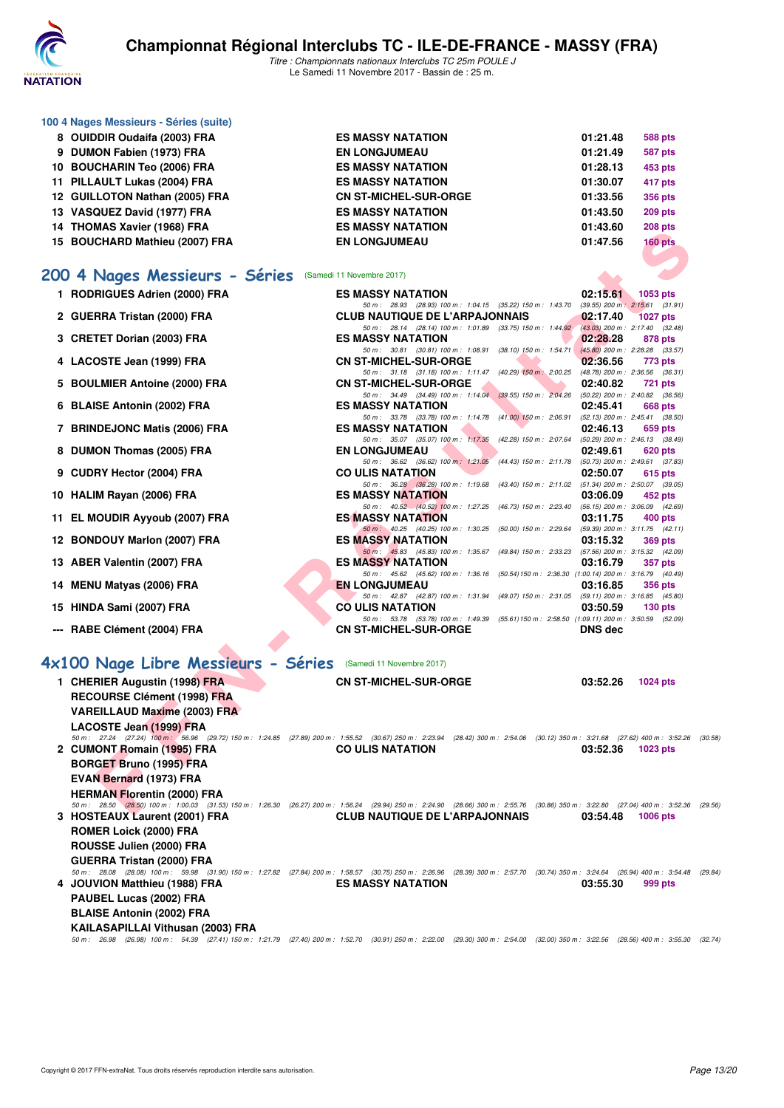

*Titre : Championnats nationaux Interclubs TC 25m POULE J* Le Samedi 11 Novembre 2017 - Bassin de : 25 m.

| 100 4 Nages Messieurs - Séries (suite) |                              |          |                |
|----------------------------------------|------------------------------|----------|----------------|
| 8 OUIDDIR Oudaifa (2003) FRA           | <b>ES MASSY NATATION</b>     | 01:21.48 | 588 pts        |
| 9 DUMON Fabien (1973) FRA              | <b>EN LONGJUMEAU</b>         | 01:21.49 | 587 pts        |
| 10 BOUCHARIN Teo (2006) FRA            | <b>ES MASSY NATATION</b>     | 01:28.13 | 453 pts        |
| 11 PILLAULT Lukas (2004) FRA           | <b>ES MASSY NATATION</b>     | 01:30.07 | 417 pts        |
| 12 GUILLOTON Nathan (2005) FRA         | <b>CN ST-MICHEL-SUR-ORGE</b> | 01:33.56 | 356 pts        |
| 13 VASQUEZ David (1977) FRA            | <b>ES MASSY NATATION</b>     | 01:43.50 | <b>209 pts</b> |
| 14 THOMAS Xavier (1968) FRA            | <b>ES MASSY NATATION</b>     | 01:43.60 | <b>208 pts</b> |
| 15 BOUCHARD Mathieu (2007) FRA         | <b>EN LONGJUMEAU</b>         | 01:47.56 | $160$ pts      |
|                                        |                              |          |                |

# **[200 4 Nages Messieurs - Séries](http://www.ffnatation.fr/webffn/resultats.php?idact=nat&go=epr&idcpt=48527&idepr=91)** (Samedi 11 Novembre 2017)

| <b>14 THUMAJ AQVICI (1300) FRA</b>                                                                                                                                              | EJ MAJJI NATATIVN                                                                                                                 | 01.43.00       | zuo pis         |
|---------------------------------------------------------------------------------------------------------------------------------------------------------------------------------|-----------------------------------------------------------------------------------------------------------------------------------|----------------|-----------------|
| 15 BOUCHARD Mathieu (2007) FRA                                                                                                                                                  | <b>EN LONGJUMEAU</b>                                                                                                              | 01:47.56       | $160$ pts       |
|                                                                                                                                                                                 |                                                                                                                                   |                |                 |
| 00 4 Nages Messieurs - Séries                                                                                                                                                   | (Samedi 11 Novembre 2017)                                                                                                         |                |                 |
| 1 RODRIGUES Adrien (2000) FRA                                                                                                                                                   | <b>ES MASSY NATATION</b>                                                                                                          | 02:15.61       | 1053 pts        |
| 2 GUERRA Tristan (2000) FRA                                                                                                                                                     | 50 m: 28.93 (28.93) 100 m: 1:04.15 (35.22) 150 m: 1:43.70 (39.55) 200 m: 2:15.61 (31.91)<br><b>CLUB NAUTIQUE DE L'ARPAJONNAIS</b> | 02:17.40       | <b>1027 pts</b> |
|                                                                                                                                                                                 | 50 m : 28.14 (28.14) 100 m : 1:01.89 (33.75) 150 m : 1:44.92 (43.03) 200 m : 2:17.40 (32.48)                                      |                |                 |
| 3 CRETET Dorian (2003) FRA                                                                                                                                                      | <b>ES MASSY NATATION</b>                                                                                                          | 02:28.28       | 878 pts         |
|                                                                                                                                                                                 | 50 m: 30.81 (30.81) 100 m: 1:08.91 (38.10) 150 m: 1:54.71 (45.80) 200 m: 2:28.28 (33.57)                                          |                |                 |
| 4 LACOSTE Jean (1999) FRA                                                                                                                                                       | <b>CN ST-MICHEL-SUR-ORGE</b><br>50 m: 31.18 (31.18) 100 m: 1:11.47 (40.29) 150 m: 2:00.25 (48.78) 200 m: 2:36.56 (36.31)          | 02:36.56       | 773 pts         |
| 5 BOULMIER Antoine (2000) FRA                                                                                                                                                   | <b>CN ST-MICHEL-SUR-ORGE</b>                                                                                                      | 02:40.82       | <b>721 pts</b>  |
|                                                                                                                                                                                 | 50 m: 34.49 (34.49) 100 m: 1:14.04 (39.55) 150 m: 2:04.26 (50.22) 200 m: 2:40.82 (36.56)                                          |                |                 |
| 6 BLAISE Antonin (2002) FRA                                                                                                                                                     | <b>ES MASSY NATATION</b>                                                                                                          | 02:45.41       | 668 pts         |
| 7 BRINDEJONC Matis (2006) FRA                                                                                                                                                   | 50 m: 33.78 (33.78) 100 m: 1:14.78 (41.00) 150 m: 2:06.91 (52.13) 200 m: 2:45.41 (38.50)<br><b>ES MASSY NATATION</b>              | 02:46.13       | 659 pts         |
|                                                                                                                                                                                 | 50 m: 35.07 (35.07) 100 m: 1:17.35 (42.28) 150 m: 2:07.64 (50.29) 200 m: 2:46.13 (38.49)                                          |                |                 |
| 8 DUMON Thomas (2005) FRA                                                                                                                                                       | <b>EN LONGJUMEAU</b>                                                                                                              | 02:49.61       | 620 pts         |
|                                                                                                                                                                                 | 50 m: 36.62 (36.62) 100 m: 1:21.05<br>(44.43) 150 m : 2:11.78 (50.73) 200 m : 2:49.61 (37.83)                                     |                |                 |
| 9 CUDRY Hector (2004) FRA                                                                                                                                                       | <b>CO ULIS NATATION</b>                                                                                                           | 02:50.07       | 615 pts         |
| 10 HALIM Rayan (2006) FRA                                                                                                                                                       | 50 m: 36.28 (36.28) 100 m: 1:19.68<br>(43.40) 150 m : 2:11.02 (51.34) 200 m : 2:50.07 (39.05)<br><b>ES MASSY NATATION</b>         | 03:06.09       | 452 pts         |
|                                                                                                                                                                                 | 50 m: 40.52 (40.52) 100 m: 1:27.25 (46.73) 150 m: 2:23.40 (56.15) 200 m: 3:06.09 (42.69)                                          |                |                 |
| 11 EL MOUDIR Ayyoub (2007) FRA                                                                                                                                                  | <b>ES MASSY NATATION</b>                                                                                                          | 03:11.75       | 400 pts         |
|                                                                                                                                                                                 | (50.00) 150 m : 2:29.64 (59.39) 200 m : 3:11.75 (42.11)<br>50 m: 40.25 (40.25) 100 m: 1:30.25                                     |                |                 |
| 12 BONDOUY Marlon (2007) FRA                                                                                                                                                    | <b>ES MASSY NATATION</b><br>50 m: 45.83 (45.83) 100 m: 1:35.67 (49.84) 150 m: 2:33.23 (57.56) 200 m: 3:15.32 (42.09)              | 03:15.32       | 369 pts         |
| 13 ABER Valentin (2007) FRA                                                                                                                                                     | <b>ES MASSY NATATION</b>                                                                                                          | 03:16.79       | 357 pts         |
|                                                                                                                                                                                 | 50 m: 45.62 (45.62) 100 m: 1:36.16 (50.54) 150 m: 2:36.30 (1:00.14) 200 m: 3:16.79 (40.49)                                        |                |                 |
| 14 MENU Matyas (2006) FRA                                                                                                                                                       | <b>EN LONGJUMEAU</b>                                                                                                              | 03:16.85       | <b>356 pts</b>  |
| 15 HINDA Sami (2007) FRA                                                                                                                                                        | 50 m: 42.87 (42.87) 100 m: 1:31.94 (49.07) 150 m: 2:31.05 (59.11) 200 m: 3:16.85 (45.80)<br><b>CO ULIS NATATION</b>               | 03:50.59       | 130 pts         |
|                                                                                                                                                                                 | 50 m: 53.78 (53.78) 100 m: 1:49.39 (55.61) 150 m: 2:58.50 (1:09.11) 200 m: 3:50.59 (52.09)                                        |                |                 |
| --- RABE Clément (2004) FRA                                                                                                                                                     | <b>CN ST-MICHEL-SUR-ORGE</b>                                                                                                      | <b>DNS</b> dec |                 |
|                                                                                                                                                                                 |                                                                                                                                   |                |                 |
| x100 Nage Libre Messieurs - Séries (Samedi 11 Novembre 2017)                                                                                                                    |                                                                                                                                   |                |                 |
| 1 CHERIER Augustin (1998) FRA                                                                                                                                                   | <b>CN ST-MICHEL-SUR-ORGE</b>                                                                                                      | 03:52.26       | <b>1024 pts</b> |
| <b>RECOURSE Clément (1998) FRA</b>                                                                                                                                              |                                                                                                                                   |                |                 |
| <b>VAREILLAUD Maxime (2003) FRA</b>                                                                                                                                             |                                                                                                                                   |                |                 |
| LACOSTE Jean (1999) FRA                                                                                                                                                         |                                                                                                                                   |                |                 |
| 50 m: 27.24 (27.24) 100 m: 56.96 (29.72) 150 m: 1:24.85 (27.89) 200 m: 1:55.52 (30.67) 250 m: 2:23.94 (28.42) 300 m: 2:54.06 (30.12) 350 m: 3:21.68 (27.62) 400 m: 3:52.26 (30  |                                                                                                                                   |                |                 |
| 2 CUMONT Romain (1995) FRA                                                                                                                                                      | <b>CO ULIS NATATION</b>                                                                                                           | 03:52.36       | 1023 pts        |
| <b>BORGET Bruno (1995) FRA</b>                                                                                                                                                  |                                                                                                                                   |                |                 |
| <b>EVAN Bernard (1973) FRA</b>                                                                                                                                                  |                                                                                                                                   |                |                 |
| <b>HERMAN Florentin (2000) FRA</b>                                                                                                                                              |                                                                                                                                   |                |                 |
| 50 m: 28.50 (28.50) 100 m: 1:00.03 (31.53) 150 m: 1:26.30 (26.27) 200 m: 1:56.24 (29.94) 250 m: 2:24.90 (28.66) 300 m: 2:55.76 (30.86) 350 m: 3:22.80 (27.04) 400 m: 3:52.36 (2 |                                                                                                                                   |                |                 |
|                                                                                                                                                                                 |                                                                                                                                   |                |                 |

## **[4x100 Nage Libre Messieurs - Séries](http://www.ffnatation.fr/webffn/resultats.php?idact=nat&go=epr&idcpt=48527&idepr=93)** (Samedi 11 Novembre 2017)

| 1 CHERIER Augustin (1998) FRA       | <b>CN ST-MICHEL-SUR-ORGE</b>                                                                                                                                                               | 03:52.26<br><b>1024 pts</b> |
|-------------------------------------|--------------------------------------------------------------------------------------------------------------------------------------------------------------------------------------------|-----------------------------|
| <b>RECOURSE Clément (1998) FRA</b>  |                                                                                                                                                                                            |                             |
| <b>VAREILLAUD Maxime (2003) FRA</b> |                                                                                                                                                                                            |                             |
| LACOSTE Jean (1999) FRA             |                                                                                                                                                                                            |                             |
|                                     | 50 m: 27.24 (27.24) 100 m: 56.96 (29.72) 150 m: 1:24.85 (27.89) 200 m: 1:55.52 (30.67) 250 m: 2:23.94 (28.42) 300 m: 2:54.06 (30.12) 350 m: 3:21.68 (27.62) 400 m: 3:52.26                 | (30.58)                     |
| 2 CUMONT Romain (1995) FRA          | <b>CO ULIS NATATION</b>                                                                                                                                                                    | 03:52.36<br>1023 pts        |
| <b>BORGET Bruno (1995) FRA</b>      |                                                                                                                                                                                            |                             |
| <b>EVAN Bernard (1973) FRA</b>      |                                                                                                                                                                                            |                             |
| <b>HERMAN Florentin (2000) FRA</b>  |                                                                                                                                                                                            |                             |
|                                     | 50 m: 28.50 (28.50) 100 m: 1:00.03 (31.53) 150 m: 1:26.30 (26.27) 200 m: 1:56.24 (29.94) 250 m: 2:24.90 (28.66) 300 m: 2:55.76 (30.86) 350 m: 3:22.80 (27.04) 400 m: 3:52.36               | (29.56)                     |
| 3 HOSTEAUX Laurent (2001) FRA       | <b>CLUB NAUTIQUE DE L'ARPAJONNAIS</b>                                                                                                                                                      | 03:54.48<br><b>1006 pts</b> |
| <b>ROMER Loick (2000) FRA</b>       |                                                                                                                                                                                            |                             |
| ROUSSE Julien (2000) FRA            |                                                                                                                                                                                            |                             |
| <b>GUERRA Tristan (2000) FRA</b>    |                                                                                                                                                                                            |                             |
|                                     | 50 m: 28.08 (28.08) 100 m: 59.98 (31.90) 150 m: 1:27.82 (27.84) 200 m: 1:58.57 (30.75) 250 m: 2:26.96 (28.39) 300 m: 2:57.70 (30.74) 350 m: 3:24.64 (26.94) 400 m: 3:54.48 (29.84)         |                             |
| 4 JOUVION Matthieu (1988) FRA       | <b>ES MASSY NATATION</b>                                                                                                                                                                   | 03:55.30<br>999 pts         |
| PAUBEL Lucas (2002) FRA             |                                                                                                                                                                                            |                             |
| <b>BLAISE Antonin (2002) FRA</b>    |                                                                                                                                                                                            |                             |
| KAILASAPILLAI Vithusan (2003) FRA   |                                                                                                                                                                                            |                             |
|                                     | 50 m : 26.98 (26.98) 100 m : 54.39 (27.41) 150 m : 1:21.79 (27.40) 200 m : 1:52.70 (30.91) 250 m : 2:22.00 (29.30) 300 m : 2:54.00 (32.00) 350 m : 3:22.56 (28.56) 400 m : 3:55.30 (32.74) |                             |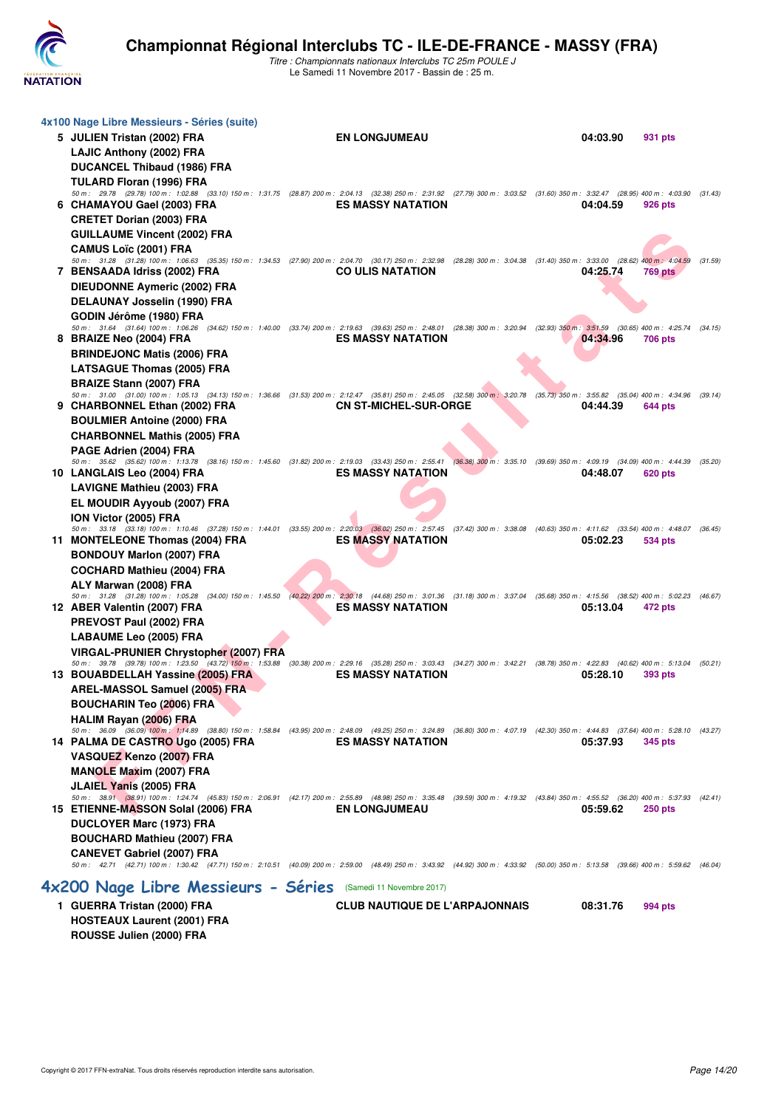

*Titre : Championnats nationaux Interclubs TC 25m POULE J* Le Samedi 11 Novembre 2017 - Bassin de : 25 m.

| 4x100 Nage Libre Messieurs - Séries (suite)<br>5 JULIEN Tristan (2002) FRA<br><b>LAJIC Anthony (2002) FRA</b><br><b>DUCANCEL Thibaud (1986) FRA</b><br>TULARD Floran (1996) FRA                                                                                                                                                                      | <b>EN LONGJUMEAU</b>                  | 04:03.90                                                                         | 931 pts                   |
|------------------------------------------------------------------------------------------------------------------------------------------------------------------------------------------------------------------------------------------------------------------------------------------------------------------------------------------------------|---------------------------------------|----------------------------------------------------------------------------------|---------------------------|
| 50 m: 29.78 (29.78) 100 m: 1:02.88 (33.10) 150 m: 1:31.75 (28.87) 200 m: 2:04.13 (32.38) 250 m: 2:31.92 (27.79) 300 m: 3:03.52 (31.60) 350 m: 3:32.47 (28.95) 400 m: 4:03.90<br>6 CHAMAYOU Gael (2003) FRA<br><b>CRETET Dorian (2003) FRA</b><br><b>GUILLAUME Vincent (2002) FRA</b><br><b>CAMUS Loïc (2001) FRA</b>                                 | <b>ES MASSY NATATION</b>              | 04:04.59                                                                         | (31.43)<br>926 pts        |
| 50 m: 31.28 (31.28) 100 m: 1:06.63 (35.35) 150 m: 1:34.53 (27.90) 200 m: 2:04.70 (30.17) 250 m: 2:32.98 (28.28) 300 m: 3:04.38 (31.40) 350 m: 3:33.00 (28.62) 400 m: 4:04.59<br>7 BENSAADA Idriss (2002) FRA<br><b>DIEUDONNE Aymeric (2002) FRA</b><br>DELAUNAY Josselin (1990) FRA                                                                  | <b>CO ULIS NATATION</b>               | 04:25.74                                                                         | (31.59)<br><b>769 pts</b> |
| GODIN Jérôme (1980) FRA<br>50 m : 31.64 (31.64) 100 m : 1:06.26 (34.62) 150 m : 1:40.00 (33.74) 200 m : 2:19.63 (39.63) 250 m : 2:48.01<br>8 BRAIZE Neo (2004) FRA<br><b>BRINDEJONC Matis (2006) FRA</b><br><b>LATSAGUE Thomas (2005) FRA</b>                                                                                                        | <b>ES MASSY NATATION</b>              | (28.38) 300 m: 3:20.94 (32.93) 350 m: 3:51.59 (30.65) 400 m: 4:25.74<br>04:34.96 | (34.15)<br><b>706 pts</b> |
| <b>BRAIZE Stann (2007) FRA</b><br>50 m : 31.00 (31.00) 100 m : 1:05.13 (34.13) 150 m : 1:36.66 (31.53) 200 m : 2:12.47 (35.81) 250 m : 2:45.05 (32.58) 300 m : 3:20.78 (35.73) 350 m : 3:55.82 (35.04) 400 m : 4:34.96 (39.14)<br>9 CHARBONNEL Ethan (2002) FRA<br><b>BOULMIER Antoine (2000) FRA</b><br><b>CHARBONNEL Mathis (2005) FRA</b>         | <b>CN ST-MICHEL-SUR-ORGE</b>          | 04:44.39                                                                         | 644 pts                   |
| PAGE Adrien (2004) FRA<br>50 m : 35.62 (35.62) 100 m : 1:13.78 (38.16) 150 m : 1:45.60 (31.82) 200 m : 2:19.03 (33.43) 250 m : 2:55.41 (36.38) 300 m : 3:35.10 (39.69) 350 m : 4:09.19 (34.09) 400 m : 4:44.39 (35.20)<br>10 LANGLAIS Leo (2004) FRA<br><b>LAVIGNE Mathieu (2003) FRA</b><br>EL MOUDIR Ayyoub (2007) FRA                             | <b>ES MASSY NATATION</b>              | 04:48.07                                                                         | 620 pts                   |
| ION Victor (2005) FRA<br>50 m : 33.18 (33.18) 100 m : 1:10.46 (37.28) 150 m : 1:44.01 (33.55) 200 m : 2:20.03 (36.02) 250 m : 2:57.45 (37.42) 300 m : 3:38.08 (40.63) 350 m : 4:11.62 (33.54) 400 m : 4:48.07 (36.45)<br>11 MONTELEONE Thomas (2004) FRA<br><b>BONDOUY Marlon (2007) FRA</b><br><b>COCHARD Mathieu (2004) FRA</b>                    | <b>ES MASSY NATATION</b>              | 05:02.23                                                                         | 534 pts                   |
| ALY Marwan (2008) FRA<br>50 m: 31.28 (31.28) 100 m: 1:05.28 (34.00) 150 m: 1:45.50 (40.22) 200 m: 2:30.18 (44.68) 250 m: 3:01.36 (31.18) 300 m: 3:37.04 (35.68) 350 m: 4:15.56 (38.52) 400 m: 5:02.23<br>12 ABER Valentin (2007) FRA<br>PREVOST Paul (2002) FRA<br><b>LABAUME Leo (2005) FRA</b>                                                     | <b>ES MASSY NATATION</b>              | 05:13.04                                                                         | (46.67)<br>472 pts        |
| <b>VIRGAL-PRUNIER Chrystopher (2007) FRA</b><br>50 m: 39.78 (39.78) 100 m: 1:23.50 (43.72) 150 m: 1:53.88 (30.38) 200 m: 2:29.16 (35.28) 250 m: 3:03.43 (34.27) 300 m: 3:42.21 (38.78) 350 m: 4:22.83 (40.62) 400 m: 5:13.04 (50.21)<br>13 BOUABDELLAH Yassine (2005) FRA<br><b>AREL-MASSOL Samuel (2005) FRA</b><br><b>BOUCHARIN Teo (2006) FRA</b> | <b>ES MASSY NATATION</b>              | 05:28.10                                                                         | 393 pts                   |
| <b>HALIM Rayan (2006) FRA</b><br>50 m : 36.09 (36.09) 100 m : 1:14.89 (38.80) 150 m : 1:58.84 (43.95) 200 m : 2:48.09 (49.25) 250 m : 3:24.89 (36.80) 300 m : 4:07.19 (42.30) 350 m : 4:44.83 (37.64) 400 m : 5:28.10 (43.27)<br>14 PALMA DE CASTRO Ugo (2005) FRA<br>VASQUEZ Kenzo (2007) FRA<br><b>MANOLE Maxim (2007) FRA</b>                     | <b>ES MASSY NATATION</b>              | 05:37.93                                                                         | 345 pts                   |
| <b>JLAIEL Yanis (2005) FRA</b><br>50 m: 38.91 (38.91) 100 m: 1:24.74 (45.83) 150 m: 2:06.91 (42.17) 200 m: 2:55.89 (48.98) 250 m: 3:35.48 (39.59) 300 m: 4:19.32 (43.84) 350 m: 4:55.52 (36.20) 400 m: 5:37.93 (42.41)<br>15 ETIENNE-MASSON Solal (2006) FRA<br><b>DUCLOYER Marc (1973) FRA</b><br><b>BOUCHARD Mathieu (2007) FRA</b>                | <b>EN LONGJUMEAU</b>                  | 05:59.62                                                                         | <b>250 pts</b>            |
| <b>CANEVET Gabriel (2007) FRA</b><br>50 m: 42.71 (42.71) 100 m: 1:30.42 (47.71) 150 m: 2:10.51 (40.09) 200 m: 2:59.00 (48.49) 250 m: 3:43.92 (44.92) 300 m: 4:33.92 (50.00) 350 m: 5:13.58 (39.66) 400 m: 5:59.62 (46.04)                                                                                                                            |                                       |                                                                                  |                           |
| 4x200 Nage Libre Messieurs - Séries (Samedi 11 Novembre 2017)                                                                                                                                                                                                                                                                                        |                                       |                                                                                  |                           |
| 1 GUERRA Tristan (2000) FRA<br><b>HOSTEAUX Laurent (2001) FRA</b>                                                                                                                                                                                                                                                                                    | <b>CLUB NAUTIQUE DE L'ARPAJONNAIS</b> | 08:31.76                                                                         | 994 pts                   |

**ROUSSE Julien (2000) FRA**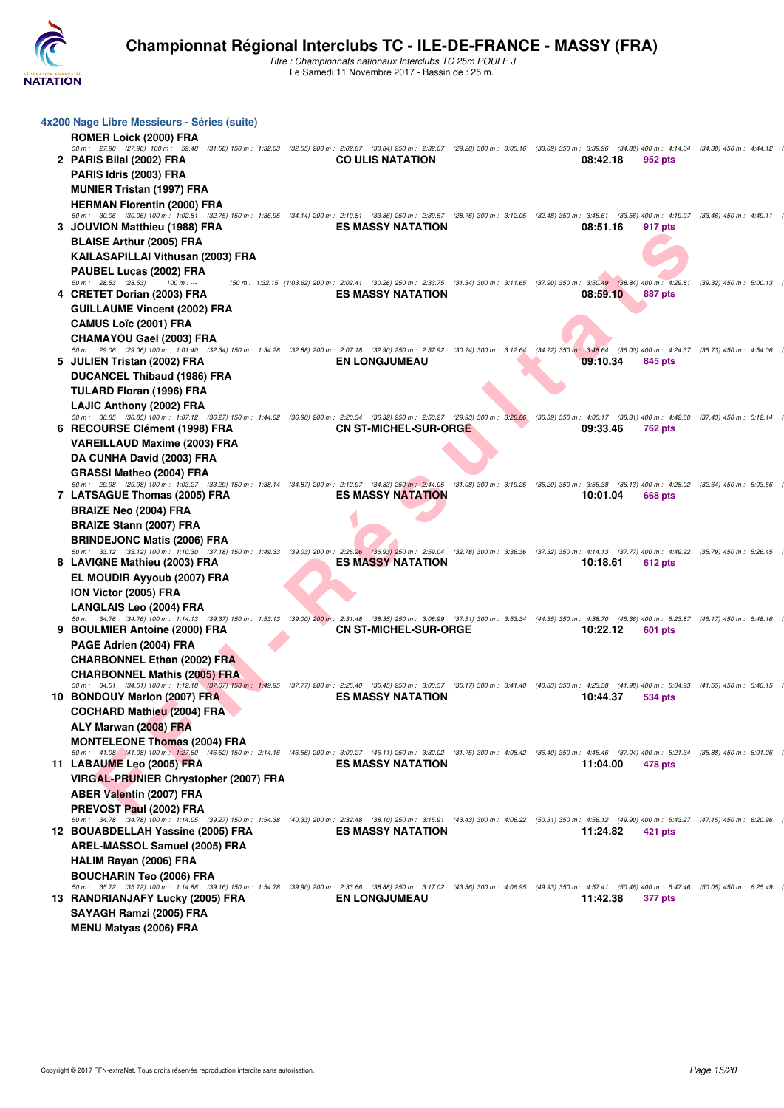

|   | 4x200 Nage Libre Messieurs - Séries (suite)                                                                                                                                                                                                |                                                                                                                                                            |  |          |                |                           |  |
|---|--------------------------------------------------------------------------------------------------------------------------------------------------------------------------------------------------------------------------------------------|------------------------------------------------------------------------------------------------------------------------------------------------------------|--|----------|----------------|---------------------------|--|
|   | <b>ROMER Loick (2000) FRA</b>                                                                                                                                                                                                              |                                                                                                                                                            |  |          |                |                           |  |
|   | 50 m: 27.90 (27.90) 100 m: 59.48 (31.58) 150 m: 1:32.03 (32.55) 200 m: 2:02.87 (30.84) 250 m: 2:32.07 (29.20) 300 m: 3:05.16 (33.09) 350 m: 3:39.96 (34.80) 400 m: 4:14.34 (34.38) 450 m: 4:14.12<br>2 PARIS Bilal (2002) FRA              | <b>CO ULIS NATATION</b>                                                                                                                                    |  | 08:42.18 | 952 pts        |                           |  |
|   | PARIS Idris (2003) FRA                                                                                                                                                                                                                     |                                                                                                                                                            |  |          |                |                           |  |
|   | <b>MUNIER Tristan (1997) FRA</b>                                                                                                                                                                                                           |                                                                                                                                                            |  |          |                |                           |  |
|   | <b>HERMAN Florentin (2000) FRA</b>                                                                                                                                                                                                         |                                                                                                                                                            |  |          |                |                           |  |
|   | 50 m: 30.06 (30.06) 100 m: 1:02.81 (32.75) 150 m: 1:36.95 (34.14) 200 m: 2:10.81 (33.86) 250 m: 2:39.57 (28.76) 300 m: 3:12.05 (32.48) 350 m: 3:45.61 (33.56) 400 m: 4:19.07 (33.46) 450 m: 4:49.11                                        |                                                                                                                                                            |  |          |                |                           |  |
|   | 3 JOUVION Matthieu (1988) FRA                                                                                                                                                                                                              | <b>ES MASSY NATATION</b>                                                                                                                                   |  | 08:51.16 | 917 pts        |                           |  |
|   | <b>BLAISE Arthur (2005) FRA</b>                                                                                                                                                                                                            |                                                                                                                                                            |  |          |                |                           |  |
|   | KAILASAPILLAI Vithusan (2003) FRA                                                                                                                                                                                                          |                                                                                                                                                            |  |          |                |                           |  |
|   | PAUBEL Lucas (2002) FRA<br>50 m : 28.53 (28.53)<br>$100 m: -$                                                                                                                                                                              | 150 m: 1:32.15 (1:03.62) 200 m: 2:02.41 (30.26) 250 m: 2:33.75 (31.34) 300 m: 3:11.65 (37.90) 350 m: 3:50.49 (38.84) 400 m: 4:29.81 (39.32) 450 m: 5:00.13 |  |          |                |                           |  |
|   | 4 CRETET Dorian (2003) FRA                                                                                                                                                                                                                 | <b>ES MASSY NATATION</b>                                                                                                                                   |  | 08:59.10 | <b>887 pts</b> |                           |  |
|   | GUILLAUME Vincent (2002) FRA                                                                                                                                                                                                               |                                                                                                                                                            |  |          |                |                           |  |
|   | <b>CAMUS Loïc (2001) FRA</b>                                                                                                                                                                                                               |                                                                                                                                                            |  |          |                |                           |  |
|   | <b>CHAMAYOU Gael (2003) FRA</b>                                                                                                                                                                                                            |                                                                                                                                                            |  |          |                |                           |  |
|   | 50 m: 29.06 (29.06) 100 m: 1:01.40 (32.34) 150 m: 1:34.28 (32.88) 200 m: 2:07.18 (32.90) 250 m: 2:37.92 (30.74) 300 m: 3:12.64 (34.72) 350 m: 3:48.64 (36.00) 400 m: 4:24.37 (35.73) 450 m: 4:54.06                                        | <b>EN LONGJUMEAU</b>                                                                                                                                       |  |          |                |                           |  |
|   | 5 JULIEN Tristan (2002) FRA<br>DUCANCEL Thibaud (1986) FRA                                                                                                                                                                                 |                                                                                                                                                            |  | 09:10.34 | 845 pts        |                           |  |
|   | TULARD Floran (1996) FRA                                                                                                                                                                                                                   |                                                                                                                                                            |  |          |                |                           |  |
|   | LAJIC Anthony (2002) FRA                                                                                                                                                                                                                   |                                                                                                                                                            |  |          |                |                           |  |
|   | 50 m: 30.85 (30.85) 100 m: 1:07.12 (36.27) 150 m: 1:44.02 (36.90) 200 m: 2:20.34 (36.32) 250 m: 2:50.27 (29.93) 300 m: 3:26.86 (36.59) 350 m: 4:05.17 (38.31) 400 m: 4:42.60                                                               |                                                                                                                                                            |  |          |                | $(37.43)$ 450 m : 5:12.14 |  |
| 6 | RECOURSE Clément (1998) FRA                                                                                                                                                                                                                | <b>CN ST-MICHEL-SUR-ORGE</b>                                                                                                                               |  | 09:33.46 | <b>762 pts</b> |                           |  |
|   | <b>VAREILLAUD Maxime (2003) FRA</b>                                                                                                                                                                                                        |                                                                                                                                                            |  |          |                |                           |  |
|   | DA CUNHA David (2003) FRA                                                                                                                                                                                                                  |                                                                                                                                                            |  |          |                |                           |  |
|   | <b>GRASSI Matheo (2004) FRA</b><br>50 m: 29.98 (29.98) 100 m: 1:03.27 (33.29) 150 m: 1:38.14 (34.87) 200 m: 2:12.97 (34.83) 250 m: 2:44.05 (31.08) 300 m: 3:19.25 (35.20) 350 m: 3:55.38 (36.13) 400 m: 4:28.02 (32.64) 450 m: 5:03.56     |                                                                                                                                                            |  |          |                |                           |  |
|   | 7 LATSAGUE Thomas (2005) FRA                                                                                                                                                                                                               | <b>ES MASSY NATATION</b>                                                                                                                                   |  | 10:01.04 | 668 pts        |                           |  |
|   | <b>BRAIZE Neo (2004) FRA</b>                                                                                                                                                                                                               |                                                                                                                                                            |  |          |                |                           |  |
|   | <b>BRAIZE Stann (2007) FRA</b>                                                                                                                                                                                                             |                                                                                                                                                            |  |          |                |                           |  |
|   | <b>BRINDEJONC Matis (2006) FRA</b>                                                                                                                                                                                                         |                                                                                                                                                            |  |          |                |                           |  |
|   | 50 m: 33.12 (33.12) 100 m: 1:10.30 (37.18) 150 m: 1:49.33 (39.03) 200 m: 2:26.26 (36.93) 250 m: 2:59.04 (32.78) 300 m: 3:36.36 (37.32) 350 m: 4:14.13 (37.77) 400 m: 4:49.92 (35.79) 450 m: 5:26.45                                        |                                                                                                                                                            |  |          |                |                           |  |
|   | 8 LAVIGNE Mathieu (2003) FRA                                                                                                                                                                                                               | <b>ES MASSY NATATION</b>                                                                                                                                   |  | 10:18.61 | 612 pts        |                           |  |
|   | EL MOUDIR Ayyoub (2007) FRA<br>ION Victor (2005) FRA                                                                                                                                                                                       |                                                                                                                                                            |  |          |                |                           |  |
|   | <b>LANGLAIS Leo (2004) FRA</b>                                                                                                                                                                                                             |                                                                                                                                                            |  |          |                |                           |  |
|   | 50 m: 34.76 (34.76) 100 m: 1:14.13 (39.37) 150 m: 1:53.13 (39.00) 200 m: 2:31.48 (38.35) 250 m: 3:08.99 (37.51) 300 m: 3:53.34 (44.35) 350 m: 4:38.70 (45.36) 400 m: 5:23.87 (45.17) 450 m: 5:48.16                                        |                                                                                                                                                            |  |          |                |                           |  |
|   | 9 BOULMIER Antoine (2000) FRA                                                                                                                                                                                                              | <b>CN ST-MICHEL-SUR-ORGE</b>                                                                                                                               |  | 10:22.12 | 601 pts        |                           |  |
|   | PAGE Adrien (2004) FRA                                                                                                                                                                                                                     |                                                                                                                                                            |  |          |                |                           |  |
|   | <b>CHARBONNEL Ethan (2002) FRA</b>                                                                                                                                                                                                         |                                                                                                                                                            |  |          |                |                           |  |
|   | <b>CHARBONNEL Mathis (2005) FRA</b><br>50 m: 34.51 (34.51) 100 m: 1:12.18 (37.67) 150 m: 1:49.95 (37.77) 200 m: 2:25.40 (35.45) 250 m: 3:00.57 (35.17) 300 m: 3:41.40 (40.83) 350 m: 4:23.38 (41.98) 400 m: 5:04.93 (41.55) 450 m: 5:40.15 |                                                                                                                                                            |  |          |                |                           |  |
|   | 10 BONDOUY Marlon (2007) FRA                                                                                                                                                                                                               | <b>ES MASSY NATATION</b>                                                                                                                                   |  | 10:44.37 | 534 pts        |                           |  |
|   | <b>COCHARD Mathieu (2004) FRA</b>                                                                                                                                                                                                          |                                                                                                                                                            |  |          |                |                           |  |
|   | ALY Marwan (2008) FRA                                                                                                                                                                                                                      |                                                                                                                                                            |  |          |                |                           |  |
|   | <b>MONTELEONE Thomas (2004) FRA</b>                                                                                                                                                                                                        |                                                                                                                                                            |  |          |                |                           |  |
|   | 50 m: 41.08 (41.08) 100 m: 1:27.60 (46.52) 150 m: 2:14.16 (46.56) 200 m: 3:00.27 (46.11) 250 m: 3:32.02 (31.75) 300 m: 4:08.42 (36.40) 350 m: 4:45.46 (37.04) 400 m: 5:21.34 (35.88) 450 m: 6:01.26                                        | <b>ES MASSY NATATION</b>                                                                                                                                   |  | 11:04.00 |                |                           |  |
|   | 11 LABAUME Leo (2005) FRA<br><b>VIRGAL-PRUNIER Chrystopher (2007) FRA</b>                                                                                                                                                                  |                                                                                                                                                            |  |          | 478 pts        |                           |  |
|   | <b>ABER Valentin (2007) FRA</b>                                                                                                                                                                                                            |                                                                                                                                                            |  |          |                |                           |  |
|   | PREVOST Paul (2002) FRA                                                                                                                                                                                                                    |                                                                                                                                                            |  |          |                |                           |  |
|   | 50 m: 34.78 (34.78) 100 m: 1:14.05 (39.27) 150 m: 1:54.38 (40.33) 200 m: 2:32.48 (38.10) 250 m: 3:15.91 (43.43) 300 m: 4:06.22 (50.31) 350 m: 4:56.12 (49.90) 400 m: 5:43.27 (47.15) 450 m: 6:20.96                                        |                                                                                                                                                            |  |          |                |                           |  |
|   | 12 BOUABDELLAH Yassine (2005) FRA                                                                                                                                                                                                          | <b>ES MASSY NATATION</b>                                                                                                                                   |  | 11:24.82 | 421 pts        |                           |  |
|   | AREL-MASSOL Samuel (2005) FRA                                                                                                                                                                                                              |                                                                                                                                                            |  |          |                |                           |  |
|   | <b>HALIM Rayan (2006) FRA</b>                                                                                                                                                                                                              |                                                                                                                                                            |  |          |                |                           |  |
|   | <b>BOUCHARIN Teo (2006) FRA</b>                                                                                                                                                                                                            |                                                                                                                                                            |  |          |                |                           |  |
|   | 50 m: 35.72 (35.72) 100 m: 1:14.88 (39.16) 150 m: 1:54.78 (39.90) 200 m: 2:33.66 (38.88) 250 m: 3:17.02 (43.36) 300 m: 4:06.95 (49.93) 350 m: 4:57.41 (50.46) 400 m: 5:47.46 (50.05) 450 m: 6:25.49<br>13 RANDRIANJAFY Lucky (2005) FRA    | <b>EN LONGJUMEAU</b>                                                                                                                                       |  | 11:42.38 | <b>377 pts</b> |                           |  |
|   | SAYAGH Ramzi (2005) FRA                                                                                                                                                                                                                    |                                                                                                                                                            |  |          |                |                           |  |
|   | <b>MENU Matyas (2006) FRA</b>                                                                                                                                                                                                              |                                                                                                                                                            |  |          |                |                           |  |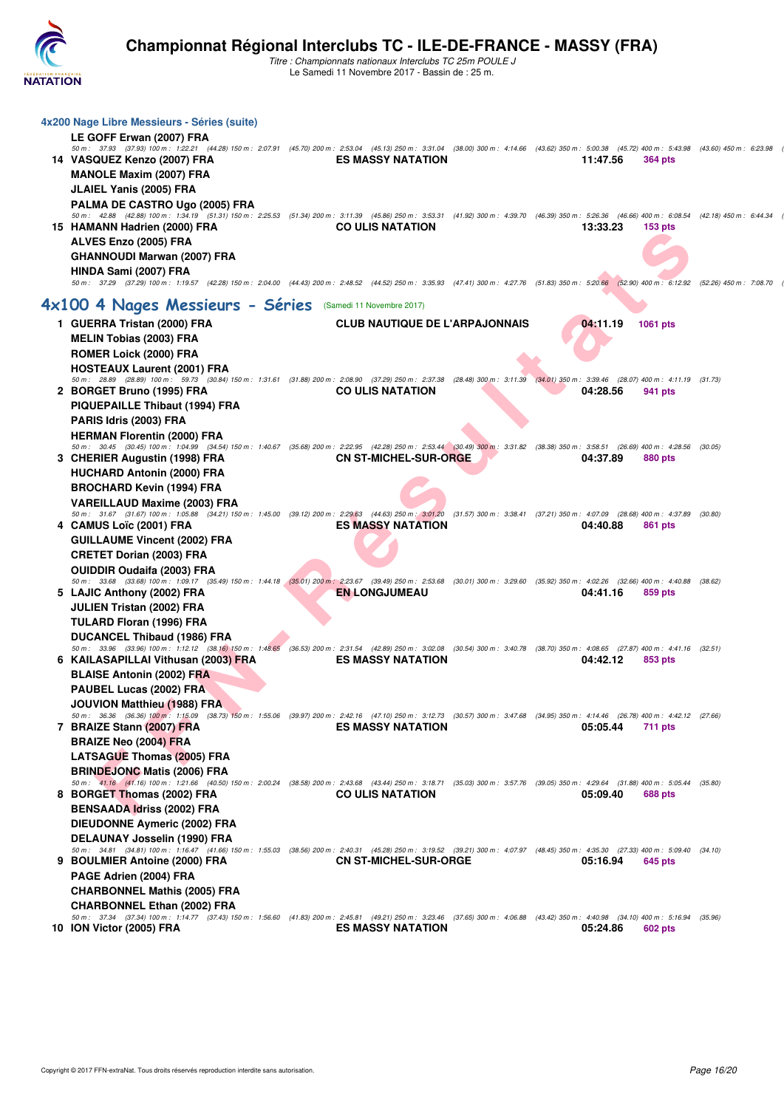

| 4x200 Nage Libre Messieurs - Séries (suite)                                                                                                                                                                                           |                                       |  |          |                    |                         |  |
|---------------------------------------------------------------------------------------------------------------------------------------------------------------------------------------------------------------------------------------|---------------------------------------|--|----------|--------------------|-------------------------|--|
| LE GOFF Erwan (2007) FRA                                                                                                                                                                                                              |                                       |  |          |                    |                         |  |
| 50 m: 37.93 (37.93) 100 m: 1:22.21 (44.28) 150 m: 2:07.91 (45.70) 200 m: 2:53.04 (45.13) 250 m: 3:31.04 (38.00) 300 m: 4:14.66 (43.62) 350 m: 5:00.38 (45.72) 400 m: 5:43.98 (43.60) 450 m: 6:23.98                                   |                                       |  |          |                    |                         |  |
| 14 VASQUEZ Kenzo (2007) FRA                                                                                                                                                                                                           | <b>ES MASSY NATATION</b>              |  | 11:47.56 | <b>364 pts</b>     |                         |  |
| <b>MANOLE Maxim (2007) FRA</b>                                                                                                                                                                                                        |                                       |  |          |                    |                         |  |
| <b>JLAIEL Yanis (2005) FRA</b>                                                                                                                                                                                                        |                                       |  |          |                    |                         |  |
| PALMA DE CASTRO Ugo (2005) FRA<br>50 m: 42.88 (42.88) 100 m: 1:34.19 (51.31) 150 m: 2:25.53 (51.34) 200 m: 3:11.39 (45.86) 250 m: 3:53.31 (41.92) 300 m: 4:39.70 (46.39) 350 m: 5:26.36 (46.66) 400 m: 6:08.54 (42.18) 450 m: 6:44.34 |                                       |  |          |                    |                         |  |
| 15 HAMANN Hadrien (2000) FRA                                                                                                                                                                                                          | <b>CO ULIS NATATION</b>               |  | 13:33.23 | 153 <sub>pts</sub> |                         |  |
| ALVES Enzo (2005) FRA                                                                                                                                                                                                                 |                                       |  |          |                    |                         |  |
| <b>GHANNOUDI Marwan (2007) FRA</b>                                                                                                                                                                                                    |                                       |  |          |                    |                         |  |
| HINDA Sami (2007) FRA                                                                                                                                                                                                                 |                                       |  |          |                    |                         |  |
| 50 m: 37.29 (37.29) 100 m: 1:19.57 (42.28) 150 m: 2:04.00 (44.43) 200 m: 2:48.52 (44.52) 250 m: 3:35.93 (47.41) 300 m: 4:27.76 (51.83) 350 m: 5:20.66 (52.90) 400 m: 6:12.92                                                          |                                       |  |          |                    | (52.26) 450 m : 7:08.70 |  |
|                                                                                                                                                                                                                                       |                                       |  |          |                    |                         |  |
| 4x100 4 Nages Messieurs - Séries (Samedi 11 Novembre 2017)                                                                                                                                                                            |                                       |  |          |                    |                         |  |
| 1 GUERRA Tristan (2000) FRA                                                                                                                                                                                                           | <b>CLUB NAUTIQUE DE L'ARPAJONNAIS</b> |  | 04:11.19 | 1061 pts           |                         |  |
| <b>MELIN Tobias (2003) FRA</b>                                                                                                                                                                                                        |                                       |  |          |                    |                         |  |
| <b>ROMER Loick (2000) FRA</b>                                                                                                                                                                                                         |                                       |  |          |                    |                         |  |
| <b>HOSTEAUX Laurent (2001) FRA</b>                                                                                                                                                                                                    |                                       |  |          |                    |                         |  |
| 50 m : 28.89 (28.89) 100 m : 59.73 (30.84) 150 m : 1:31.61 (31.88) 200 m : 2:08.90 (37.29) 250 m : 2:37.38 (28.48) 300 m : 3:11.39 (34.01) 350 m : 3:39.46 (28.07) 400 m : 4:11.19 (31.73)                                            |                                       |  |          |                    |                         |  |
| 2 BORGET Bruno (1995) FRA                                                                                                                                                                                                             | <b>CO ULIS NATATION</b>               |  | 04:28.56 | 941 pts            |                         |  |
| PIQUEPAILLE Thibaut (1994) FRA                                                                                                                                                                                                        |                                       |  |          |                    |                         |  |
| PARIS Idris (2003) FRA                                                                                                                                                                                                                |                                       |  |          |                    |                         |  |
| <b>HERMAN Florentin (2000) FRA</b>                                                                                                                                                                                                    |                                       |  |          |                    |                         |  |
| 50 m: 30.45 (30.45) 100 m: 1:04.99 (34.54) 150 m: 1:40.67 (35.68) 200 m: 2:22.95 (42.28) 250 m: 2:53.44 (30.49) 300 m: 3:31.82 (38.38) 350 m: 3:58.51 (26.69) 400 m: 4:28.56<br>3 CHERIER Augustin (1998) FRA                         | <b>CN ST-MICHEL-SUR-ORGE</b>          |  | 04:37.89 | 880 pts            | (30.05)                 |  |
| <b>HUCHARD Antonin (2000) FRA</b>                                                                                                                                                                                                     |                                       |  |          |                    |                         |  |
|                                                                                                                                                                                                                                       |                                       |  |          |                    |                         |  |
| <b>BROCHARD Kevin (1994) FRA</b>                                                                                                                                                                                                      |                                       |  |          |                    |                         |  |
| <b>VAREILLAUD Maxime (2003) FRA</b><br>50 m: 31.67 (31.67) 100 m: 1:05.88 (34.21) 150 m: 1:45.00 (39.12) 200 m: 2:29.63 (44.63) 250 m: 3:01.20 (31.57) 300 m: 3:38.41 (37.21) 350 m: 4:07.09 (28.68) 400 m: 4:37.89                   |                                       |  |          |                    | (30.80)                 |  |
| 4 CAMUS Loïc (2001) FRA                                                                                                                                                                                                               | <b>ES MASSY NATATION</b>              |  | 04:40.88 | 861 pts            |                         |  |
| <b>GUILLAUME Vincent (2002) FRA</b>                                                                                                                                                                                                   |                                       |  |          |                    |                         |  |
| <b>CRETET Dorian (2003) FRA</b>                                                                                                                                                                                                       |                                       |  |          |                    |                         |  |
| <b>OUIDDIR Oudaifa (2003) FRA</b>                                                                                                                                                                                                     |                                       |  |          |                    |                         |  |
| 50 m: 33.68 (33.68) 100 m: 1:09.17 (35.49) 150 m: 1:44.18 (35.01) 200 m: 2:23.67 (39.49) 250 m: 2:53.68 (30.01) 300 m: 3:29.60 (35.92) 350 m: 4:02.26 (32.66) 400 m: 4:40.88 (38.62)                                                  |                                       |  |          |                    |                         |  |
| 5 LAJIC Anthony (2002) FRA                                                                                                                                                                                                            | <b>EN LONGJUMEAU</b>                  |  | 04:41.16 | 859 pts            |                         |  |
| <b>JULIEN Tristan (2002) FRA</b>                                                                                                                                                                                                      |                                       |  |          |                    |                         |  |
| TULARD Floran (1996) FRA                                                                                                                                                                                                              |                                       |  |          |                    |                         |  |
| <b>DUCANCEL Thibaud (1986) FRA</b>                                                                                                                                                                                                    |                                       |  |          |                    |                         |  |
| 50 m: 33.96 (33.96) 100 m: 1:12.12 (38.16) 150 m: 1:48.65 (36.53) 200 m: 2:31.54 (42.89) 250 m: 3:02.08 (30.54) 300 m: 3:40.78 (38.70) 350 m: 4:08.65 (27.87) 400 m: 4:41.16 (32.51)                                                  |                                       |  |          |                    |                         |  |
| 6 KAILASAPILLAI Vithusan (2003) FRA                                                                                                                                                                                                   | <b>ES MASSY NATATION</b>              |  | 04:42.12 | 853 pts            |                         |  |
| <b>BLAISE Antonin (2002) FRA</b>                                                                                                                                                                                                      |                                       |  |          |                    |                         |  |
| <b>PAUBEL Lucas (2002) FRA</b>                                                                                                                                                                                                        |                                       |  |          |                    |                         |  |
| JOUVION Matthieu (1988) FRA                                                                                                                                                                                                           |                                       |  |          |                    |                         |  |
| 50 m: 36.36 (36.36) 100 m: 1:15.09 (38.73) 150 m: 1:55.06 (39.97) 200 m: 2:42.16 (47.10) 250 m: 3:12.73 (30.57) 300 m: 3:47.68 (34.95) 350 m: 4:14.46 (26.78) 400 m: 4:42.12 (27.66)<br>7 BRAIZE Stann (2007) FRA                     | <b>ES MASSY NATATION</b>              |  | 05:05.44 | 711 pts            |                         |  |
| <b>BRAIZE Neo (2004) FRA</b>                                                                                                                                                                                                          |                                       |  |          |                    |                         |  |
| <b>LATSAGUE Thomas (2005) FRA</b>                                                                                                                                                                                                     |                                       |  |          |                    |                         |  |
| <b>BRINDEJONC Matis (2006) FRA</b>                                                                                                                                                                                                    |                                       |  |          |                    |                         |  |
| 50 m: 41.16 (41.16) 100 m: 1:21.66 (40.50) 150 m: 2:00.24 (38.58) 200 m: 2:43.68 (43.44) 250 m: 3:18.71 (35.03) 300 m: 3:57.76 (39.05) 350 m: 4:29.64 (31.88) 400 m: 5:05.44 (35.80)                                                  |                                       |  |          |                    |                         |  |
| 8 BORGET Thomas (2002) FRA                                                                                                                                                                                                            | <b>CO ULIS NATATION</b>               |  | 05:09.40 | 688 pts            |                         |  |
| <b>BENSAADA Idriss (2002) FRA</b>                                                                                                                                                                                                     |                                       |  |          |                    |                         |  |
| <b>DIEUDONNE Aymeric (2002) FRA</b>                                                                                                                                                                                                   |                                       |  |          |                    |                         |  |
| DELAUNAY Josselin (1990) FRA                                                                                                                                                                                                          |                                       |  |          |                    |                         |  |
| 50 m: 34.81 (34.81) 100 m: 1:16.47 (41.66) 150 m: 1:55.03 (38.56) 200 m: 2:40.31 (45.28) 250 m: 3:19.52 (39.21) 300 m: 4:07.97 (48.45) 350 m: 4:35.30 (27.33) 400 m: 5:09.40 (34.10)                                                  |                                       |  |          |                    |                         |  |
| 9 BOULMIER Antoine (2000) FRA                                                                                                                                                                                                         | <b>CN ST-MICHEL-SUR-ORGE</b>          |  | 05:16.94 | <b>645 pts</b>     |                         |  |
| PAGE Adrien (2004) FRA                                                                                                                                                                                                                |                                       |  |          |                    |                         |  |
| <b>CHARBONNEL Mathis (2005) FRA</b>                                                                                                                                                                                                   |                                       |  |          |                    |                         |  |
| <b>CHARBONNEL Ethan (2002) FRA</b>                                                                                                                                                                                                    |                                       |  |          |                    |                         |  |
| 50 m : 37.34 (37.34) 100 m : 1:14.77 (37.43) 150 m : 1:56.60 (41.83) 200 m : 2:45.81 (49.21) 250 m : 3:23.46 (37.65) 300 m : 4:06.88 (43.42) 350 m : 4:40.98 (34.10) 400 m : 5:16.94 (35.96)<br>10 ION Victor (2005) FRA              | <b>ES MASSY NATATION</b>              |  | 05:24.86 | 602 pts            |                         |  |
|                                                                                                                                                                                                                                       |                                       |  |          |                    |                         |  |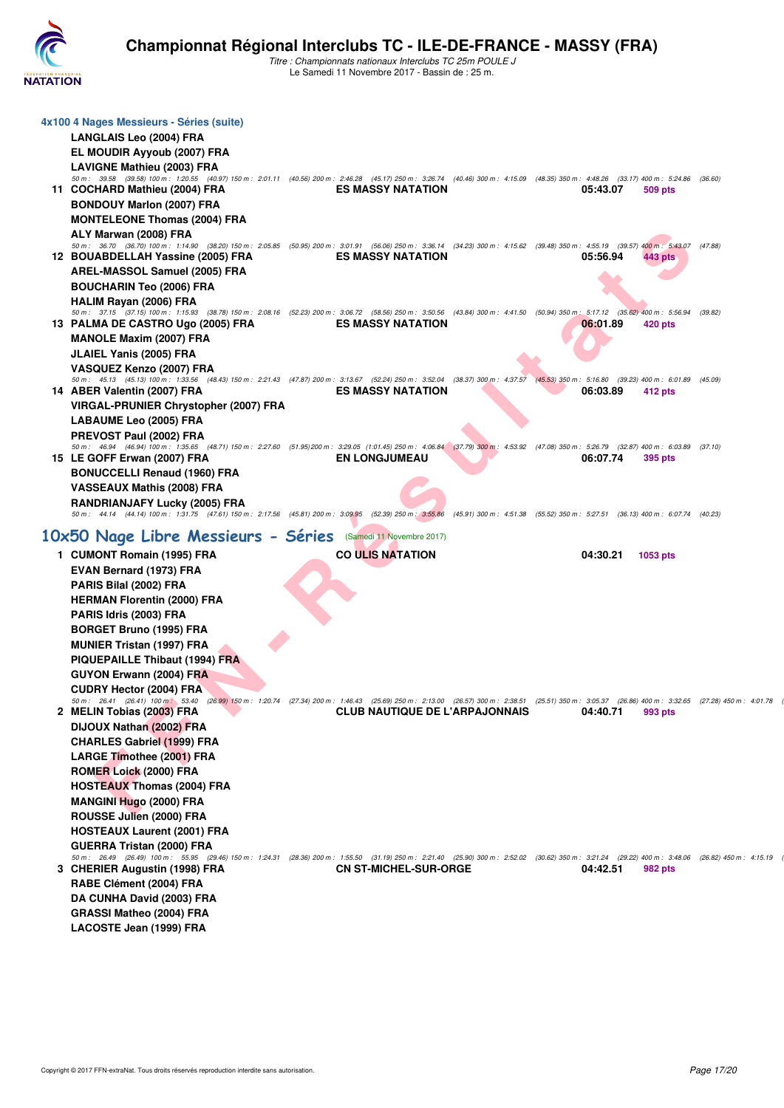

| 4x100 4 Nages Messieurs - Séries (suite)                                                                                                                                                                                            |                                       |  |          |                |         |
|-------------------------------------------------------------------------------------------------------------------------------------------------------------------------------------------------------------------------------------|---------------------------------------|--|----------|----------------|---------|
| <b>LANGLAIS Leo (2004) FRA</b>                                                                                                                                                                                                      |                                       |  |          |                |         |
| EL MOUDIR Ayyoub (2007) FRA                                                                                                                                                                                                         |                                       |  |          |                |         |
|                                                                                                                                                                                                                                     |                                       |  |          |                |         |
| <b>LAVIGNE Mathieu (2003) FRA</b><br>50 m : 39.58 (39.58) 100 m : 1:20.55 (40.97) 150 m : 2:01.11 (40.56) 200 m : 2:46.28 (45.17) 250 m : 3:26.74 (40.46) 300 m : 4:15.09 (48.35) 350 m : 4:48.26 (33.17) 400 m : 5:24.86 (36.60)   |                                       |  |          |                |         |
| 11 COCHARD Mathieu (2004) FRA                                                                                                                                                                                                       | <b>ES MASSY NATATION</b>              |  | 05:43.07 | 509 pts        |         |
| <b>BONDOUY Marlon (2007) FRA</b>                                                                                                                                                                                                    |                                       |  |          |                |         |
| <b>MONTELEONE Thomas (2004) FRA</b>                                                                                                                                                                                                 |                                       |  |          |                |         |
| ALY Marwan (2008) FRA                                                                                                                                                                                                               |                                       |  |          |                |         |
| 50 m: 36.70 (36.70) 100 m: 1:14.90 (38.20) 150 m: 2:05.85 (50.95) 200 m: 3:01.91 (56.06) 250 m: 3:36.14 (34.23) 300 m: 4:15.62 (39.48) 350 m: 4:55.19 (39.57) 400 m: 5:43.07                                                        |                                       |  |          |                | (47.88) |
| 12 BOUABDELLAH Yassine (2005) FRA                                                                                                                                                                                                   | <b>ES MASSY NATATION</b>              |  | 05:56.94 | 443 pts        |         |
| AREL-MASSOL Samuel (2005) FRA                                                                                                                                                                                                       |                                       |  |          |                |         |
| <b>BOUCHARIN Teo (2006) FRA</b>                                                                                                                                                                                                     |                                       |  |          |                |         |
| HALIM Rayan (2006) FRA                                                                                                                                                                                                              |                                       |  |          |                |         |
| 50 m: 37.15 (37.15) 100 m: 1:15.93 (38.78) 150 m: 2:08.16 (52.23) 200 m: 3:06.72 (58.56) 250 m: 3:50.56 (43.84) 300 m: 4:41.50 (50.94) 350 m: 5:17.12 (35.62) 400 m: 5:56.94<br>13 PALMA DE CASTRO Ugo (2005) FRA                   | <b>ES MASSY NATATION</b>              |  | 06:01.89 | 420 pts        | (39.82) |
| <b>MANOLE Maxim (2007) FRA</b>                                                                                                                                                                                                      |                                       |  |          |                |         |
| <b>JLAIEL Yanis (2005) FRA</b>                                                                                                                                                                                                      |                                       |  |          |                |         |
| VASQUEZ Kenzo (2007) FRA                                                                                                                                                                                                            |                                       |  |          |                |         |
| 50 m: 45.13 (45.13) 100 m: 1:33.56 (48.43) 150 m: 2:21.43 (47.87) 200 m: 3:13.67 (52.24) 250 m: 3:52.04 (38.37) 300 m: 4:37.57 (45.53) 350 m: 5:16.80 (39.23) 400 m: 6:01.89 (45.09)                                                |                                       |  |          |                |         |
| 14 ABER Valentin (2007) FRA                                                                                                                                                                                                         | <b>ES MASSY NATATION</b>              |  | 06:03.89 | 412 pts        |         |
| VIRGAL-PRUNIER Chrystopher (2007) FRA                                                                                                                                                                                               |                                       |  |          |                |         |
| <b>LABAUME Leo (2005) FRA</b>                                                                                                                                                                                                       |                                       |  |          |                |         |
| PREVOST Paul (2002) FRA                                                                                                                                                                                                             |                                       |  |          |                |         |
| 50 m: 46.94 (46.94) 100 m: 1:35.65 (48.71) 150 m: 2:27.60 (51.95) 200 m: 3:29.05 (1:01.45) 250 m: 4:06.84 (37.79) 300 m: 4:53.92 (47.08) 350 m: 5:26.79 (32.87) 400 m: 6:03.89 (37.10)                                              |                                       |  |          |                |         |
| 15 LE GOFF Erwan (2007) FRA                                                                                                                                                                                                         | <b>EN LONGJUMEAU</b>                  |  | 06:07.74 | 395 pts        |         |
| <b>BONUCCELLI Renaud (1960) FRA</b>                                                                                                                                                                                                 |                                       |  |          |                |         |
| VASSEAUX Mathis (2008) FRA                                                                                                                                                                                                          |                                       |  |          |                |         |
| <b>RANDRIANJAFY Lucky (2005) FRA</b><br>50 m: 44.14 (44.14) 100 m: 1:31.75 (47.61) 150 m: 2:17.56 (45.81) 200 m: 3:09.95 (52.39) 250 m: 3:55.86 (45.91) 300 m: 4:51.38 (55.52) 350 m: 5:27.51 (36.13) 400 m: 6:07.74 (40.23)        |                                       |  |          |                |         |
|                                                                                                                                                                                                                                     |                                       |  |          |                |         |
|                                                                                                                                                                                                                                     |                                       |  |          |                |         |
| 10x50 Nage Libre Messieurs - Séries (Samedi 11 Novembre 2017)                                                                                                                                                                       |                                       |  |          |                |         |
| 1 CUMONT Romain (1995) FRA                                                                                                                                                                                                          | <b>CO ULIS NATATION</b>               |  | 04:30.21 | 1053 pts       |         |
| EVAN Bernard (1973) FRA                                                                                                                                                                                                             |                                       |  |          |                |         |
| PARIS Bilal (2002) FRA                                                                                                                                                                                                              |                                       |  |          |                |         |
| <b>HERMAN Florentin (2000) FRA</b>                                                                                                                                                                                                  |                                       |  |          |                |         |
| PARIS Idris (2003) FRA                                                                                                                                                                                                              |                                       |  |          |                |         |
| <b>BORGET Bruno (1995) FRA</b>                                                                                                                                                                                                      |                                       |  |          |                |         |
| <b>MUNIER Tristan (1997) FRA</b>                                                                                                                                                                                                    |                                       |  |          |                |         |
|                                                                                                                                                                                                                                     |                                       |  |          |                |         |
| PIQUEPAILLE Thibaut (1994) FRA                                                                                                                                                                                                      |                                       |  |          |                |         |
| <b>GUYON Erwann (2004) FRA</b>                                                                                                                                                                                                      |                                       |  |          |                |         |
| <b>CUDRY Hector (2004) FRA</b><br>50 m: 26.41 (26.41) 100 m; 53.40 (26.99) 150 m: 1:20.74 (27.34) 200 m: 1:46.43 (25.69) 250 m: 2:13.00 (26.57) 300 m: 2:38.51 (25.51) 350 m: 3:05.37 (26.86) 400 m: 3:32.65 (27.28) 450 m: 4:01.78 |                                       |  |          |                |         |
| 2 MELIN Tobias (2003) FRA                                                                                                                                                                                                           | <b>CLUB NAUTIQUE DE L'ARPAJONNAIS</b> |  | 04:40.71 | 993 pts        |         |
| DIJOUX Nathan (2002) FRA                                                                                                                                                                                                            |                                       |  |          |                |         |
| <b>CHARLES Gabriel (1999) FRA</b>                                                                                                                                                                                                   |                                       |  |          |                |         |
| LARGE Timothee (2001) FRA                                                                                                                                                                                                           |                                       |  |          |                |         |
| ROMER Loick (2000) FRA                                                                                                                                                                                                              |                                       |  |          |                |         |
| <b>HOSTEAUX Thomas (2004) FRA</b>                                                                                                                                                                                                   |                                       |  |          |                |         |
| <b>MANGINI Hugo (2000) FRA</b>                                                                                                                                                                                                      |                                       |  |          |                |         |
| ROUSSE Julien (2000) FRA                                                                                                                                                                                                            |                                       |  |          |                |         |
| <b>HOSTEAUX Laurent (2001) FRA</b>                                                                                                                                                                                                  |                                       |  |          |                |         |
| GUERRA Tristan (2000) FRA                                                                                                                                                                                                           |                                       |  |          |                |         |
| 50 m: 26.49 (26.49) 100 m: 55.95 (29.46) 150 m: 1:24.31 (28.36) 200 m: 1:55.50 (31.19) 250 m: 2:21.40 (25.90) 300 m: 2:52.02 (30.62) 350 m: 3:21.24 (29.22) 400 m: 3:48.06 (26.82) 450 m: 4:15.19                                   |                                       |  |          |                |         |
| 3 CHERIER Augustin (1998) FRA                                                                                                                                                                                                       | <b>CN ST-MICHEL-SUR-ORGE</b>          |  | 04:42.51 | <b>982 pts</b> |         |
| RABE Clément (2004) FRA                                                                                                                                                                                                             |                                       |  |          |                |         |
| DA CUNHA David (2003) FRA                                                                                                                                                                                                           |                                       |  |          |                |         |
| <b>GRASSI Matheo (2004) FRA</b><br>LACOSTE Jean (1999) FRA                                                                                                                                                                          |                                       |  |          |                |         |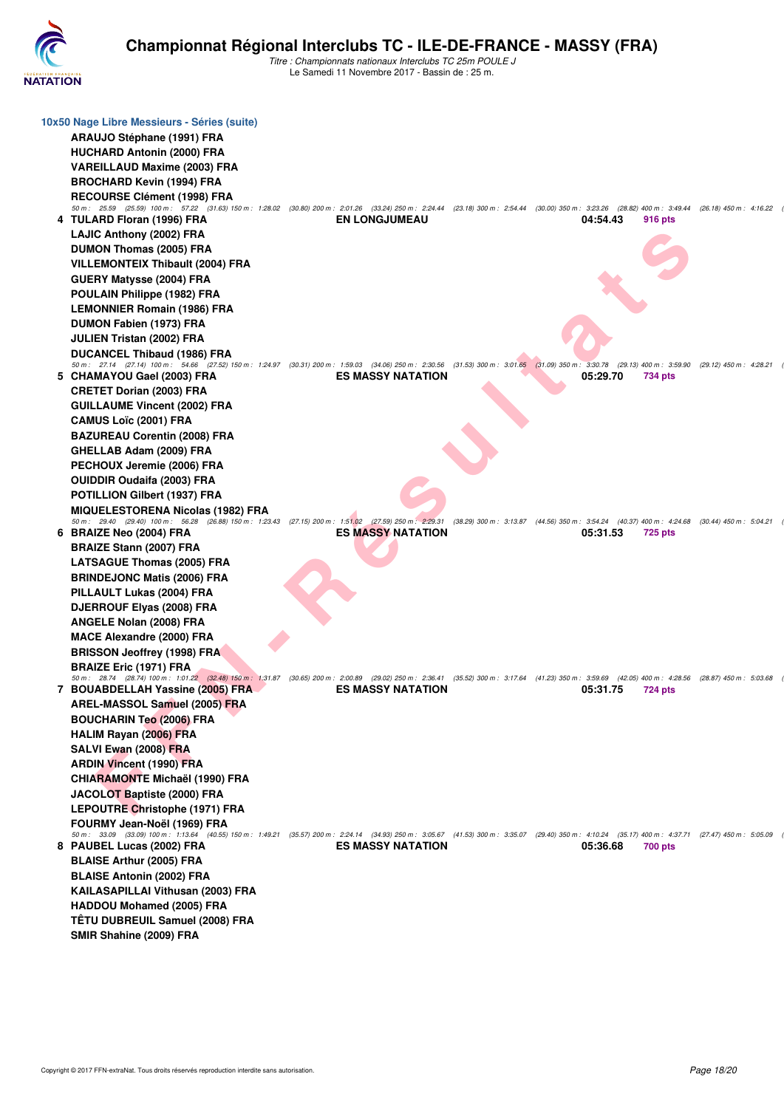

| 10x50 Nage Libre Messieurs - Séries (suite)<br>ARAUJO Stéphane (1991) FRA<br><b>HUCHARD Antonin (2000) FRA</b><br><b>VAREILLAUD Maxime (2003) FRA</b><br><b>BROCHARD Kevin (1994) FRA</b><br><b>RECOURSE Clément (1998) FRA</b>                                                                                                                                      |                          |                                                 |                                                         |                           |
|----------------------------------------------------------------------------------------------------------------------------------------------------------------------------------------------------------------------------------------------------------------------------------------------------------------------------------------------------------------------|--------------------------|-------------------------------------------------|---------------------------------------------------------|---------------------------|
| 50 m: 25.59 (25.59) 100 m: 57.22 (31.63) 150 m: 1:28.02 (30.80) 200 m: 2:01.26 (33.24) 250 m: 2:24.44 (23.18) 300 m: 2:54.44 (30.00) 350 m: 3:23.26 (28.82) 400 m: 3:49.44 (26.18) 450 m: 4:16.22<br>4 TULARD Floran (1996) FRA<br>LAJIC Anthony (2002) FRA<br>DUMON Thomas (2005) FRA<br><b>VILLEMONTEIX Thibault (2004) FRA</b><br><b>GUERY Matysse (2004) FRA</b> | <b>EN LONGJUMEAU</b>     |                                                 | 04:54.43<br>916 pts                                     |                           |
| POULAIN Philippe (1982) FRA<br><b>LEMONNIER Romain (1986) FRA</b><br>DUMON Fabien (1973) FRA<br><b>JULIEN Tristan (2002) FRA</b><br>DUCANCEL Thibaud (1986) FRA<br>50 m: 27.14 (27.14) 100 m: 54.66 (27.52) 150 m: 1:24.97 (30.31) 200 m: 1:59.03 (34.06) 250 m: 2:30.56 (31.53) 300 m: 3:01.65 (31.09) 350 m: 3:30.78                                               |                          |                                                 | (29.13) 400 m : 3:59.90                                 | (29.12) 450 m : 4:28.21   |
| 5 CHAMAYOU Gael (2003) FRA<br><b>CRETET Dorian (2003) FRA</b><br><b>GUILLAUME Vincent (2002) FRA</b><br><b>CAMUS Loïc (2001) FRA</b>                                                                                                                                                                                                                                 | <b>ES MASSY NATATION</b> |                                                 | 05:29.70<br>734 pts                                     |                           |
| <b>BAZUREAU Corentin (2008) FRA</b><br>GHELLAB Adam (2009) FRA<br>PECHOUX Jeremie (2006) FRA<br><b>OUIDDIR Oudaifa (2003) FRA</b><br>POTILLION Gilbert (1937) FRA<br><b>MIQUELESTORENA Nicolas (1982) FRA</b>                                                                                                                                                        |                          |                                                 |                                                         |                           |
| 50 m: 29.40 (29.40) 100 m: 56.28 (26.88) 150 m: 1:23.43 (27.15) 200 m: 1:51.02 (27.59) 250 m: 2:29.31 (38.29) 300 m: 3:13.87 (44.56) 350 m: 3:54.24 (40.37) 400 m: 4:24.68 (30.44) 450 m: 5:04.21<br>6 BRAIZE Neo (2004) FRA<br><b>BRAIZE Stann (2007) FRA</b><br><b>LATSAGUE Thomas (2005) FRA</b><br><b>BRINDEJONC Matis (2006) FRA</b>                            | <b>ES MASSY NATATION</b> |                                                 | 05:31.53<br><b>725 pts</b>                              |                           |
| PILLAULT Lukas (2004) FRA<br>DJERROUF Elyas (2008) FRA<br>ANGELE Nolan (2008) FRA<br><b>MACE Alexandre (2000) FRA</b><br><b>BRISSON Jeoffrey (1998) FRA</b>                                                                                                                                                                                                          |                          |                                                 |                                                         |                           |
| <b>BRAIZE Eric (1971) FRA</b><br>50 m: 28.74 (28.74) 100 m: 1:01.22 (32.48) 150 m: 1:31.87 (30.65) 200 m: 2:00.89 (29.02) 250 m: 2:36.41<br>7 BOUABDELLAH Yassine (2005) FRA<br>AREL-MASSOL Samuel (2005) FRA<br><b>BOUCHARIN Teo (2006) FRA</b><br><b>HALIM Rayan (2006) FRA</b>                                                                                    | <b>ES MASSY NATATION</b> | (35.52) 300 m : 3:17.64 (41.23) 350 m : 3:59.69 | $(42.05)$ 400 m : 4:28.56<br>05:31.75<br><b>724 pts</b> | $(28.87)$ 450 m : 5:03.68 |
| SALVI Ewan (2008) FRA<br><b>ARDIN Vincent (1990) FRA</b><br><b>CHIARAMONTE Michaël (1990) FRA</b><br>JACOLOT Baptiste (2000) FRA<br>LEPOUTRE Christophe (1971) FRA                                                                                                                                                                                                   |                          |                                                 |                                                         |                           |
| FOURMY Jean-Noël (1969) FRA<br>50 m: 33.09 (33.09) 100 m: 1:13.64 (40.55) 150 m: 1:49.21 (35.57) 200 m: 2:24.14 (34.93) 250 m: 3:05.67 (41.53) 300 m: 3:35.07 (29.40) 350 m: 4:10.24 (35.17) 400 m: 4:37.71 (27.47) 450 m: 5:05.09<br>8 PAUBEL Lucas (2002) FRA<br><b>BLAISE Arthur (2005) FRA</b><br><b>BLAISE Antonin (2002) FRA</b>                               | <b>ES MASSY NATATION</b> |                                                 | 05:36.68<br>700 pts                                     |                           |
| KAILASAPILLAI Vithusan (2003) FRA<br><b>HADDOU Mohamed (2005) FRA</b><br><b>TÊTU DUBREUIL Samuel (2008) FRA</b><br>SMIR Shahine (2009) FRA                                                                                                                                                                                                                           |                          |                                                 |                                                         |                           |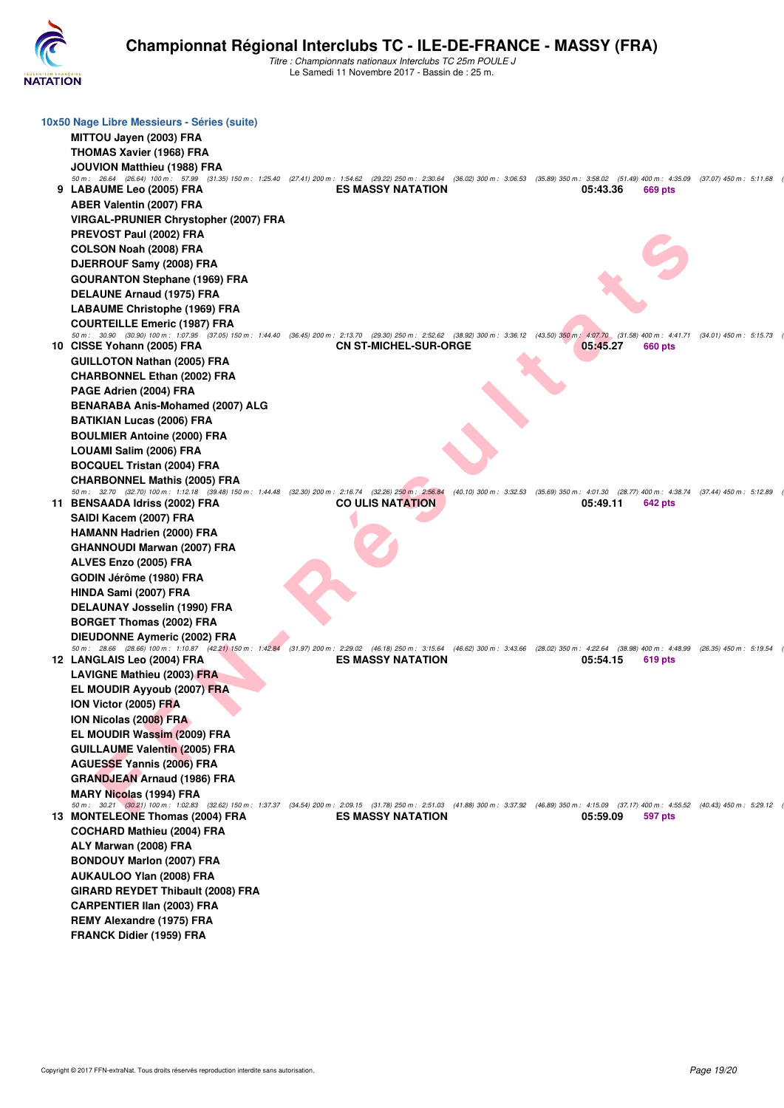

| 10x50 Nage Libre Messieurs - Séries (suite)<br>MITTOU Jayen (2003) FRA                                                                                                                                                                 |                              |                                                                                                 |          |         |  |
|----------------------------------------------------------------------------------------------------------------------------------------------------------------------------------------------------------------------------------------|------------------------------|-------------------------------------------------------------------------------------------------|----------|---------|--|
| <b>THOMAS Xavier (1968) FRA</b>                                                                                                                                                                                                        |                              |                                                                                                 |          |         |  |
|                                                                                                                                                                                                                                        |                              |                                                                                                 |          |         |  |
| JOUVION Matthieu (1988) FRA<br>50 m: 26.64 (26.64) 100 m: 57.99 (31.35) 150 m: 1:25.40 (27.41) 200 m: 1:54.62 (29.22) 250 m: 2:30.64 (36.02) 300 m: 3:06.53 (35.89) 350 m: 3:58.02 (51.49) 400 m: 4:35.09 (37.07) 450 m: 5:11.68       |                              |                                                                                                 |          |         |  |
| 9 LABAUME Leo (2005) FRA                                                                                                                                                                                                               | <b>ES MASSY NATATION</b>     |                                                                                                 | 05:43.36 | 669 pts |  |
| <b>ABER Valentin (2007) FRA</b>                                                                                                                                                                                                        |                              |                                                                                                 |          |         |  |
| VIRGAL-PRUNIER Chrystopher (2007) FRA                                                                                                                                                                                                  |                              |                                                                                                 |          |         |  |
| PREVOST Paul (2002) FRA                                                                                                                                                                                                                |                              |                                                                                                 |          |         |  |
| COLSON Noah (2008) FRA                                                                                                                                                                                                                 |                              |                                                                                                 |          |         |  |
| DJERROUF Samy (2008) FRA                                                                                                                                                                                                               |                              |                                                                                                 |          |         |  |
| <b>GOURANTON Stephane (1969) FRA</b>                                                                                                                                                                                                   |                              |                                                                                                 |          |         |  |
| <b>DELAUNE Arnaud (1975) FRA</b>                                                                                                                                                                                                       |                              |                                                                                                 |          |         |  |
| <b>LABAUME Christophe (1969) FRA</b>                                                                                                                                                                                                   |                              |                                                                                                 |          |         |  |
| <b>COURTEILLE Emeric (1987) FRA</b>                                                                                                                                                                                                    |                              |                                                                                                 |          |         |  |
| 50 m: 30.90 (30.90) 100 m: 1:07.95 (37.05) 150 m: 1:44.40 (36.45) 200 m: 2:13.70 (29.30) 250 m: 2:52.62 (38.92) 300 m: 3:36.12 (43.50) 350 m: 4:07.70 (31.58) 400 m: 4:41.71 (34.01) 450 m: 5:15.73<br>10 CISSE Yohann (2005) FRA      | <b>CN ST-MICHEL-SUR-ORGE</b> |                                                                                                 | 05:45.27 | 660 pts |  |
| <b>GUILLOTON Nathan (2005) FRA</b>                                                                                                                                                                                                     |                              |                                                                                                 |          |         |  |
| <b>CHARBONNEL Ethan (2002) FRA</b>                                                                                                                                                                                                     |                              |                                                                                                 |          |         |  |
| PAGE Adrien (2004) FRA                                                                                                                                                                                                                 |                              |                                                                                                 |          |         |  |
| <b>BENARABA Anis-Mohamed (2007) ALG</b>                                                                                                                                                                                                |                              |                                                                                                 |          |         |  |
| <b>BATIKIAN Lucas (2006) FRA</b>                                                                                                                                                                                                       |                              |                                                                                                 |          |         |  |
| <b>BOULMIER Antoine (2000) FRA</b>                                                                                                                                                                                                     |                              |                                                                                                 |          |         |  |
| LOUAMI Salim (2006) FRA                                                                                                                                                                                                                |                              |                                                                                                 |          |         |  |
| <b>BOCQUEL Tristan (2004) FRA</b>                                                                                                                                                                                                      |                              |                                                                                                 |          |         |  |
| <b>CHARBONNEL Mathis (2005) FRA</b>                                                                                                                                                                                                    |                              |                                                                                                 |          |         |  |
| 50 m: 32.70 (32.70) 100 m: 1:12.18 (39.48) 150 m: 1:44.48 (32.30) 200 m: 2:16.74 (32.26) 250 m: 2:56.84                                                                                                                                |                              | (40.10) 300 m : 3:32.53 (35.69) 350 m : 4:01.30 (28.77) 400 m : 4:38.74 (37.44) 450 m : 5:12.89 |          |         |  |
| 11 BENSAADA Idriss (2002) FRA                                                                                                                                                                                                          | <b>CO ULIS NATATION</b>      |                                                                                                 | 05:49.11 | 642 pts |  |
| SAIDI Kacem (2007) FRA                                                                                                                                                                                                                 |                              |                                                                                                 |          |         |  |
| <b>HAMANN Hadrien (2000) FRA</b>                                                                                                                                                                                                       |                              |                                                                                                 |          |         |  |
| GHANNOUDI Marwan (2007) FRA                                                                                                                                                                                                            |                              |                                                                                                 |          |         |  |
| ALVES Enzo (2005) FRA                                                                                                                                                                                                                  |                              |                                                                                                 |          |         |  |
| GODIN Jérôme (1980) FRA                                                                                                                                                                                                                |                              |                                                                                                 |          |         |  |
| HINDA Sami (2007) FRA                                                                                                                                                                                                                  |                              |                                                                                                 |          |         |  |
| DELAUNAY Josselin (1990) FRA                                                                                                                                                                                                           |                              |                                                                                                 |          |         |  |
| <b>BORGET Thomas (2002) FRA</b>                                                                                                                                                                                                        |                              |                                                                                                 |          |         |  |
| DIEUDONNE Aymeric (2002) FRA<br>50 m: 28.66 (28.66) 100 m: 1:10.87 (42.21) 150 m: 1:42.84 (31.97) 200 m: 2:29.02 (46.18) 250 m: 3:15.64 (46.62) 300 m: 3:43.66 (28.02) 350 m: 4:22.64 (38.98) 400 m: 4:48.99 (26.35) 450 m: 5:19.54    |                              |                                                                                                 |          |         |  |
| 12 LANGLAIS Leo (2004) FRA                                                                                                                                                                                                             | <b>ES MASSY NATATION</b>     |                                                                                                 | 05:54.15 | 619 pts |  |
| <b>LAVIGNE Mathieu (2003) FRA</b>                                                                                                                                                                                                      |                              |                                                                                                 |          |         |  |
| <b>EL MOUDIR Ayyoub (2007) FRA</b>                                                                                                                                                                                                     |                              |                                                                                                 |          |         |  |
| ION Victor (2005) FRA                                                                                                                                                                                                                  |                              |                                                                                                 |          |         |  |
| ION Nicolas (2008) FRA                                                                                                                                                                                                                 |                              |                                                                                                 |          |         |  |
| EL MOUDIR Wassim (2009) FRA                                                                                                                                                                                                            |                              |                                                                                                 |          |         |  |
| <b>GUILLAUME Valentin (2005) FRA</b>                                                                                                                                                                                                   |                              |                                                                                                 |          |         |  |
| <b>AGUESSE Yannis (2006) FRA</b>                                                                                                                                                                                                       |                              |                                                                                                 |          |         |  |
| <b>GRANDJEAN Arnaud (1986) FRA</b>                                                                                                                                                                                                     |                              |                                                                                                 |          |         |  |
| MARY Nicolas (1994) FRA                                                                                                                                                                                                                |                              |                                                                                                 |          |         |  |
| 50 m: 30.21 (30.21) 100 m: 1:02.83 (32.62) 150 m: 1:37.37 (34.54) 200 m: 2:09.15 (31.78) 250 m: 2:51.03 (41.88) 300 m: 3:37.92 (46.89) 350 m: 4:15.09 (37.17) 400 m: 4:55.52 (40.43) 450 m: 5:29.12<br>13 MONTELEONE Thomas (2004) FRA | <b>ES MASSY NATATION</b>     |                                                                                                 | 05:59.09 | 597 pts |  |
| <b>COCHARD Mathieu (2004) FRA</b>                                                                                                                                                                                                      |                              |                                                                                                 |          |         |  |
| ALY Marwan (2008) FRA                                                                                                                                                                                                                  |                              |                                                                                                 |          |         |  |
| <b>BONDOUY Marlon (2007) FRA</b>                                                                                                                                                                                                       |                              |                                                                                                 |          |         |  |
| AUKAULOO YIan (2008) FRA                                                                                                                                                                                                               |                              |                                                                                                 |          |         |  |
| GIRARD REYDET Thibault (2008) FRA                                                                                                                                                                                                      |                              |                                                                                                 |          |         |  |
| CARPENTIER IIan (2003) FRA                                                                                                                                                                                                             |                              |                                                                                                 |          |         |  |
| <b>REMY Alexandre (1975) FRA</b>                                                                                                                                                                                                       |                              |                                                                                                 |          |         |  |
| <b>FRANCK Didier (1959) FRA</b>                                                                                                                                                                                                        |                              |                                                                                                 |          |         |  |
|                                                                                                                                                                                                                                        |                              |                                                                                                 |          |         |  |